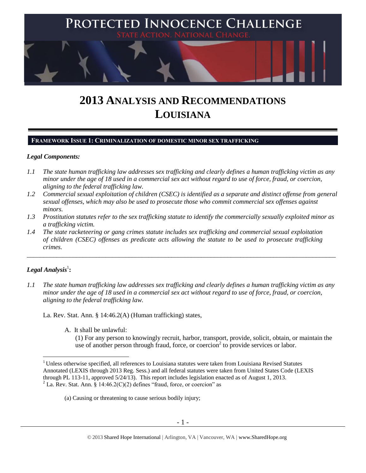

# **2013 ANALYSIS AND RECOMMENDATIONS LOUISIANA**

#### **FRAMEWORK ISSUE 1: CRIMINALIZATION OF DOMESTIC MINOR SEX TRAFFICKING**

#### *Legal Components:*

- *1.1 The state human trafficking law addresses sex trafficking and clearly defines a human trafficking victim as any minor under the age of 18 used in a commercial sex act without regard to use of force, fraud, or coercion, aligning to the federal trafficking law.*
- *1.2 Commercial sexual exploitation of children (CSEC) is identified as a separate and distinct offense from general sexual offenses, which may also be used to prosecute those who commit commercial sex offenses against minors.*
- *1.3 Prostitution statutes refer to the sex trafficking statute to identify the commercially sexually exploited minor as a trafficking victim.*

\_\_\_\_\_\_\_\_\_\_\_\_\_\_\_\_\_\_\_\_\_\_\_\_\_\_\_\_\_\_\_\_\_\_\_\_\_\_\_\_\_\_\_\_\_\_\_\_\_\_\_\_\_\_\_\_\_\_\_\_\_\_\_\_\_\_\_\_\_\_\_\_\_\_\_\_\_\_\_\_\_\_\_\_\_\_\_\_\_\_\_\_\_\_

*1.4 The state racketeering or gang crimes statute includes sex trafficking and commercial sexual exploitation of children (CSEC) offenses as predicate acts allowing the statute to be used to prosecute trafficking crimes.* 

# $\bm{\mathit{Legal\, Analysis^1}}$  :

 $\overline{a}$ 

*1.1 The state human trafficking law addresses sex trafficking and clearly defines a human trafficking victim as any minor under the age of 18 used in a commercial sex act without regard to use of force, fraud, or coercion, aligning to the federal trafficking law.*

La. Rev. Stat. Ann. § 14:46.2(A) (Human trafficking) states,

A. It shall be unlawful:

<span id="page-0-0"></span>(1) For any person to knowingly recruit, harbor, transport, provide, solicit, obtain, or maintain the use of another person through fraud, force, or coercion $2$  to provide services or labor.

<sup>&</sup>lt;sup>1</sup> Unless otherwise specified, all references to Louisiana statutes were taken from Louisiana Revised Statutes Annotated (LEXIS through 2013 Reg. Sess.) and all federal statutes were taken from United States Code (LEXIS through PL 113-11, approved 5/24/13). This report includes legislation enacted as of August 1, 2013.

<sup>&</sup>lt;sup>2</sup> La. Rev. Stat. Ann.  $\frac{2}{3}$  14:46.2(C)(2) defines "fraud, force, or coercion" as

<sup>(</sup>a) Causing or threatening to cause serious bodily injury;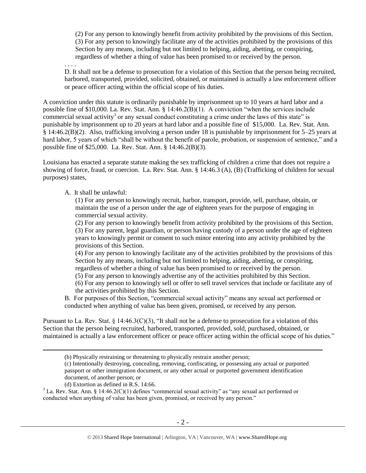(2) For any person to knowingly benefit from activity prohibited by the provisions of this Section. (3) For any person to knowingly facilitate any of the activities prohibited by the provisions of this Section by any means, including but not limited to helping, aiding, abetting, or conspiring, regardless of whether a thing of value has been promised to or received by the person.

. . . .

<span id="page-1-0"></span>D. It shall not be a defense to prosecution for a violation of this Section that the person being recruited, harbored, transported, provided, solicited, obtained, or maintained is actually a law enforcement officer or peace officer acting within the official scope of his duties.

A conviction under this statute is ordinarily punishable by imprisonment up to 10 years at hard labor and a possible fine of \$10,000. La. Rev. Stat. Ann. § 14:46.2(B)(1). A conviction "when the services include commercial sexual activity<sup>3</sup> or any sexual conduct constituting a crime under the laws of this state" is punishable by imprisonment up to 20 years at hard labor and a possible fine of \$15,000. La. Rev. Stat. Ann. § 14:46.2(B)(2). Also, trafficking involving a person under 18 is punishable by imprisonment for 5–25 years at hard labor, 5 years of which "shall be without the benefit of parole, probation, or suspension of sentence," and a possible fine of \$25,000. La. Rev. Stat. Ann. § 14:46.2(B)(3).

Louisiana has enacted a separate statute making the sex trafficking of children a crime that does not require a showing of force, fraud, or coercion. La. Rev. Stat. Ann. § 14:46.3 (A), (B) (Trafficking of children for sexual purposes) states,

#### A. It shall be unlawful:

(1) For any person to knowingly recruit, harbor, transport, provide, sell, purchase, obtain, or maintain the use of a person under the age of eighteen years for the purpose of engaging in commercial sexual activity.

(2) For any person to knowingly benefit from activity prohibited by the provisions of this Section. (3) For any parent, legal guardian, or person having custody of a person under the age of eighteen years to knowingly permit or consent to such minor entering into any activity prohibited by the provisions of this Section.

(4) For any person to knowingly facilitate any of the activities prohibited by the provisions of this Section by any means, including but not limited to helping, aiding, abetting, or conspiring, regardless of whether a thing of value has been promised to or received by the person.

(5) For any person to knowingly advertise any of the activities prohibited by this Section.

(6) For any person to knowingly sell or offer to sell travel services that include or facilitate any of the activities prohibited by this Section.

B. For purposes of this Section, "commercial sexual activity" means any sexual act performed or conducted when anything of value has been given, promised, or received by any person.

Pursuant to La. Rev. Stat. § 14:46.3(C)(3), "It shall not be a defense to prosecution for a violation of this Section that the person being recruited, harbored, transported, provided, sold, purchased, obtained, or maintained is actually a law enforcement officer or peace officer acting within the official scope of his duties."

(d) Extortion as defined in R.S. 14:66.

<sup>(</sup>b) Physically restraining or threatening to physically restrain another person;

<sup>(</sup>c) Intentionally destroying, concealing, removing, confiscating, or possessing any actual or purported passport or other immigration document, or any other actual or purported government identification document, of another person; or

 $3$  La. Rev. Stat. Ann. § 14:46.2(C)(1) defines "commercial sexual activity" as "any sexual act performed or conducted when anything of value has been given, promised, or received by any person."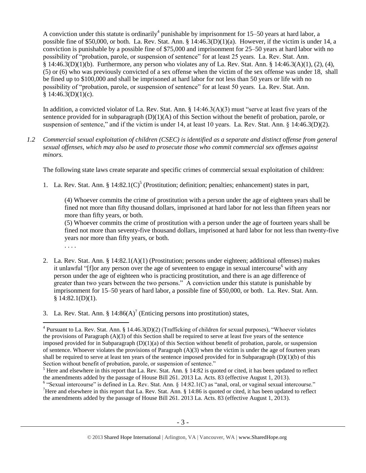A conviction under this statute is ordinarily<sup>4</sup> punishable by imprisonment for 15–50 years at hard labor, a possible fine of \$50,000, or both. La. Rev. Stat. Ann. §  $14:46.3(D)(1)(a)$ . However, if the victim is under 14, a conviction is punishable by a possible fine of \$75,000 and imprisonment for 25–50 years at hard labor with no possibility of "probation, parole, or suspension of sentence" for at least 25 years. La. Rev. Stat. Ann. § 14:46.3(D)(1)(b). Furthermore, any person who violates any of La. Rev. Stat. Ann. § 14:46.3(A)(1), (2), (4), (5) or (6) who was previously convicted of a sex offense when the victim of the sex offense was under 18, shall be fined up to \$100,000 and shall be imprisoned at hard labor for not less than 50 years or life with no possibility of "probation, parole, or suspension of sentence" for at least 50 years. La. Rev. Stat. Ann.  $$14:46.3(D)(1)(c).$ 

In addition, a convicted violator of La. Rev. Stat. Ann. § 14:46.3(A)(3) must "serve at least five years of the sentence provided for in subparagraph  $(D)(1)(A)$  of this Section without the benefit of probation, parole, or suspension of sentence," and if the victim is under 14, at least 10 years. La. Rev. Stat. Ann. § 14:46.3(D)(2).

*1.2 Commercial sexual exploitation of children (CSEC) is identified as a separate and distinct offense from general sexual offenses, which may also be used to prosecute those who commit commercial sex offenses against minors.*

The following state laws create separate and specific crimes of commercial sexual exploitation of children:

1. La. Rev. Stat. Ann. §  $14:82.1(C)^5$  (Prostitution; definition; penalties; enhancement) states in part,

<span id="page-2-0"></span>(4) Whoever commits the crime of prostitution with a person under the age of eighteen years shall be fined not more than fifty thousand dollars, imprisoned at hard labor for not less than fifteen years nor more than fifty years, or both.

(5) Whoever commits the crime of prostitution with a person under the age of fourteen years shall be fined not more than seventy-five thousand dollars, imprisoned at hard labor for not less than twenty-five years nor more than fifty years, or both.

- . . . .
- 2. La. Rev. Stat. Ann. § 14:82.1(A)(1) (Prostitution; persons under eighteen; additional offenses) makes it unlawful "[f]or any person over the age of seventeen to engage in sexual intercourse  $\epsilon$  with any person under the age of eighteen who is practicing prostitution, and there is an age difference of greater than two years between the two persons." A conviction under this statute is punishable by imprisonment for 15–50 years of hard labor, a possible fine of \$50,000, or both. La. Rev. Stat. Ann.  $§ 14:82.1(D)(1).$
- 3. La. Rev. Stat. Ann. §  $14:86(A)^7$  (Enticing persons into prostitution) states,

<sup>6</sup> "Sexual intercourse" is defined in La. Rev. Stat. Ann. § 14:82.1(C) as "anal, oral, or vaginal sexual intercourse." <sup>7</sup>Here and elsewhere in this report that La. Rev. Stat. Ann.  $\S$  14:86 is quoted or cited, it has been updated to reflect the amendments added by the passage of House Bill 261. 2013 La. Acts. 83 (effective August 1, 2013).

 $\overline{a}$  $4$  Pursuant to La. Rev. Stat. Ann. § 14.46.3(D)(2) (Trafficking of children for sexual purposes), "Whoever violates the provisions of Paragraph (A)(3) of this Section shall be required to serve at least five years of the sentence imposed provided for in Subparagraph  $(D)(1)(a)$  of this Section without benefit of probation, parole, or suspension of sentence. Whoever violates the provisions of Paragraph  $(A)(3)$  when the victim is under the age of fourteen years shall be required to serve at least ten years of the sentence imposed provided for in Subparagraph  $(D)(1)(b)$  of this Section without benefit of probation, parole, or suspension of sentence."

<sup>&</sup>lt;sup>5</sup> Here and elsewhere in this report that La. Rev. Stat. Ann. § 14:82 is quoted or cited, it has been updated to reflect the amendments added by the passage of House Bill 261. 2013 La. Acts. 83 (effective August 1, 2013).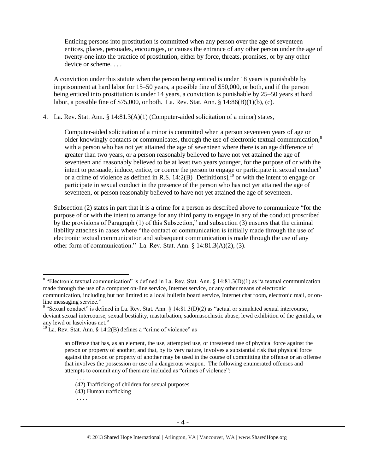Enticing persons into prostitution is committed when any person over the age of seventeen entices, places, persuades, encourages, or causes the entrance of any other person under the age of twenty-one into the practice of prostitution, either by force, threats, promises, or by any other device or scheme. . . .

A conviction under this statute when the person being enticed is under 18 years is punishable by imprisonment at hard labor for 15–50 years, a possible fine of \$50,000, or both, and if the person being enticed into prostitution is under 14 years, a conviction is punishable by 25–50 years at hard labor, a possible fine of \$75,000, or both. La. Rev. Stat. Ann. § 14:86(B)(1)(b), (c).

4. La. Rev. Stat. Ann. § 14:81.3(A)(1) (Computer-aided solicitation of a minor) states,

<span id="page-3-2"></span><span id="page-3-1"></span><span id="page-3-0"></span>Computer-aided solicitation of a minor is committed when a person seventeen years of age or older knowingly contacts or communicates, through the use of electronic textual communication, $\delta$ with a person who has not yet attained the age of seventeen where there is an age difference of greater than two years, or a person reasonably believed to have not yet attained the age of seventeen and reasonably believed to be at least two years younger, for the purpose of or with the intent to persuade, induce, entice, or coerce the person to engage or participate in sexual conduct<sup>9</sup> or a crime of violence as defined in R.S.  $14:2(B)$  [Definitions],<sup>10</sup> or with the intent to engage or participate in sexual conduct in the presence of the person who has not yet attained the age of seventeen, or person reasonably believed to have not yet attained the age of seventeen.

Subsection (2) states in part that it is a crime for a person as described above to communicate "for the purpose of or with the intent to arrange for any third party to engage in any of the conduct proscribed by the provisions of Paragraph (1) of this Subsection," and subsection (3) ensures that the criminal liability attaches in cases where "the contact or communication is initially made through the use of electronic textual communication and subsequent communication is made through the use of any other form of communication." La. Rev. Stat. Ann. § 14:81.3(A)(2), (3).

. . .

<sup>&</sup>lt;sup>8</sup> "Electronic textual communication" is defined in La. Rev. Stat. Ann. § 14:81.3(D)(1) as "a textual communication made through the use of a computer on-line service, Internet service, or any other means of electronic communication, including but not limited to a local bulletin board service, Internet chat room, electronic mail, or online messaging service."

<sup>&</sup>lt;sup>9</sup> "Sexual conduct" is defined in La. Rev. Stat. Ann. § 14:81.3(D)(2) as "actual or simulated sexual intercourse, deviant sexual intercourse, sexual bestiality, masturbation, sadomasochistic abuse, lewd exhibition of the genitals, or any lewd or lascivious act."

 $^{10}$  La. Rev. Stat. Ann. § 14:2(B) defines a "crime of violence" as

an offense that has, as an element, the use, attempted use, or threatened use of physical force against the person or property of another, and that, by its very nature, involves a substantial risk that physical force against the person or property of another may be used in the course of committing the offense or an offense that involves the possession or use of a dangerous weapon. The following enumerated offenses and attempts to commit any of them are included as "crimes of violence":

<sup>(42)</sup> Trafficking of children for sexual purposes

<sup>(43)</sup> Human trafficking

<sup>. . . .</sup>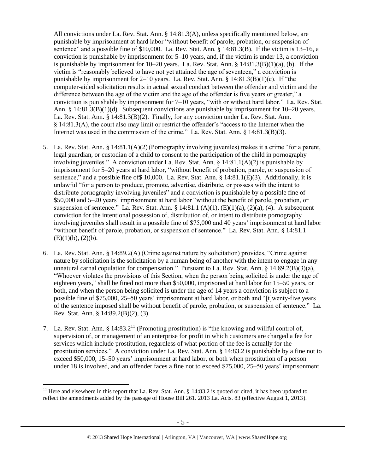All convictions under La. Rev. Stat. Ann. § 14:81.3(A), unless specifically mentioned below, are punishable by imprisonment at hard labor "without benefit of parole, probation, or suspension of sentence" and a possible fine of \$10,000. La. Rev. Stat. Ann. § 14:81.3(B). If the victim is 13–16, a conviction is punishable by imprisonment for 5–10 years, and, if the victim is under 13, a conviction is punishable by imprisonment for  $10-20$  years. La. Rev. Stat. Ann. §  $14:81.3(B)(1)(a)$ , (b). If the victim is "reasonably believed to have not yet attained the age of seventeen," a conviction is punishable by imprisonment for 2–10 years. La. Rev. Stat. Ann.  $\S$  14:81.3(B)(1)(c). If "the computer-aided solicitation results in actual sexual conduct between the offender and victim and the difference between the age of the victim and the age of the offender is five years or greater," a conviction is punishable by imprisonment for 7–10 years, "with or without hard labor." La. Rev. Stat. Ann. § 14:81.3(B)(1)(d). Subsequent convictions are punishable by imprisonment for 10–20 years. La. Rev. Stat. Ann. § 14:81.3(B)(2). Finally, for any conviction under La. Rev. Stat. Ann. § 14:81.3(A), the court also may limit or restrict the offender's "access to the Internet when the Internet was used in the commission of the crime." La. Rev. Stat. Ann. § 14:81.3(B)(3).

- 5. La. Rev. Stat. Ann. § 14:81.1(A)(2)(Pornography involving juveniles) makes it a crime "for a parent, legal guardian, or custodian of a child to consent to the participation of the child in pornography involving juveniles." A conviction under La. Rev. Stat. Ann. § 14:81.1(A)(2) is punishable by imprisonment for 5–20 years at hard labor, "without benefit of probation, parole, or suspension of sentence," and a possible fine of \$10,000. La. Rev. Stat. Ann. § 14:81.1(E)(3). Additionally, it is unlawful "for a person to produce, promote, advertise, distribute, or possess with the intent to distribute pornography involving juveniles" and a conviction is punishable by a possible fine of \$50,000 and 5–20 years' imprisonment at hard labor "without the benefit of parole, probation, or suspension of sentence." La. Rev. Stat. Ann. § 14:81.1 (A)(1), (E)(1)(a), (2)(a), (4). A subsequent conviction for the intentional possession of, distribution of, or intent to distribute pornography involving juveniles shall result in a possible fine of \$75,000 and 40 years' imprisonment at hard labor "without benefit of parole, probation, or suspension of sentence." La. Rev. Stat. Ann. § 14:81.1  $(E)(1)(b)$ ,  $(2)(b)$ .
- 6. La. Rev. Stat. Ann. § 14:89.2(A) (Crime against nature by solicitation) provides, "Crime against nature by solicitation is the solicitation by a human being of another with the intent to engage in any unnatural carnal copulation for compensation." Pursuant to La. Rev. Stat. Ann. § 14.89.2(B)(3)(a), "Whoever violates the provisions of this Section, when the person being solicited is under the age of eighteen years," shall be fined not more than \$50,000, imprisoned at hard labor for 15–50 years, or both, and when the person being solicited is under the age of 14 years a conviction is subject to a possible fine of \$75,000, 25–50 years' imprisonment at hard labor, or both and "[t]wenty-five years of the sentence imposed shall be without benefit of parole, probation, or suspension of sentence." La. Rev. Stat. Ann. § 14:89.2(B)(2), (3).
- <span id="page-4-0"></span>7. La. Rev. Stat. Ann. § 14:83.2<sup>11</sup> (Promoting prostitution) is "the knowing and willful control of, supervision of, or management of an enterprise for profit in which customers are charged a fee for services which include prostitution, regardless of what portion of the fee is actually for the prostitution services." A conviction under La. Rev. Stat. Ann. § 14:83.2 is punishable by a fine not to exceed \$50,000, 15–50 years' imprisonment at hard labor, or both when prostitution of a person under 18 is involved, and an offender faces a fine not to exceed \$75,000, 25–50 years' imprisonment

<sup>&</sup>lt;sup>11</sup> Here and elsewhere in this report that La. Rev. Stat. Ann. § 14:83.2 is quoted or cited, it has been updated to reflect the amendments added by the passage of House Bill 261. 2013 La. Acts. 83 (effective August 1, 2013).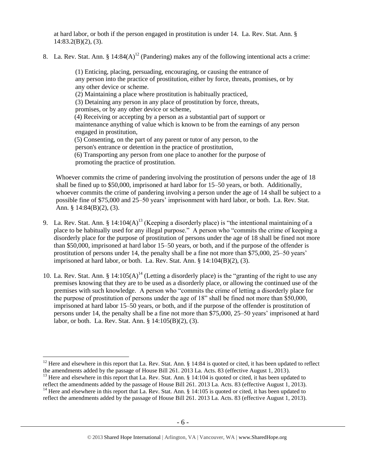at hard labor, or both if the person engaged in prostitution is under 14. La. Rev. Stat. Ann. §  $14:83.2(B)(2)$ , (3).

8. La. Rev. Stat. Ann. §  $14:84(A)^{12}$  (Pandering) makes any of the following intentional acts a crime:

<span id="page-5-0"></span>(1) Enticing, placing, persuading, encouraging, or causing the entrance of any person into the practice of prostitution, either by force, threats, promises, or by any other device or scheme. (2) Maintaining a place where prostitution is habitually practiced, (3) Detaining any person in any place of prostitution by force, threats, promises, or by any other device or scheme, (4) Receiving or accepting by a person as a substantial part of support or maintenance anything of value which is known to be from the earnings of any person engaged in prostitution, (5) Consenting, on the part of any parent or tutor of any person, to the person's entrance or detention in the practice of prostitution, (6) Transporting any person from one place to another for the purpose of promoting the practice of prostitution.

<span id="page-5-1"></span>Whoever commits the crime of pandering involving the prostitution of persons under the age of 18 shall be fined up to \$50,000, imprisoned at hard labor for 15–50 years, or both. Additionally, whoever commits the crime of pandering involving a person under the age of 14 shall be subject to a possible fine of \$75,000 and 25–50 years' imprisonment with hard labor, or both. La. Rev. Stat. Ann. § 14:84(B)(2), (3).

- 9. La. Rev. Stat. Ann. § 14:104(A)<sup>13</sup> (Keeping a disorderly place) is "the intentional maintaining of a place to be habitually used for any illegal purpose." A person who "commits the crime of keeping a disorderly place for the purpose of prostitution of persons under the age of 18 shall be fined not more than \$50,000, imprisoned at hard labor 15–50 years, or both, and if the purpose of the offender is prostitution of persons under 14, the penalty shall be a fine not more than \$75,000, 25–50 years' imprisoned at hard labor, or both. La. Rev. Stat. Ann.  $\S 14:104(B)(2)$ , (3).
- 10. La. Rev. Stat. Ann. § 14:105(A)<sup>14</sup> (Letting a disorderly place) is the "granting of the right to use any premises knowing that they are to be used as a disorderly place, or allowing the continued use of the premises with such knowledge. A person who "commits the crime of letting a disorderly place for the purpose of prostitution of persons under the age of 18" shall be fined not more than \$50,000, imprisoned at hard labor 15–50 years, or both, and if the purpose of the offender is prostitution of persons under 14, the penalty shall be a fine not more than \$75,000, 25–50 years' imprisoned at hard labor, or both. La. Rev. Stat. Ann. § 14:105(B)(2), (3).

<sup>&</sup>lt;sup>12</sup> Here and elsewhere in this report that La. Rev. Stat. Ann. § 14:84 is quoted or cited, it has been updated to reflect the amendments added by the passage of House Bill 261. 2013 La. Acts. 83 (effective August 1, 2013).

<sup>&</sup>lt;sup>13</sup> Here and elsewhere in this report that La. Rev. Stat. Ann. § 14:104 is quoted or cited, it has been updated to reflect the amendments added by the passage of House Bill 261. 2013 La. Acts. 83 (effective August 1, 2013).

<sup>&</sup>lt;sup>14</sup> Here and elsewhere in this report that La. Rev. Stat. Ann. § 14:105 is quoted or cited, it has been updated to reflect the amendments added by the passage of House Bill 261. 2013 La. Acts. 83 (effective August 1, 2013).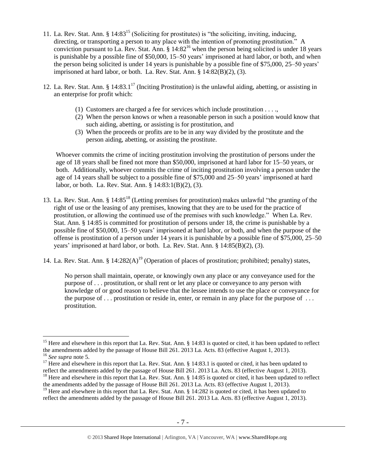- 11. La. Rev. Stat. Ann. § 14:83<sup>15</sup> (Soliciting for prostitutes) is "the soliciting, inviting, inducing, directing, or transporting a person to any place with the intention of promoting prostitution." A conviction pursuant to La. Rev. Stat. Ann.  $\S$  14:82<sup>16</sup> when the person being solicited is under 18 years is punishable by a possible fine of \$50,000, 15–50 years' imprisoned at hard labor, or both, and when the person being solicited is under 14 years is punishable by a possible fine of \$75,000, 25–50 years' imprisoned at hard labor, or both. La. Rev. Stat. Ann. § 14:82(B)(2), (3).
- 12. La. Rev. Stat. Ann. §  $14:83.1^{17}$  (Inciting Prostitution) is the unlawful aiding, abetting, or assisting in an enterprise for profit which:
	- (1) Customers are charged a fee for services which include prostitution . . . .,
	- (2) When the person knows or when a reasonable person in such a position would know that such aiding, abetting, or assisting is for prostitution, and
	- (3) When the proceeds or profits are to be in any way divided by the prostitute and the person aiding, abetting, or assisting the prostitute.

Whoever commits the crime of inciting prostitution involving the prostitution of persons under the age of 18 years shall be fined not more than \$50,000, imprisoned at hard labor for 15–50 years, or both. Additionally, whoever commits the crime of inciting prostitution involving a person under the age of 14 years shall be subject to a possible fine of \$75,000 and 25–50 years' imprisoned at hard labor, or both. La. Rev. Stat. Ann. § 14:83:1(B)(2), (3).

- <span id="page-6-1"></span>13. La. Rev. Stat. Ann. § 14:85<sup>18</sup> (Letting premises for prostitution) makes unlawful "the granting of the right of use or the leasing of any premises, knowing that they are to be used for the practice of prostitution, or allowing the continued use of the premises with such knowledge." When La. Rev. Stat. Ann. § 14:85 is committed for prostitution of persons under 18, the crime is punishable by a possible fine of \$50,000, 15–50 years' imprisoned at hard labor, or both, and when the purpose of the offense is prostitution of a person under 14 years it is punishable by a possible fine of \$75,000, 25–50 years' imprisoned at hard labor, or both. La. Rev. Stat. Ann. § 14:85(B)(2), (3).
- 14. La. Rev. Stat. Ann. §  $14:282(A)^{19}$  (Operation of places of prostitution; prohibited; penalty) states,

<span id="page-6-0"></span>No person shall maintain, operate, or knowingly own any place or any conveyance used for the purpose of . . . prostitution, or shall rent or let any place or conveyance to any person with knowledge of or good reason to believe that the lessee intends to use the place or conveyance for the purpose of  $\dots$  prostitution or reside in, enter, or remain in any place for the purpose of  $\dots$ prostitution.

<sup>&</sup>lt;sup>15</sup> Here and elsewhere in this report that La. Rev. Stat. Ann.  $\S$  14:83 is quoted or cited, it has been updated to reflect the amendments added by the passage of House Bill 261. 2013 La. Acts. 83 (effective August 1, 2013).

<sup>16</sup> *See supra* note [5.](#page-2-0)

<sup>&</sup>lt;sup>17</sup> Here and elsewhere in this report that La. Rev. Stat. Ann. § 14:83.1 is quoted or cited, it has been updated to reflect the amendments added by the passage of House Bill 261. 2013 La. Acts. 83 (effective August 1, 2013). <sup>18</sup> Here and elsewhere in this report that La. Rev. Stat. Ann. § 14:85 is quoted or cited, it has been updated to reflect the amendments added by the passage of House Bill 261. 2013 La. Acts. 83 (effective August 1, 2013).

<sup>&</sup>lt;sup>19</sup> Here and elsewhere in this report that La. Rev. Stat. Ann. § 14:282 is quoted or cited, it has been updated to reflect the amendments added by the passage of House Bill 261. 2013 La. Acts. 83 (effective August 1, 2013).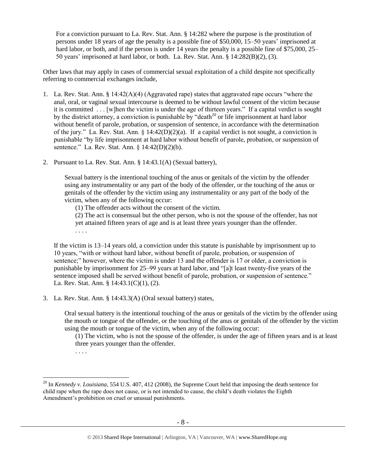For a conviction pursuant to La. Rev. Stat. Ann. § 14:282 where the purpose is the prostitution of persons under 18 years of age the penalty is a possible fine of \$50,000, 15–50 years' imprisoned at hard labor, or both, and if the person is under 14 years the penalty is a possible fine of \$75,000, 25– 50 years' imprisoned at hard labor, or both. La. Rev. Stat. Ann. § 14:282(B)(2), (3).

Other laws that may apply in cases of commercial sexual exploitation of a child despite not specifically referring to commercial exchanges include,

- 1. La. Rev. Stat. Ann. § 14:42(A)(4) (Aggravated rape) states that aggravated rape occurs "where the anal, oral, or vaginal sexual intercourse is deemed to be without lawful consent of the victim because it is committed . . . [w]hen the victim is under the age of thirteen years." If a capital verdict is sought by the district attorney, a conviction is punishable by "death<sup>20</sup> or life imprisonment at hard labor without benefit of parole, probation, or suspension of sentence, in accordance with the determination of the jury." La. Rev. Stat. Ann.  $\S 14:42(D)(2)(a)$ . If a capital verdict is not sought, a conviction is punishable "by life imprisonment at hard labor without benefit of parole, probation, or suspension of sentence." La. Rev. Stat. Ann. § 14:42(D)(2)(b).
- 2. Pursuant to La. Rev. Stat. Ann. § 14:43.1(A) (Sexual battery),

Sexual battery is the intentional touching of the anus or genitals of the victim by the offender using any instrumentality or any part of the body of the offender, or the touching of the anus or genitals of the offender by the victim using any instrumentality or any part of the body of the victim, when any of the following occur:

(1) The offender acts without the consent of the victim.

(2) The act is consensual but the other person, who is not the spouse of the offender, has not yet attained fifteen years of age and is at least three years younger than the offender. . . . .

If the victim is 13–14 years old, a conviction under this statute is punishable by imprisonment up to 10 years, "with or without hard labor, without benefit of parole, probation, or suspension of sentence;" however, where the victim is under 13 and the offender is 17 or older, a conviction is punishable by imprisonment for 25–99 years at hard labor, and "[a]t least twenty-five years of the sentence imposed shall be served without benefit of parole, probation, or suspension of sentence." La. Rev. Stat. Ann. § 14:43.1(C)(1), (2).

3. La. Rev. Stat. Ann. § 14:43.3(A) (Oral sexual battery) states,

Oral sexual battery is the intentional touching of the anus or genitals of the victim by the offender using the mouth or tongue of the offender, or the touching of the anus or genitals of the offender by the victim using the mouth or tongue of the victim, when any of the following occur:

(1) The victim, who is not the spouse of the offender, is under the age of fifteen years and is at least three years younger than the offender.

. . . .

 $\overline{a}$ <sup>20</sup> In *Kennedy v. Louisiana*, 554 U.S. 407, 412 (2008), the Supreme Court held that imposing the death sentence for child rape when the rape does not cause, or is not intended to cause, the child's death violates the Eighth Amendment's prohibition on cruel or unusual punishments.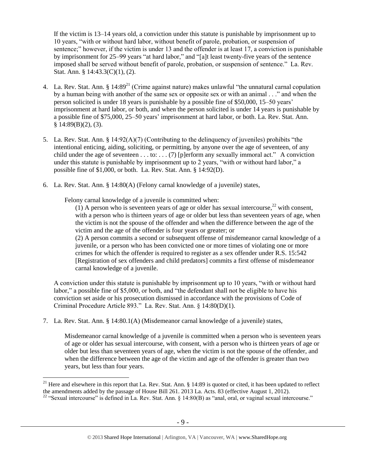If the victim is 13–14 years old, a conviction under this statute is punishable by imprisonment up to 10 years, "with or without hard labor, without benefit of parole, probation, or suspension of sentence;" however, if the victim is under 13 and the offender is at least 17, a conviction is punishable by imprisonment for 25–99 years "at hard labor," and "[a]t least twenty-five years of the sentence imposed shall be served without benefit of parole, probation, or suspension of sentence." La. Rev. Stat. Ann. § 14:43.3(C)(1), (2).

- <span id="page-8-0"></span>4. La. Rev. Stat. Ann. § 14:89<sup>21</sup> (Crime against nature) makes unlawful "the unnatural carnal copulation by a human being with another of the same sex or opposite sex or with an animal . . ." and when the person solicited is under 18 years is punishable by a possible fine of \$50,000, 15–50 years' imprisonment at hard labor, or both, and when the person solicited is under 14 years is punishable by a possible fine of \$75,000, 25–50 years' imprisonment at hard labor, or both. La. Rev. Stat. Ann.  $§$  14:89(B)(2), (3).
- 5. La. Rev. Stat. Ann. § 14:92(A)(7) (Contributing to the delinquency of juveniles) prohibits "the intentional enticing, aiding, soliciting, or permitting, by anyone over the age of seventeen, of any child under the age of seventeen . . . to: . . . (7) [p]erform any sexually immoral act." A conviction under this statute is punishable by imprisonment up to 2 years, "with or without hard labor," a possible fine of \$1,000, or both. La. Rev. Stat. Ann. § 14:92(D).
- 6. La. Rev. Stat. Ann. § 14:80(A) (Felony carnal knowledge of a juvenile) states,

Felony carnal knowledge of a juvenile is committed when:

(1) A person who is seventeen years of age or older has sexual intercourse.<sup>22</sup> with consent. with a person who is thirteen years of age or older but less than seventeen years of age, when the victim is not the spouse of the offender and when the difference between the age of the victim and the age of the offender is four years or greater; or (2) A person commits a second or subsequent offense of misdemeanor carnal knowledge of a

juvenile, or a person who has been convicted one or more times of violating one or more crimes for which the offender is required to register as a sex offender under R.S. 15:542 [Registration of sex offenders and child predators] commits a first offense of misdemeanor carnal knowledge of a juvenile.

A conviction under this statute is punishable by imprisonment up to 10 years, "with or without hard labor," a possible fine of \$5,000, or both, and "the defendant shall not be eligible to have his conviction set aside or his prosecution dismissed in accordance with the provisions of Code of Criminal Procedure Article 893." La. Rev. Stat. Ann. § 14:80(D)(1).

7. La. Rev. Stat. Ann. § 14:80.1(A) (Misdemeanor carnal knowledge of a juvenile) states,

 $\overline{a}$ 

Misdemeanor carnal knowledge of a juvenile is committed when a person who is seventeen years of age or older has sexual intercourse, with consent, with a person who is thirteen years of age or older but less than seventeen years of age, when the victim is not the spouse of the offender, and when the difference between the age of the victim and age of the offender is greater than two years, but less than four years.

<sup>&</sup>lt;sup>21</sup> Here and elsewhere in this report that La. Rev. Stat. Ann.  $\S$  14:89 is quoted or cited, it has been updated to reflect the amendments added by the passage of House Bill 261. 2013 La. Acts. 83 (effective August 1, 2012).

<sup>&</sup>lt;sup>22</sup> "Sexual intercourse" is defined in La. Rev. Stat. Ann. § 14:80(B) as "anal, oral, or vaginal sexual intercourse."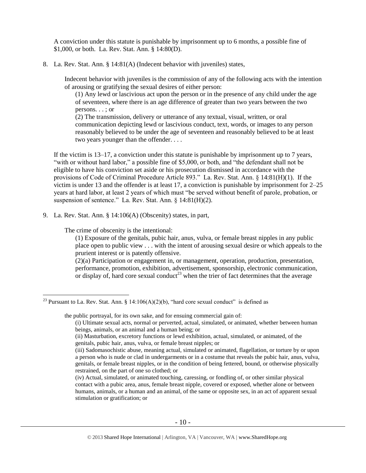A conviction under this statute is punishable by imprisonment up to 6 months, a possible fine of \$1,000, or both. La. Rev. Stat. Ann. § 14:80(D).

8. La. Rev. Stat. Ann. § 14:81(A) (Indecent behavior with juveniles) states,

Indecent behavior with juveniles is the commission of any of the following acts with the intention of arousing or gratifying the sexual desires of either person:

(1) Any lewd or lascivious act upon the person or in the presence of any child under the age of seventeen, where there is an age difference of greater than two years between the two persons. . . ; or

(2) The transmission, delivery or utterance of any textual, visual, written, or oral communication depicting lewd or lascivious conduct, text, words, or images to any person reasonably believed to be under the age of seventeen and reasonably believed to be at least two years younger than the offender. . . .

If the victim is 13–17, a conviction under this statute is punishable by imprisonment up to 7 years, "with or without hard labor," a possible fine of \$5,000, or both, and "the defendant shall not be eligible to have his conviction set aside or his prosecution dismissed in accordance with the provisions of Code of Criminal Procedure Article 893." La. Rev. Stat. Ann. § 14:81(H)(1). If the victim is under 13 and the offender is at least 17, a conviction is punishable by imprisonment for 2–25 years at hard labor, at least 2 years of which must "be served without benefit of parole, probation, or suspension of sentence." La. Rev. Stat. Ann. § 14:81(H)(2).

9. La. Rev. Stat. Ann. § 14:106(A) (Obscenity) states, in part,

The crime of obscenity is the intentional:

 $\overline{a}$ 

(1) Exposure of the genitals, pubic hair, anus, vulva, or female breast nipples in any public place open to public view . . . with the intent of arousing sexual desire or which appeals to the prurient interest or is patently offensive.

(2)(a) Participation or engagement in, or management, operation, production, presentation, performance, promotion, exhibition, advertisement, sponsorship, electronic communication, or display of, hard core sexual conduct<sup>23</sup> when the trier of fact determines that the average

the public portrayal, for its own sake, and for ensuing commercial gain of:

<sup>&</sup>lt;sup>23</sup> Pursuant to La. Rev. Stat. Ann. § 14:106(A)(2)(b), "hard core sexual conduct" is defined as

<sup>(</sup>i) Ultimate sexual acts, normal or perverted, actual, simulated, or animated, whether between human beings, animals, or an animal and a human being; or

<sup>(</sup>ii) Masturbation, excretory functions or lewd exhibition, actual, simulated, or animated, of the genitals, pubic hair, anus, vulva, or female breast nipples; or

<sup>(</sup>iii) Sadomasochistic abuse, meaning actual, simulated or animated, flagellation, or torture by or upon a person who is nude or clad in undergarments or in a costume that reveals the pubic hair, anus, vulva, genitals, or female breast nipples, or in the condition of being fettered, bound, or otherwise physically restrained, on the part of one so clothed; or

<sup>(</sup>iv) Actual, simulated, or animated touching, caressing, or fondling of, or other similar physical contact with a pubic area, anus, female breast nipple, covered or exposed, whether alone or between humans, animals, or a human and an animal, of the same or opposite sex, in an act of apparent sexual stimulation or gratification; or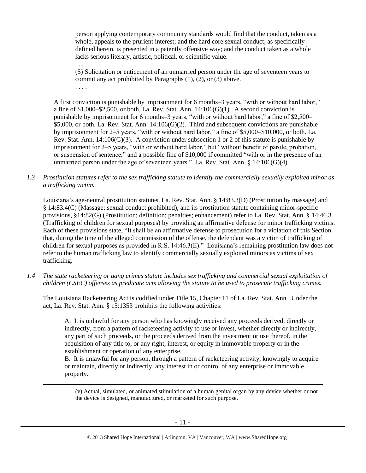person applying contemporary community standards would find that the conduct, taken as a whole, appeals to the prurient interest; and the hard core sexual conduct, as specifically defined herein, is presented in a patently offensive way; and the conduct taken as a whole lacks serious literary, artistic, political, or scientific value.

. . . . (5) Solicitation or enticement of an unmarried person under the age of seventeen years to commit any act prohibited by Paragraphs (1), (2), or (3) above.

. . . .

 $\overline{a}$ 

A first conviction is punishable by imprisonment for 6 months–3 years, "with or without hard labor," a fine of  $$1,000–$2,500$ , or both. La. Rev. Stat. Ann.  $14:106(G)(1)$ . A second conviction is punishable by imprisonment for 6 months–3 years, "with or without hard labor," a fine of \$2,500– \$5,000, or both. La. Rev. Stat. Ann. 14:106(G)(2). Third and subsequent convictions are punishable by imprisonment for 2–5 years, "with or without hard labor," a fine of \$5,000–\$10,000, or both. La. Rev. Stat. Ann.  $14:106(G)(3)$ . A conviction under subsection 1 or 2 of this statute is punishable by imprisonment for 2–5 years, "with or without hard labor," but "without benefit of parole, probation, or suspension of sentence," and a possible fine of \$10,000 if committed "with or in the presence of an unmarried person under the age of seventeen years." La. Rev. Stat. Ann.  $\S$  14:106(G)(4).

*1.3 Prostitution statutes refer to the sex trafficking statute to identify the commercially sexually exploited minor as a trafficking victim.* 

Louisiana's age-neutral prostitution statutes, La. Rev. Stat. Ann. § 14:83.3(D) (Prostitution by massage) and § 14:83.4(C) (Massage; sexual conduct prohibited), and its prostitution statute containing minor-specific provisions, §14:82(G) (Prostitution; definition; penalties; enhancement) refer to La. Rev. Stat. Ann. § 14:46.3 (Trafficking of children for sexual purposes) by providing an affirmative defense for minor trafficking victims. Each of these provisions state, "It shall be an affirmative defense to prosecution for a violation of this Section that, during the time of the alleged commission of the offense, the defendant was a victim of trafficking of children for sexual purposes as provided in R.S. 14:46.3(E)." Louisiana's remaining prostitution law does not refer to the human trafficking law to identify commercially sexually exploited minors as victims of sex trafficking.

*1.4 The state racketeering or gang crimes statute includes sex trafficking and commercial sexual exploitation of children (CSEC) offenses as predicate acts allowing the statute to be used to prosecute trafficking crimes.* 

The Louisiana Racketeering Act is codified under Title 15, Chapter 11 of La. Rev. Stat. Ann. Under the act, La. Rev. Stat. Ann. § 15:1353 prohibits the following activities:

A. It is unlawful for any person who has knowingly received any proceeds derived, directly or indirectly, from a pattern of racketeering activity to use or invest, whether directly or indirectly, any part of such proceeds, or the proceeds derived from the investment or use thereof, in the acquisition of any title to, or any right, interest, or equity in immovable property or in the establishment or operation of any enterprise.

B. It is unlawful for any person, through a pattern of racketeering activity, knowingly to acquire or maintain, directly or indirectly, any interest in or control of any enterprise or immovable property.

(v) Actual, simulated, or animated stimulation of a human genital organ by any device whether or not the device is designed, manufactured, or marketed for such purpose.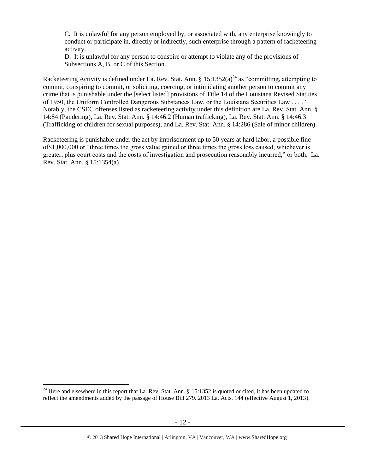C. It is unlawful for any person employed by, or associated with, any enterprise knowingly to conduct or participate in, directly or indirectly, such enterprise through a pattern of racketeering activity.

<span id="page-11-0"></span>D. It is unlawful for any person to conspire or attempt to violate any of the provisions of Subsections A, B, or C of this Section.

Racketeering Activity is defined under La. Rev. Stat. Ann. §  $15:1352(a)^{24}$  as "committing, attempting to commit, conspiring to commit, or soliciting, coercing, or intimidating another person to commit any crime that is punishable under the [select listed] provisions of Title 14 of the Louisiana Revised Statutes of 1950, the Uniform Controlled Dangerous Substances Law, or the Louisiana Securities Law . . . ." Notably, the CSEC offenses listed as racketeering activity under this definition are La. Rev. Stat. Ann. § 14:84 (Pandering), La. Rev. Stat. Ann. § 14:46.2 (Human trafficking), La. Rev. Stat. Ann. § 14:46.3 (Trafficking of children for sexual purposes), and La. Rev. Stat. Ann. § 14:286 (Sale of minor children).

Racketeering is punishable under the act by imprisonment up to 50 years at hard labor, a possible fine of\$1,000,000 or "three times the gross value gained or three times the gross loss caused, whichever is greater, plus court costs and the costs of investigation and prosecution reasonably incurred," or both. La. Rev. Stat. Ann. § 15:1354(a).

<sup>&</sup>lt;sup>24</sup> Here and elsewhere in this report that La. Rev. Stat. Ann. § 15:1352 is quoted or cited, it has been updated to reflect the amendments added by the passage of House Bill 279. 2013 La. Acts. 144 (effective August 1, 2013).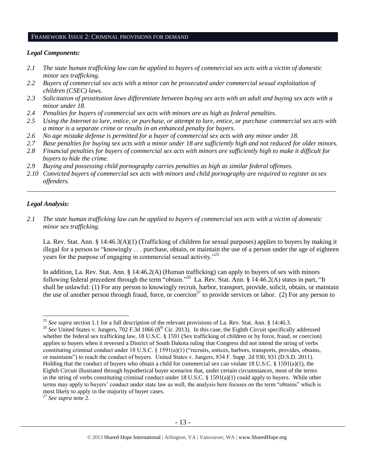#### FRAMEWORK ISSUE 2: CRIMINAL PROVISIONS FOR DEMAND

#### *Legal Components:*

- *2.1 The state human trafficking law can be applied to buyers of commercial sex acts with a victim of domestic minor sex trafficking.*
- *2.2 Buyers of commercial sex acts with a minor can be prosecuted under commercial sexual exploitation of children (CSEC) laws.*
- *2.3 Solicitation of prostitution laws differentiate between buying sex acts with an adult and buying sex acts with a minor under 18.*
- *2.4 Penalties for buyers of commercial sex acts with minors are as high as federal penalties.*
- *2.5 Using the Internet to lure, entice, or purchase, or attempt to lure, entice, or purchase commercial sex acts with a minor is a separate crime or results in an enhanced penalty for buyers.*
- *2.6 No age mistake defense is permitted for a buyer of commercial sex acts with any minor under 18.*
- *2.7 Base penalties for buying sex acts with a minor under 18 are sufficiently high and not reduced for older minors.*
- *2.8 Financial penalties for buyers of commercial sex acts with minors are sufficiently high to make it difficult for buyers to hide the crime.*
- *2.9 Buying and possessing child pornography carries penalties as high as similar federal offenses.*
- *2.10 Convicted buyers of commercial sex acts with minors and child pornography are required to register as sex offenders.*

\_\_\_\_\_\_\_\_\_\_\_\_\_\_\_\_\_\_\_\_\_\_\_\_\_\_\_\_\_\_\_\_\_\_\_\_\_\_\_\_\_\_\_\_\_\_\_\_\_\_\_\_\_\_\_\_\_\_\_\_\_\_\_\_\_\_\_\_\_\_\_\_\_\_\_\_\_\_\_\_\_\_\_\_\_\_\_\_\_\_\_\_\_\_

#### *Legal Analysis:*

 $\overline{a}$ 

*2.1 The state human trafficking law can be applied to buyers of commercial sex acts with a victim of domestic minor sex trafficking.*

La. Rev. Stat. Ann. § 14:46.3(A)(1) (Trafficking of children for sexual purposes) applies to buyers by making it illegal for a person to "knowingly . . . purchase, obtain, or maintain the use of a person under the age of eighteen years for the purpose of engaging in commercial sexual activity."<sup>25</sup>

In addition, La. Rev. Stat. Ann. § 14:46.2(A) (Human trafficking) can apply to buyers of sex with minors following federal precedent through the term "obtain."<sup>26</sup> La. Rev. Stat. Ann. § 14:46.2(A) states in part, "It shall be unlawful: (1) For any person to knowingly recruit, harbor, transport, provide, solicit, obtain, or maintain the use of another person through fraud, force, or coercion<sup>27</sup> to provide services or labor. (2) For any person to

<sup>25</sup> *See supra* section 1.1 for a full description of the relevant provisions of La. Rev. Stat. Ann. § 14:46.3.

<sup>&</sup>lt;sup>26</sup> See United States v. Jungers, 702 F.3d 1066 (8<sup>th</sup> Cir. 2013). In this case, the Eighth Circuit specifically addressed whether the federal sex trafficking law, 18 U.S.C. § 1591 (Sex trafficking of children or by force, fraud, or coercion) applies to buyers when it reversed a District of South Dakota ruling that Congress did not intend the string of verbs constituting criminal conduct under 18 U.S.C. § 1591(a)(1) ("recruits, entices, harbors, transports, provides, obtains, or maintains") to reach the conduct of buyers. United States v. Jungers, 834 F. Supp. 2d 930, 931 (D.S.D. 2011). Holding that the conduct of buyers who obtain a child for commercial sex can violate 18 U.S.C. § 1591(a)(1), the Eighth Circuit illustrated through hypothetical buyer scenarios that, under certain circumstances, most of the terms in the string of verbs constituting criminal conduct under 18 U.S.C. § 1591(a)(1) could apply to buyers. While other terms may apply to buyers' conduct under state law as well, the analysis here focuses on the term "obtains" which is most likely to apply in the majority of buyer cases.

<sup>27</sup> *See supra* note [2.](#page-0-0)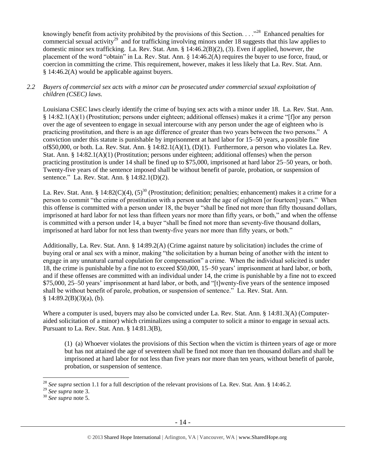knowingly benefit from activity prohibited by the provisions of this Section. . . .<sup>228</sup> Enhanced penalties for commercial sexual activity<sup>29</sup> and for trafficking involving minors under 18 suggests that this law applies to domestic minor sex trafficking. La. Rev. Stat. Ann. § 14:46.2(B)(2), (3). Even if applied, however, the placement of the word "obtain" in La. Rev. Stat. Ann. § 14:46.2(A) requires the buyer to use force, fraud, or coercion in committing the crime. This requirement, however, makes it less likely that La. Rev. Stat. Ann. § 14:46.2(A) would be applicable against buyers.

## *2.2 Buyers of commercial sex acts with a minor can be prosecuted under commercial sexual exploitation of children (CSEC) laws.*

Louisiana CSEC laws clearly identify the crime of buying sex acts with a minor under 18. La. Rev. Stat. Ann. § 14:82.1(A)(1) (Prostitution; persons under eighteen; additional offenses) makes it a crime "[f]or any person over the age of seventeen to engage in sexual intercourse with any person under the age of eighteen who is practicing prostitution, and there is an age difference of greater than two years between the two persons." A conviction under this statute is punishable by imprisonment at hard labor for 15–50 years, a possible fine of\$50,000, or both. La. Rev. Stat. Ann. § 14:82.1(A)(1), (D)(1). Furthermore, a person who violates La. Rev. Stat. Ann. § 14:82.1(A)(1) (Prostitution; persons under eighteen; additional offenses) when the person practicing prostitution is under 14 shall be fined up to \$75,000, imprisoned at hard labor 25–50 years, or both. Twenty-five years of the sentence imposed shall be without benefit of parole, probation, or suspension of sentence." La. Rev. Stat. Ann. § 14:82.1(D)(2).

La. Rev. Stat. Ann. § 14:82(C)(4),  $(5)^{30}$  (Prostitution; definition; penalties; enhancement) makes it a crime for a person to commit "the crime of prostitution with a person under the age of eighteen [or fourteen] years." When this offense is committed with a person under 18, the buyer "shall be fined not more than fifty thousand dollars, imprisoned at hard labor for not less than fifteen years nor more than fifty years, or both," and when the offense is committed with a person under 14, a buyer "shall be fined not more than seventy-five thousand dollars, imprisoned at hard labor for not less than twenty-five years nor more than fifty years, or both."

Additionally, La. Rev. Stat. Ann. § 14:89.2(A) (Crime against nature by solicitation) includes the crime of buying oral or anal sex with a minor, making "the solicitation by a human being of another with the intent to engage in any unnatural carnal copulation for compensation" a crime. When the individual solicited is under 18, the crime is punishable by a fine not to exceed \$50,000, 15–50 years' imprisonment at hard labor, or both, and if these offenses are committed with an individual under 14, the crime is punishable by a fine not to exceed \$75,000, 25–50 years' imprisonment at hard labor, or both, and "[t]wenty-five years of the sentence imposed shall be without benefit of parole, probation, or suspension of sentence." La. Rev. Stat. Ann.  $§ 14:89.2(B)(3)(a)$ , (b).

Where a computer is used, buyers may also be convicted under La. Rev. Stat. Ann. § 14:81.3(A) (Computeraided solicitation of a minor) which criminalizes using a computer to solicit a minor to engage in sexual acts. Pursuant to La. Rev. Stat. Ann. § 14:81.3(B),

(1) (a) Whoever violates the provisions of this Section when the victim is thirteen years of age or more but has not attained the age of seventeen shall be fined not more than ten thousand dollars and shall be imprisoned at hard labor for not less than five years nor more than ten years, without benefit of parole, probation, or suspension of sentence.

<sup>&</sup>lt;sup>28</sup> See supra section 1.1 for a full description of the relevant provisions of La. Rev. Stat. Ann. § 14:46.2.

<sup>&</sup>lt;sup>29</sup> *See supra* note [3.](#page-1-0)

<sup>30</sup> *See supra* note [5.](#page-2-0)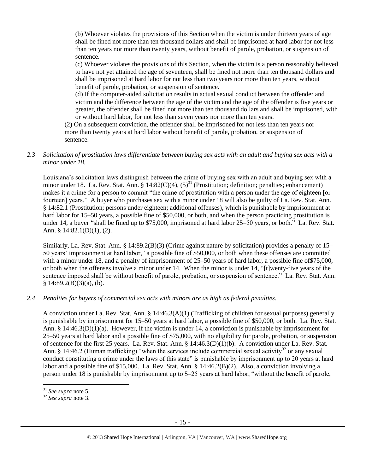(b) Whoever violates the provisions of this Section when the victim is under thirteen years of age shall be fined not more than ten thousand dollars and shall be imprisoned at hard labor for not less than ten years nor more than twenty years, without benefit of parole, probation, or suspension of sentence.

(c) Whoever violates the provisions of this Section, when the victim is a person reasonably believed to have not yet attained the age of seventeen, shall be fined not more than ten thousand dollars and shall be imprisoned at hard labor for not less than two years nor more than ten years, without benefit of parole, probation, or suspension of sentence.

(d) If the computer-aided solicitation results in actual sexual conduct between the offender and victim and the difference between the age of the victim and the age of the offender is five years or greater, the offender shall be fined not more than ten thousand dollars and shall be imprisoned, with or without hard labor, for not less than seven years nor more than ten years.

(2) On a subsequent conviction, the offender shall be imprisoned for not less than ten years nor more than twenty years at hard labor without benefit of parole, probation, or suspension of sentence.

*2.3 Solicitation of prostitution laws differentiate between buying sex acts with an adult and buying sex acts with a minor under 18.*

Louisiana's solicitation laws distinguish between the crime of buying sex with an adult and buying sex with a minor under 18. La. Rev. Stat. Ann. § 14:82(C)(4),  $(5)^{31}$  (Prostitution; definition; penalties; enhancement) makes it a crime for a person to commit "the crime of prostitution with a person under the age of eighteen [or fourteen] years." A buyer who purchases sex with a minor under 18 will also be guilty of La. Rev. Stat. Ann. § 14:82.1 (Prostitution; persons under eighteen; additional offenses), which is punishable by imprisonment at hard labor for 15–50 years, a possible fine of \$50,000, or both, and when the person practicing prostitution is under 14, a buyer "shall be fined up to \$75,000, imprisoned at hard labor 25–50 years, or both." La. Rev. Stat. Ann. § 14:82.1(D)(1), (2).

Similarly, La. Rev. Stat. Ann. § 14:89.2(B)(3) (Crime against nature by solicitation) provides a penalty of 15– 50 years' imprisonment at hard labor," a possible fine of \$50,000, or both when these offenses are committed with a minor under 18, and a penalty of imprisonment of 25–50 years of hard labor, a possible fine of \$75,000, or both when the offenses involve a minor under 14. When the minor is under 14, "[t]wenty-five years of the sentence imposed shall be without benefit of parole, probation, or suspension of sentence." La. Rev. Stat. Ann.  $§ 14:89.2(B)(3)(a)$ , (b).

## *2.4 Penalties for buyers of commercial sex acts with minors are as high as federal penalties.*

A conviction under La. Rev. Stat. Ann. § 14:46.3(A)(1) (Trafficking of children for sexual purposes) generally is punishable by imprisonment for 15–50 years at hard labor, a possible fine of \$50,000, or both. La. Rev. Stat. Ann. § 14:46.3(D)(1)(a). However, if the victim is under 14, a conviction is punishable by imprisonment for 25–50 years at hard labor and a possible fine of \$75,000, with no eligibility for parole, probation, or suspension of sentence for the first 25 years. La. Rev. Stat. Ann. § 14:46.3(D)(1)(b). A conviction under La. Rev. Stat. Ann. § 14:46.2 (Human trafficking) "when the services include commercial sexual activity<sup>32</sup> or any sexual conduct constituting a crime under the laws of this state" is punishable by imprisonment up to 20 years at hard labor and a possible fine of \$15,000. La. Rev. Stat. Ann. § 14:46.2(B)(2). Also, a conviction involving a person under 18 is punishable by imprisonment up to 5–25 years at hard labor, "without the benefit of parole,

<sup>31</sup> *See supra* note [5.](#page-2-0)

<sup>32</sup> *See supra* note [3.](#page-1-0)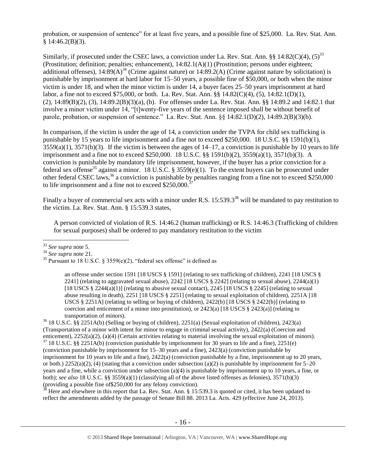probation, or suspension of sentence" for at least five years, and a possible fine of \$25,000. La. Rev. Stat. Ann.  $§$  14:46.2(B)(3).

Similarly, if prosecuted under the CSEC laws, a conviction under La. Rev. Stat. Ann. §§ 14:82(C)(4),  $(5)^{33}$ (Prostitution; definition; penalties; enhancement), 14:82.1(A)(1) (Prostitution; persons under eighteen; additional offenses),  $14:89(A)^{34}$  (Crime against nature) or  $14:89.2(A)$  (Crime against nature by solicitation) is punishable by imprisonment at hard labor for 15–50 years, a possible fine of \$50,000, or both when the minor victim is under 18, and when the minor victim is under 14, a buyer faces 25–50 years imprisonment at hard labor, a fine not to exceed \$75,000, or both. La. Rev. Stat. Ann. §§ 14.82(C)(4), (5), 14:82.1(D)(1), (2), 14:89(B)(2), (3), 14:89.2(B)(3)(a), (b). For offenses under La. Rev. Stat. Ann. §§ 14:89.2 and 14:82.1 that involve a minor victim under 14, "[t]wenty-five years of the sentence imposed shall be without benefit of parole, probation, or suspension of sentence." La. Rev. Stat. Ann. §§ 14:82.1(D)(2), 14:89.2(B)(3)(b).

In comparison, if the victim is under the age of 14, a conviction under the TVPA for child sex trafficking is punishable by 15 years to life imprisonment and a fine not to exceed \$250,000. 18 U.S.C. §§ 1591(b)(1),  $3559(a)(1)$ ,  $3571(b)(3)$ . If the victim is between the ages of  $14-17$ , a conviction is punishable by 10 years to life imprisonment and a fine not to exceed \$250,000. 18 U.S.C. §§ 1591(b)(2), 3559(a)(1), 3571(b)(3). A conviction is punishable by mandatory life imprisonment, however, if the buyer has a prior conviction for a federal sex offense<sup>35</sup> against a minor. 18 U.S.C. § 3559(e)(1). To the extent buyers can be prosecuted under other federal CSEC laws,<sup>36</sup> a conviction is punishable by penalties ranging from a fine not to exceed \$250,000 to life imprisonment and a fine not to exceed  $$250,000$ .<sup>3</sup>

<span id="page-15-1"></span>Finally a buyer of commercial sex acts with a minor under R.S. 15:539.3<sup>38</sup> will be mandated to pay restitution to the victim. La. Rev. Stat. Ann. § 15:539.3 states,

<span id="page-15-0"></span>A person convicted of violation of R.S. 14:46.2 (human trafficking) or R.S. 14:46.3 (Trafficking of children for sexual purposes) shall be ordered to pay mandatory restitution to the victim

an offense under section 1591 [18 USCS § 1591] (relating to sex trafficking of children), 2241 [18 USCS § 2241] (relating to aggravated sexual abuse),  $2242$  [18 USCS § 2242] (relating to sexual abuse),  $2244(a)(1)$ [18 USCS  $\S 2244(a)(1)$ ] (relating to abusive sexual contact), 2245 [18 USCS  $\S 2245$ ] (relating to sexual abuse resulting in death), 2251 [18 USCS § 2251] (relating to sexual exploitation of children), 2251A [18 USCS § 2251A] (relating to selling or buying of children),  $2422(b)$  [18 USCS § 2422(b)] (relating to coercion and enticement of a minor into prostitution), or  $2423(a)$  [18 USCS §  $2423(a)$ ] (relating to transportation of minors).

<sup>36</sup> 18 U.S.C. §§ 2251A(b) (Selling or buying of children), 2251(a) (Sexual exploitation of children), 2423(a) (Transportation of a minor with intent for minor to engage in criminal sexual activity), 2422(a) (Coercion and enticement), 2252(a)(2), (a)(4) (Certain activities relating to material involving the sexual exploitation of minors).  $37\,18$  U.S.C. §§ 2251A(b) (conviction punishable by imprisonment for 30 years to life and a fine), 2251(e) (conviction punishable by imprisonment for 15–30 years and a fine), 2423(a) (conviction punishable by imprisonment for 10 years to life and a fine), 2422(a) (conviction punishable by a fine, imprisonment up to 20 years, or both.)  $2252(a)(2)$ , (4) (stating that a conviction under subsection (a)(2) is punishable by imprisonment for 5–20 years and a fine, while a conviction under subsection (a)(4) is punishable by imprisonment up to 10 years, a fine, or both); *see also* 18 U.S.C. §§ 3559(a)(1) (classifying all of the above listed offenses as felonies), 3571(b)(3) (providing a possible fine of\$250,000 for any felony conviction).

<sup>38</sup> Here and elsewhere in this report that La. Rev. Stat. Ann. § 15:539.3 is quoted or cited, it has been updated to reflect the amendments added by the passage of Senate Bill 88. 2013 La. Acts. 429 (effective June 24, 2013).

 $\overline{a}$ <sup>33</sup> *See supra* note [5.](#page-2-0)

<sup>34</sup> *See supra* note [21.](#page-8-0) 

<sup>&</sup>lt;sup>35</sup> Pursuant to 18 U.S.C. § 3559(e)(2), "federal sex offense" is defined as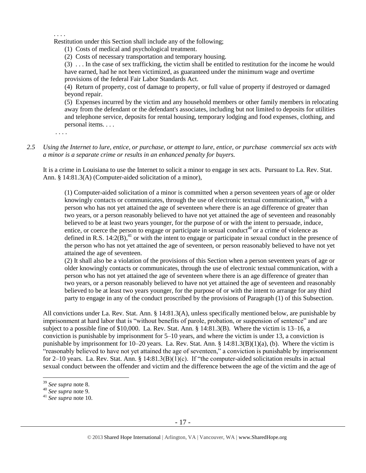. . . .

Restitution under this Section shall include any of the following;

(1) Costs of medical and psychological treatment.

(2) Costs of necessary transportation and temporary housing.

(3) . . . In the case of sex trafficking, the victim shall be entitled to restitution for the income he would have earned, had he not been victimized, as guaranteed under the minimum wage and overtime provisions of the federal Fair Labor Standards Act.

(4) Return of property, cost of damage to property, or full value of property if destroyed or damaged beyond repair.

(5) Expenses incurred by the victim and any household members or other family members in relocating away from the defendant or the defendant's associates, including but not limited to deposits for utilities and telephone service, deposits for rental housing, temporary lodging and food expenses, clothing, and personal items. . . .

. . . .

*2.5 Using the Internet to lure, entice, or purchase, or attempt to lure, entice, or purchase commercial sex acts with a minor is a separate crime or results in an enhanced penalty for buyers.*

It is a crime in Louisiana to use the Internet to solicit a minor to engage in sex acts. Pursuant to La. Rev. Stat. Ann. § 14:81.3(A) (Computer-aided solicitation of a minor),

(1) Computer-aided solicitation of a minor is committed when a person seventeen years of age or older knowingly contacts or communicates, through the use of electronic textual communication,  $39$  with a person who has not yet attained the age of seventeen where there is an age difference of greater than two years, or a person reasonably believed to have not yet attained the age of seventeen and reasonably believed to be at least two years younger, for the purpose of or with the intent to persuade, induce, entice, or coerce the person to engage or participate in sexual conduct<sup>40</sup> or a crime of violence as defined in R.S.  $14:2(B)$ ,<sup>41</sup> or with the intent to engage or participate in sexual conduct in the presence of the person who has not yet attained the age of seventeen, or person reasonably believed to have not yet attained the age of seventeen.

(2) It shall also be a violation of the provisions of this Section when a person seventeen years of age or older knowingly contacts or communicates, through the use of electronic textual communication, with a person who has not yet attained the age of seventeen where there is an age difference of greater than two years, or a person reasonably believed to have not yet attained the age of seventeen and reasonably believed to be at least two years younger, for the purpose of or with the intent to arrange for any third party to engage in any of the conduct proscribed by the provisions of Paragraph (1) of this Subsection.

All convictions under La. Rev. Stat. Ann. § 14:81.3(A), unless specifically mentioned below, are punishable by imprisonment at hard labor that is "without benefits of parole, probation, or suspension of sentence" and are subject to a possible fine of \$10,000. La. Rev. Stat. Ann. § 14:81.3(B). Where the victim is 13–16, a conviction is punishable by imprisonment for 5–10 years, and where the victim is under 13, a conviction is punishable by imprisonment for 10–20 years. La. Rev. Stat. Ann. § 14:81.3(B)(1)(a), (b). Where the victim is "reasonably believed to have not yet attained the age of seventeen," a conviction is punishable by imprisonment for 2–10 years. La. Rev. Stat. Ann. § 14:81.3(B)(1)(c). If "the computer-aided solicitation results in actual sexual conduct between the offender and victim and the difference between the age of the victim and the age of

<sup>39</sup> *See supra* note [8.](#page-3-0)

<sup>40</sup> *See supra* note [9.](#page-3-1)

<sup>41</sup> *See supra* note [10.](#page-3-2)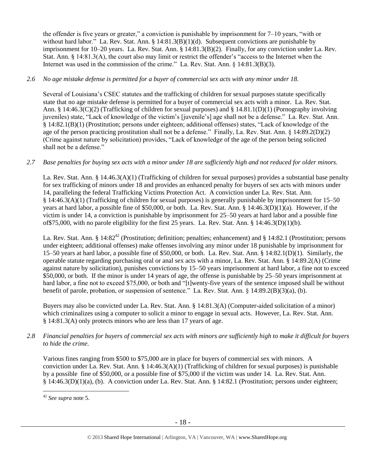the offender is five years or greater," a conviction is punishable by imprisonment for 7–10 years, "with or without hard labor." La. Rev. Stat. Ann. § 14:81.3(B)(1)(d). Subsequent convictions are punishable by imprisonment for 10–20 years. La. Rev. Stat. Ann. § 14:81.3(B)(2). Finally, for any conviction under La. Rev. Stat. Ann. § 14:81.3(A), the court also may limit or restrict the offender's "access to the Internet when the Internet was used in the commission of the crime." La. Rev. Stat. Ann. § 14:81.3(B)(3).

## *2.6 No age mistake defense is permitted for a buyer of commercial sex acts with any minor under 18.*

Several of Louisiana's CSEC statutes and the trafficking of children for sexual purposes statute specifically state that no age mistake defense is permitted for a buyer of commercial sex acts with a minor. La. Rev. Stat. Ann. § 14:46.3(C)(2) (Trafficking of children for sexual purposes) and § 14.81.1(D)(1) (Pornography involving juveniles) state, "Lack of knowledge of the victim's [juvenile's] age shall not be a defense." La. Rev. Stat. Ann. § 14:82.1(B)(1) (Prostitution; persons under eighteen; additional offenses) states, "Lack of knowledge of the age of the person practicing prostitution shall not be a defense." Finally, La. Rev. Stat. Ann. § 14:89.2(D)(2) (Crime against nature by solicitation) provides, "Lack of knowledge of the age of the person being solicited shall not be a defense."

# *2.7 Base penalties for buying sex acts with a minor under 18 are sufficiently high and not reduced for older minors.*

La. Rev. Stat. Ann. § 14.46.3(A)(1) (Trafficking of children for sexual purposes) provides a substantial base penalty for sex trafficking of minors under 18 and provides an enhanced penalty for buyers of sex acts with minors under 14, paralleling the federal Trafficking Victims Protection Act. A conviction under La. Rev. Stat. Ann. § 14:46.3(A)(1) (Trafficking of children for sexual purposes) is generally punishable by imprisonment for 15–50 years at hard labor, a possible fine of \$50,000, or both. La. Rev. Stat. Ann. § 14:46.3(D)(1)(a). However, if the victim is under 14, a conviction is punishable by imprisonment for 25–50 years at hard labor and a possible fine of \$75,000, with no parole eligibility for the first 25 years. La. Rev. Stat. Ann. §  $14:46.3(D)(1)(b)$ .

La. Rev. Stat. Ann. § 14:82<sup>42</sup> (Prostitution; definition; penalties; enhancement) and § 14:82.1 (Prostitution; persons under eighteen; additional offenses) make offenses involving any minor under 18 punishable by imprisonment for 15–50 years at hard labor, a possible fine of \$50,000, or both. La. Rev. Stat. Ann. § 14:82.1(D)(1). Similarly, the operable statute regarding purchasing oral or anal sex acts with a minor, La. Rev. Stat. Ann. § 14:89.2(A) (Crime against nature by solicitation), punishes convictions by 15–50 years imprisonment at hard labor, a fine not to exceed \$50,000, or both. If the minor is under 14 years of age, the offense is punishable by 25–50 years imprisonment at hard labor, a fine not to exceed \$75,000, or both and "[t]wenty-five years of the sentence imposed shall be without benefit of parole, probation, or suspension of sentence." La. Rev. Stat. Ann. § 14:89.2(B)(3)(a), (b).

Buyers may also be convicted under La. Rev. Stat. Ann. § 14:81.3(A) (Computer-aided solicitation of a minor) which criminalizes using a computer to solicit a minor to engage in sexual acts. However, La. Rev. Stat. Ann. § 14:81.3(A) only protects minors who are less than 17 years of age.

*2.8 Financial penalties for buyers of commercial sex acts with minors are sufficiently high to make it difficult for buyers to hide the crime.*

Various fines ranging from \$500 to \$75,000 are in place for buyers of commercial sex with minors. A conviction under La. Rev. Stat. Ann. § 14:46.3(A)(1) (Trafficking of children for sexual purposes) is punishable by a possible fine of \$50,000, or a possible fine of \$75,000 if the victim was under 14. La. Rev. Stat. Ann. § 14:46.3(D)(1)(a), (b). A conviction under La. Rev. Stat. Ann. § 14:82.1 (Prostitution; persons under eighteen;

 $\overline{a}$ <sup>42</sup> *See supra* note [5.](#page-2-0)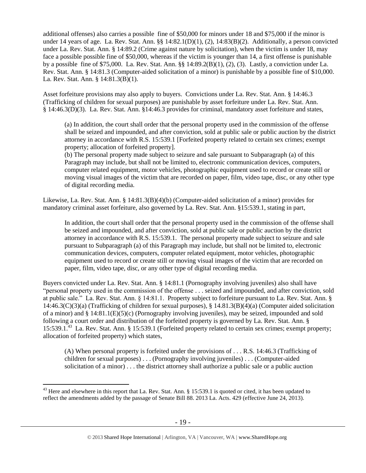additional offenses) also carries a possible fine of \$50,000 for minors under 18 and \$75,000 if the minor is under 14 years of age. La. Rev. Stat. Ann. §§ 14:82.1(D)(1), (2), 14:83(B)(2). Additionally, a person convicted under La. Rev. Stat. Ann. § 14:89.2 (Crime against nature by solicitation), when the victim is under 18, may face a possible possible fine of \$50,000, whereas if the victim is younger than 14, a first offense is punishable by a possible fine of \$75,000. La. Rev. Stat. Ann. §§ 14:89.2(B)(1), (2), (3). Lastly, a conviction under La. Rev. Stat. Ann. § 14:81.3 (Computer-aided solicitation of a minor) is punishable by a possible fine of \$10,000. La. Rev. Stat. Ann. § 14:81.3(B)(1).

Asset forfeiture provisions may also apply to buyers. Convictions under La. Rev. Stat. Ann. § 14:46.3 (Trafficking of children for sexual purposes) are punishable by asset forfeiture under La. Rev. Stat. Ann. § 14:46.3(D)(3). La. Rev. Stat. Ann. §14:46.3 provides for criminal, mandatory asset forfeiture and states,

(a) In addition, the court shall order that the personal property used in the commission of the offense shall be seized and impounded, and after conviction, sold at public sale or public auction by the district attorney in accordance with R.S. 15:539.1 [Forfeited property related to certain sex crimes; exempt property; allocation of forfeited property].

(b) The personal property made subject to seizure and sale pursuant to Subparagraph (a) of this Paragraph may include, but shall not be limited to, electronic communication devices, computers, computer related equipment, motor vehicles, photographic equipment used to record or create still or moving visual images of the victim that are recorded on paper, film, video tape, disc, or any other type of digital recording media.

Likewise, La. Rev. Stat. Ann. § 14:81.3(B)(4)(b) (Computer-aided solicitation of a minor) provides for mandatory criminal asset forfeiture, also governed by La. Rev. Stat. Ann. §15:539.1, stating in part,

In addition, the court shall order that the personal property used in the commission of the offense shall be seized and impounded, and after conviction, sold at public sale or public auction by the district attorney in accordance with R.S. 15:539.1. The personal property made subject to seizure and sale pursuant to Subparagraph (a) of this Paragraph may include, but shall not be limited to, electronic communication devices, computers, computer related equipment, motor vehicles, photographic equipment used to record or create still or moving visual images of the victim that are recorded on paper, film, video tape, disc, or any other type of digital recording media.

Buyers convicted under La. Rev. Stat. Ann. § 14:81.1 (Pornography involving juveniles) also shall have "personal property used in the commission of the offense . . . seized and impounded, and after conviction, sold at public sale." La. Rev. Stat. Ann. § 14:81.1. Property subject to forfeiture pursuant to La. Rev. Stat. Ann. § 14:46.3(C)(3)(a) (Trafficking of children for sexual purposes), § 14.81.3(B)(4)(a) (Computer aided solicitation of a minor) and  $\S$  14:81.1(E)(5)(c) (Pornography involving juveniles), may be seized, impounded and sold following a court order and distribution of the forfeited property is governed by La. Rev. Stat. Ann. § 15:539.1.<sup>43</sup> La. Rev. Stat. Ann. § 15:539.1 (Forfeited property related to certain sex crimes; exempt property; allocation of forfeited property) which states,

(A) When personal property is forfeited under the provisions of . . . R.S. 14:46.3 (Trafficking of children for sexual purposes) . . . (Pornography involving juveniles) . . . (Computer-aided solicitation of a minor) . . . the district attorney shall authorize a public sale or a public auction

 $^{43}$  Here and elsewhere in this report that La. Rev. Stat. Ann. § 15:539.1 is quoted or cited, it has been updated to reflect the amendments added by the passage of Senate Bill 88. 2013 La. Acts. 429 (effective June 24, 2013).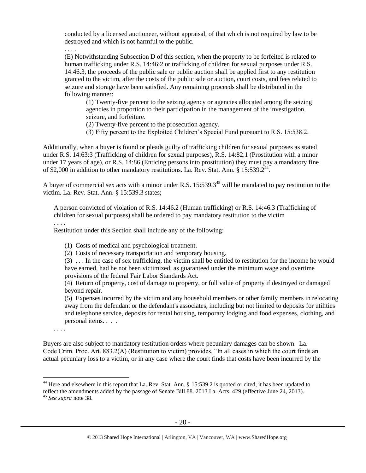conducted by a licensed auctioneer, without appraisal, of that which is not required by law to be destroyed and which is not harmful to the public.

. . . .

(E) Notwithstanding Subsection D of this section, when the property to be forfeited is related to human trafficking under R.S. 14:46:2 or trafficking of children for sexual purposes under R.S. 14:46.3, the proceeds of the public sale or public auction shall be applied first to any restitution granted to the victim, after the costs of the public sale or auction, court costs, and fees related to seizure and storage have been satisfied. Any remaining proceeds shall be distributed in the following manner:

(1) Twenty-five percent to the seizing agency or agencies allocated among the seizing agencies in proportion to their participation in the management of the investigation, seizure, and forfeiture.

(2) Twenty-five percent to the prosecution agency.

<span id="page-19-0"></span>(3) Fifty percent to the Exploited Children's Special Fund pursuant to R.S. 15:538.2.

Additionally, when a buyer is found or pleads guilty of trafficking children for sexual purposes as stated under R.S. 14:63:3 (Trafficking of children for sexual purposes), R.S. 14:82.1 (Prostitution with a minor under 17 years of age), or R.S. 14:86 (Enticing persons into prostitution) they must pay a mandatory fine of \$2,000 in addition to other mandatory restitutions. La. Rev. Stat. Ann. § 15:539.2<sup>44</sup>.

A buyer of commercial sex acts with a minor under R.S.  $15:539.3^{45}$  will be mandated to pay restitution to the victim. La. Rev. Stat. Ann. § 15:539.3 states;

A person convicted of violation of R.S. 14:46.2 (Human trafficking) or R.S. 14:46.3 (Trafficking of children for sexual purposes) shall be ordered to pay mandatory restitution to the victim

. . . .

Restitution under this Section shall include any of the following:

(1) Costs of medical and psychological treatment.

(2) Costs of necessary transportation and temporary housing.

(3) . . . In the case of sex trafficking, the victim shall be entitled to restitution for the income he would have earned, had he not been victimized, as guaranteed under the minimum wage and overtime provisions of the federal Fair Labor Standards Act.

(4) Return of property, cost of damage to property, or full value of property if destroyed or damaged beyond repair.

(5) Expenses incurred by the victim and any household members or other family members in relocating away from the defendant or the defendant's associates, including but not limited to deposits for utilities and telephone service, deposits for rental housing, temporary lodging and food expenses, clothing, and personal items. . . .

. . . .

 $\overline{a}$ 

Buyers are also subject to mandatory restitution orders where pecuniary damages can be shown. La. Code Crim. Proc. Art. 883.2(A) (Restitution to victim) provides, "In all cases in which the court finds an actual pecuniary loss to a victim, or in any case where the court finds that costs have been incurred by the

<sup>&</sup>lt;sup>44</sup> Here and elsewhere in this report that La. Rev. Stat. Ann. § 15:539.2 is quoted or cited, it has been updated to reflect the amendments added by the passage of Senate Bill 88. 2013 La. Acts. 429 (effective June 24, 2013).

<sup>45</sup> *See supra* note [38.](#page-15-0)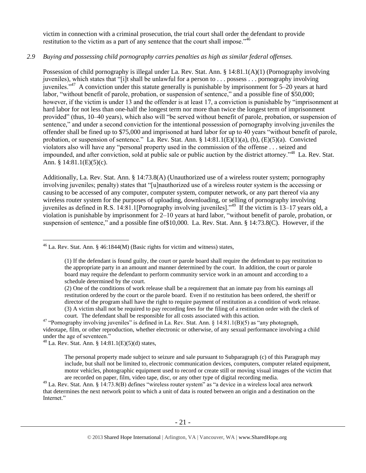victim in connection with a criminal prosecution, the trial court shall order the defendant to provide restitution to the victim as a part of any sentence that the court shall impose."<sup>46</sup>

## *2.9 Buying and possessing child pornography carries penalties as high as similar federal offenses.*

<span id="page-20-0"></span>Possession of child pornography is illegal under La. Rev. Stat. Ann. § 14:81.1(A)(1) (Pornography involving juveniles), which states that "[i]t shall be unlawful for a person to . . . possess . . . pornography involving juveniles."<sup>47</sup> A conviction under this statute generally is punishable by imprisonment for 5–20 years at hard labor, "without benefit of parole, probation, or suspension of sentence," and a possible fine of \$50,000; however, if the victim is under 13 and the offender is at least 17, a conviction is punishable by "imprisonment at hard labor for not less than one-half the longest term nor more than twice the longest term of imprisonment provided" (thus, 10–40 years), which also will "be served without benefit of parole, probation, or suspension of sentence," and under a second conviction for the intentional possession of pornography involving juveniles the offender shall be fined up to \$75,000 and imprisoned at hard labor for up to 40 years "without benefit of parole, probation, or suspension of sentence." La. Rev. Stat. Ann. § 14:81.1(E)(1)(a), (b), (E)(5)(a). Convicted violators also will have any "personal property used in the commission of the offense . . . seized and impounded, and after conviction, sold at public sale or public auction by the district attorney."<sup>48</sup> La. Rev. Stat. Ann. § 14:81.1(E)(5)(c).

Additionally, La. Rev. Stat. Ann. § 14:73.8(A) (Unauthorized use of a wireless router system; pornography involving juveniles; penalty) states that "[u]nauthorized use of a wireless router system is the accessing or causing to be accessed of any computer, computer system, computer network, or any part thereof via any wireless router system for the purposes of uploading, downloading, or selling of pornography involving juveniles as defined in R.S. 14:81.1[Pornography involving juveniles]."<sup>49</sup> If the victim is 13–17 years old, a violation is punishable by imprisonment for 2–10 years at hard labor, "without benefit of parole, probation, or suspension of sentence," and a possible fine of\$10,000. La. Rev. Stat. Ann. § 14:73.8(C). However, if the

 $48$  La. Rev. Stat. Ann. § 14:81.1(E)(5)(d) states,

The personal property made subject to seizure and sale pursuant to Subparagraph (c) of this Paragraph may include, but shall not be limited to, electronic communication devices, computers, computer related equipment, motor vehicles, photographic equipment used to record or create still or moving visual images of the victim that are recorded on paper, film, video tape, disc, or any other type of digital recording media.

 $\overline{a}$  $46$  La. Rev. Stat. Ann. § 46:1844(M) (Basic rights for victim and witness) states,

<sup>(1)</sup> If the defendant is found guilty, the court or parole board shall require the defendant to pay restitution to the appropriate party in an amount and manner determined by the court. In addition, the court or parole board may require the defendant to perform community service work in an amount and according to a schedule determined by the court.

<sup>(2)</sup> One of the conditions of work release shall be a requirement that an inmate pay from his earnings all restitution ordered by the court or the parole board. Even if no restitution has been ordered, the sheriff or director of the program shall have the right to require payment of restitution as a condition of work release. (3) A victim shall not be required to pay recording fees for the filing of a restitution order with the clerk of court. The defendant shall be responsible for all costs associated with this action.

<sup>&</sup>lt;sup>47</sup> "Pornography involving juveniles" is defined in La. Rev. Stat. Ann. § 14:81.1(B)(5) as "any photograph, videotape, film, or other reproduction, whether electronic or otherwise, of any sexual performance involving a child under the age of seventeen."

 $49$  La. Rev. Stat. Ann. § 14:73.8(B) defines "wireless router system" as "a device in a wireless local area network that determines the next network point to which a unit of data is routed between an origin and a destination on the Internet."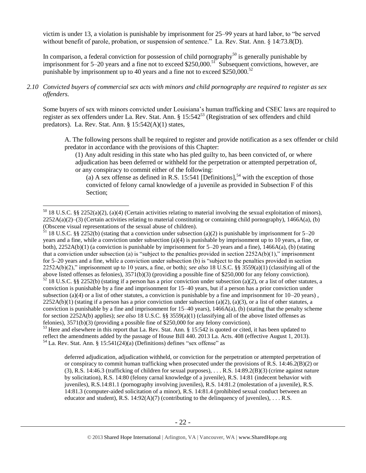victim is under 13, a violation is punishable by imprisonment for 25–99 years at hard labor, to "be served without benefit of parole, probation, or suspension of sentence." La. Rev. Stat. Ann. § 14:73.8(D).

In comparison, a federal conviction for possession of child pornography<sup>50</sup> is generally punishable by imprisonment for 5–20 years and a fine not to exceed \$250,000.<sup>51</sup> Subsequent convictions, however, are punishable by imprisonment up to 40 years and a fine not to exceed \$250,000.<sup>52</sup>

#### *2.10 Convicted buyers of commercial sex acts with minors and child pornography are required to register as sex offenders.*

Some buyers of sex with minors convicted under Louisiana's human trafficking and CSEC laws are required to register as sex offenders under La. Rev. Stat. Ann. § 15:542<sup>53</sup> (Registration of sex offenders and child predators). La. Rev. Stat. Ann. § 15:542(A)(1) states,

A. The following persons shall be required to register and provide notification as a sex offender or child predator in accordance with the provisions of this Chapter:

(1) Any adult residing in this state who has pled guilty to, has been convicted of, or where adjudication has been deferred or withheld for the perpetration or attempted perpetration of, or any conspiracy to commit either of the following:

<span id="page-21-1"></span><span id="page-21-0"></span>(a) A sex offense as defined in R.S. 15:541 [Definitions],<sup>54</sup> with the exception of those convicted of felony carnal knowledge of a juvenile as provided in Subsection F of this Section;

 $\overline{a}$ 

 $51$  18 U.S.C. §§ 2252(b) (stating that a conviction under subsection (a)(2) is punishable by imprisonment for 5–20 years and a fine, while a conviction under subsection (a)(4) is punishable by imprisonment up to 10 years, a fine, or both),  $2252A(b)(1)$  (a conviction is punishable by imprisonment for  $5-20$  years and a fine),  $1466A(a)$ , (b) (stating that a conviction under subsection (a) is "subject to the penalties provided in section  $2252A(b)(1)$ ," imprisonment for 5–20 years and a fine, while a conviction under subsection (b) is "subject to the penalties provided in section 2252A(b)(2)," imprisonment up to 10 years, a fine, or both); *see also* 18 U.S.C. §§ 3559(a)(1) (classifying all of the above listed offenses as felonies), 3571(b)(3) (providing a possible fine of \$250,000 for any felony conviction).

 $52$  18 U.S.C. §§ 2252(b) (stating if a person has a prior conviction under subsection (a)(2), or a list of other statutes, a conviction is punishable by a fine and imprisonment for 15–40 years, but if a person has a prior conviction under subsection (a)(4) or a list of other statutes, a conviction is punishable by a fine and imprisonment for  $10-20$  years),  $2252A(b)(1)$  (stating if a person has a prior conviction under subsection (a)(2), (a)(3), or a list of other statutes, a conviction is punishable by a fine and imprisonment for  $15-40$  years),  $1466A(a)$ , (b) (stating that the penalty scheme for section 2252A(b) applies); *see also* 18 U.S.C. §§ 3559(a)(1) (classifying all of the above listed offenses as felonies), 3571(b)(3) (providing a possible fine of \$250,000 for any felony conviction).

<sup>53</sup> Here and elsewhere in this report that La. Rev. Stat. Ann. § 15:542 is quoted or cited, it has been updated to reflect the amendments added by the passage of House Bill 440. 2013 La. Acts. 408 (effective August 1, 2013).  $54$  La. Rev. Stat. Ann. § 15:541(24)(a) (Definitions) defines "sex offense" as

deferred adjudication, adjudication withheld, or conviction for the perpetration or attempted perpetration of or conspiracy to commit human trafficking when prosecuted under the provisions of R.S. 14:46.2(B)(2) or (3), R.S. 14:46.3 (trafficking of children for sexual purposes), . . . R.S. 14:89.2(B)(3) (crime against nature by solicitation), R.S. 14:80 (felony carnal knowledge of a juvenile), R.S. 14:81 (indecent behavior with juveniles), R.S.14:81.1 (pornography involving juveniles), R.S. 14:81.2 (molestation of a juvenile), R.S. 14:81.3 (computer-aided solicitation of a minor), R.S. 14:81.4 (prohibited sexual conduct between an educator and student), R.S.  $14:92(A)(7)$  (contributing to the delinquency of juveniles), ... R.S.

 $50$  18 U.S.C. §§ 2252(a)(2), (a)(4) (Certain activities relating to material involving the sexual exploitation of minors),  $2252A(a)(2)$ –(3) (Certain activities relating to material constituting or containing child pornography), 1466A(a), (b) (Obscene visual representations of the sexual abuse of children).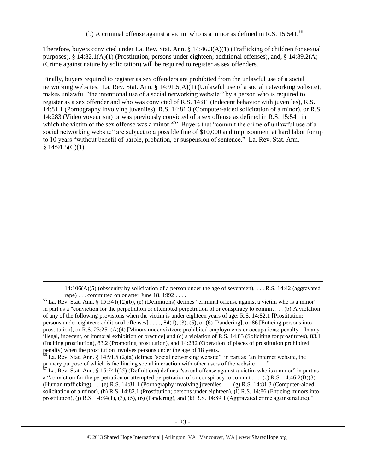<span id="page-22-2"></span><span id="page-22-1"></span><span id="page-22-0"></span>(b) A criminal offense against a victim who is a minor as defined in R.S.  $15:541^{55}$ 

Therefore, buyers convicted under La. Rev. Stat. Ann. § 14:46.3(A)(1) (Trafficking of children for sexual purposes), § 14:82.1(A)(1) (Prostitution; persons under eighteen; additional offenses), and, § 14:89.2(A) (Crime against nature by solicitation) will be required to register as sex offenders.

Finally, buyers required to register as sex offenders are prohibited from the unlawful use of a social networking websites. La. Rev. Stat. Ann. § 14:91.5(A)(1) (Unlawful use of a social networking website), makes unlawful "the intentional use of a social networking website<sup>56</sup> by a person who is required to register as a sex offender and who was convicted of R.S. 14:81 (Indecent behavior with juveniles), R.S. 14:81.1 (Pornography involving juveniles), R.S. 14:81.3 (Computer-aided solicitation of a minor), or R.S. 14:283 (Video voyeurism) or was previously convicted of a sex offense as defined in R.S. 15:541 in which the victim of the sex offense was a minor.<sup>57</sup> $\cdot$  Buyers that "commit the crime of unlawful use of a social networking website" are subject to a possible fine of \$10,000 and imprisonment at hard labor for up to 10 years "without benefit of parole, probation, or suspension of sentence." La. Rev. Stat. Ann.  $$14:91.5(C)(1).$ 

 $14:106(A)(5)$  (obscenity by solicitation of a person under the age of seventeen), ... R.S. 14:42 (aggravated rape) . . . committed on or after June 18, 1992 . . . .

 $<sup>55</sup>$  La. Rev. Stat. Ann. § 15:541(12)(b), (c) (Definitions) defines "criminal offense against a victim who is a minor"</sup> in part as a "conviction for the perpetration or attempted perpetration of or conspiracy to commit . . . (b) A violation of any of the following provisions when the victim is under eighteen years of age: R.S. 14:82.1 [Prostitution; persons under eighteen; additional offenses] . . . ., 84(1), (3), (5), or (6) [Pandering], or 86 [Enticing persons into prostitution], or R.S.  $23:251(A)(4)$  [Minors under sixteen; prohibited employments or occupations; penalty—In any illegal, indecent, or immoral exhibition or practice] and (c) a violation of R.S. 14:83 (Soliciting for prostitutes), 83.1 (Inciting prostitution), 83.2 (Promoting prostitution), and 14:282 (Operation of places of prostitution prohibited; penalty) when the prostitution involves persons under the age of 18 years.

 $56$  La. Rev. Stat. Ann. § 14:91.5 (2)(a) defines "social networking website" in part as "an Internet website, the primary purpose of which is facilitating social interaction with other users of the website . . . ."

 $57$  La. Rev. Stat. Ann. § 15:541(25) (Definitions) defines "sexual offense against a victim who is a minor" in part as a "conviction for the perpetration or attempted perpetration of or conspiracy to commit . . . .(c) R.S. 14:46.2(B)(3) (Human trafficking), . . .(e) R.S. 14:81.1 (Pornography involving juveniles, . . . (g) R.S. 14:81.3 (Computer-aided solicitation of a minor), (h) R.S. 14:82.1 (Prostitution; persons under eighteen), (i) R.S. 14:86 (Enticing minors into prostitution), (j) R.S.  $14:84(1)$ ,  $(3)$ ,  $(5)$ ,  $(6)$  (Pandering), and (k) R.S.  $14:89.1$  (Aggravated crime against nature)."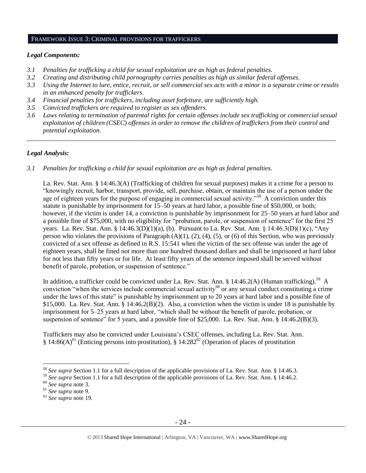#### FRAMEWORK ISSUE 3: CRIMINAL PROVISIONS FOR TRAFFICKERS

#### *Legal Components:*

- *3.1 Penalties for trafficking a child for sexual exploitation are as high as federal penalties.*
- *3.2 Creating and distributing child pornography carries penalties as high as similar federal offenses.*
- *3.3 Using the Internet to lure, entice, recruit, or sell commercial sex acts with a minor is a separate crime or results in an enhanced penalty for traffickers.*
- *3.4 Financial penalties for traffickers, including asset forfeiture, are sufficiently high.*
- *3.5 Convicted traffickers are required to register as sex offenders.*
- *3.6 Laws relating to termination of parental rights for certain offenses include sex trafficking or commercial sexual exploitation of children (CSEC) offenses in order to remove the children of traffickers from their control and potential exploitation.*

*\_\_\_\_\_\_\_\_\_\_\_\_\_\_\_\_\_\_\_\_\_\_\_\_\_\_\_\_\_\_\_\_\_\_\_\_\_\_\_\_\_\_\_\_\_\_\_\_\_\_\_\_\_\_\_\_\_\_\_\_\_\_\_\_\_\_\_\_\_\_\_\_\_\_\_\_\_\_\_\_\_\_\_\_\_\_\_\_\_\_\_\_\_\_*

#### *Legal Analysis:*

*3.1 Penalties for trafficking a child for sexual exploitation are as high as federal penalties.*

La. Rev. Stat. Ann. § 14:46.3(A) (Trafficking of children for sexual purposes) makes it a crime for a person to "knowingly recruit, harbor, transport, provide, sell, purchase, obtain, or maintain the use of a person under the age of eighteen years for the purpose of engaging in commercial sexual activity."<sup>58</sup> A conviction under this statute is punishable by imprisonment for 15–50 years at hard labor, a possible fine of \$50,000, or both; however, if the victim is under 14, a conviction is punishable by imprisonment for 25–50 years at hard labor and a possible fine of \$75,000, with no eligibility for "probation, parole, or suspension of sentence" for the first 25 years. La. Rev. Stat. Ann. § 14:46.3(D)(1)(a), (b). Pursuant to La. Rev. Stat. Ann. § 14:46.3(D)(1)(c), "Any person who violates the provisions of Paragraph  $(A)(1)$ ,  $(2)$ ,  $(4)$ ,  $(5)$ , or  $(6)$  of this Section, who was previously convicted of a sex offense as defined in R.S. 15:541 when the victim of the sex offense was under the age of eighteen years, shall be fined not more than one hundred thousand dollars and shall be imprisoned at hard labor for not less than fifty years or for life. At least fifty years of the sentence imposed shall be served without benefit of parole, probation, or suspension of sentence."

In addition, a trafficker could be convicted under La. Rev. Stat. Ann. § 14:46.2(A) (Human trafficking).<sup>59</sup> A conviction "when the services include commercial sexual activity<sup>60</sup> or any sexual conduct constituting a crime under the laws of this state" is punishable by imprisonment up to 20 years at hard labor and a possible fine of \$15,000. La. Rev. Stat. Ann. § 14:46.2(B)(2). Also, a conviction when the victim is under 18 is punishable by imprisonment for 5–25 years at hard labor, "which shall be without the benefit of parole, probation, or suspension of sentence" for 5 years, and a possible fine of \$25,000. La. Rev. Stat. Ann. § 14:46.2(B)(3).

Traffickers may also be convicted under Louisiana's CSEC offenses, including La. Rev. Stat. Ann. § 14:86(A)<sup>61</sup> (Enticing persons into prostitution), § 14:282<sup>62</sup> (Operation of places of prostitution

<sup>58</sup> *See supra* Section 1.1 for a full description of the applicable provisions of La. Rev. Stat. Ann. § 14:46.3.

<sup>&</sup>lt;sup>59</sup> See supra Section 1.1 for a full description of the applicable provisions of La. Rev. Stat. Ann. § 14:46.2.

<sup>60</sup> *See supra* note [3.](#page-1-0)

<sup>61</sup> *See supra* note 9.

<sup>62</sup> *See supra* note [19.](#page-6-0)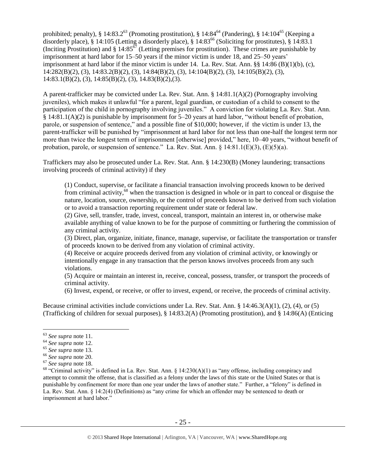prohibited; penalty), § 14:83.2<sup>63</sup> (Promoting prostitution), § 14:84<sup>64</sup> (Pandering), § 14:104<sup>65</sup> (Keeping a disorderly place), § 14:105 (Letting a disorderly place), § 14:83<sup>66</sup> (Soliciting for prostitutes), § 14:83.1 (Inciting Prostitution) and  $\S 14:85^{67}$  (Letting premises for prostitution). These crimes are punishable by imprisonment at hard labor for 15–50 years if the minor victim is under 18, and 25–50 years' imprisonment at hard labor if the minor victim is under 14. La. Rev. Stat. Ann. §§ 14:86 (B)(1)(b), (c), 14:282(B)(2), (3), 14:83.2(B)(2), (3), 14:84(B)(2), (3), 14:104(B)(2), (3), 14:105(B)(2), (3), 14:83.1(B)(2), (3), 14:85(B)(2), (3), 14.83(B)(2),(3).

A parent-trafficker may be convicted under La. Rev. Stat. Ann. § 14:81.1(A)(2) (Pornography involving juveniles), which makes it unlawful "for a parent, legal guardian, or custodian of a child to consent to the participation of the child in pornography involving juveniles." A conviction for violating La. Rev. Stat. Ann. § 14:81.1(A)(2) is punishable by imprisonment for 5–20 years at hard labor, "without benefit of probation, parole, or suspension of sentence," and a possible fine of \$10,000; however, if the victim is under 13, the parent-trafficker will be punished by "imprisonment at hard labor for not less than one-half the longest term nor more than twice the longest term of imprisonment [otherwise] provided," here, 10–40 years, "without benefit of probation, parole, or suspension of sentence." La. Rev. Stat. Ann.  $\S$  14:81.1(E)(3), (E)(5)(a).

Traffickers may also be prosecuted under La. Rev. Stat. Ann. § 14:230(B) (Money laundering; transactions involving proceeds of criminal activity) if they

(1) Conduct, supervise, or facilitate a financial transaction involving proceeds known to be derived from criminal activity, $68$  when the transaction is designed in whole or in part to conceal or disguise the nature, location, source, ownership, or the control of proceeds known to be derived from such violation or to avoid a transaction reporting requirement under state or federal law.

(2) Give, sell, transfer, trade, invest, conceal, transport, maintain an interest in, or otherwise make available anything of value known to be for the purpose of committing or furthering the commission of any criminal activity.

(3) Direct, plan, organize, initiate, finance, manage, supervise, or facilitate the transportation or transfer of proceeds known to be derived from any violation of criminal activity.

(4) Receive or acquire proceeds derived from any violation of criminal activity, or knowingly or intentionally engage in any transaction that the person knows involves proceeds from any such violations.

(5) Acquire or maintain an interest in, receive, conceal, possess, transfer, or transport the proceeds of criminal activity.

(6) Invest, expend, or receive, or offer to invest, expend, or receive, the proceeds of criminal activity.

Because criminal activities include convictions under La. Rev. Stat. Ann. § 14:46.3(A)(1), (2), (4), or (5) (Trafficking of children for sexual purposes), § 14:83.2(A) (Promoting prostitution), and § 14:86(A) (Enticing

<sup>63</sup> *See supra* note [11.](#page-4-0)

<sup>64</sup> *See supra* note [12.](#page-5-0)

<sup>65</sup> *See supra* note [13.](#page-5-1)

<sup>66</sup> *See supra* note 20.

<sup>67</sup> *See supra* note [18.](#page-6-1)

<sup>&</sup>lt;sup>68</sup> "Criminal activity" is defined in La. Rev. Stat. Ann.  $\S$  14:230(A)(1) as "any offense, including conspiracy and attempt to commit the offense, that is classified as a felony under the laws of this state or the United States or that is punishable by confinement for more than one year under the laws of another state." Further, a "felony" is defined in La. Rev. Stat. Ann. § 14:2(4) (Definitions) as "any crime for which an offender may be sentenced to death or imprisonment at hard labor."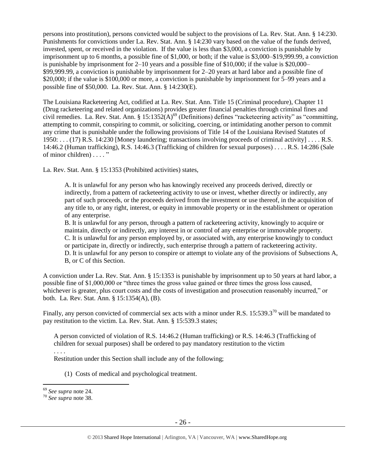persons into prostitution), persons convicted would be subject to the provisions of La. Rev. Stat. Ann. § 14:230. Punishments for convictions under La. Rev. Stat. Ann. § 14:230 vary based on the value of the funds derived, invested, spent, or received in the violation. If the value is less than \$3,000, a conviction is punishable by imprisonment up to 6 months, a possible fine of \$1,000, or both; if the value is \$3,000–\$19,999.99, a conviction is punishable by imprisonment for 2–10 years and a possible fine of \$10,000; if the value is \$20,000– \$99,999.99, a conviction is punishable by imprisonment for 2–20 years at hard labor and a possible fine of \$20,000; if the value is \$100,000 or more, a conviction is punishable by imprisonment for 5–99 years and a possible fine of \$50,000. La. Rev. Stat. Ann. § 14:230(E).

The Louisiana Racketeering Act, codified at La. Rev. Stat. Ann. Title 15 (Criminal procedure), Chapter 11 (Drug racketeering and related organizations) provides greater financial penalties through criminal fines and civil remedies. La. Rev. Stat. Ann. § 15:1352(A)<sup>69</sup> (Definitions) defines "racketeering activity" as "committing, attempting to commit, conspiring to commit, or soliciting, coercing, or intimidating another person to commit any crime that is punishable under the following provisions of Title 14 of the Louisiana Revised Statutes of 1950: . . . (17) [R.S. 14:230](https://owa.regent.edu/owa/redir.aspx?C=0e2d79adea07471dbdda445e0bdec5a1&URL=https%3a%2f%2fwww.lexis.com%2fresearch%2fbuttonTFLink%3f_m%3d77bedd41a1d353e2f7fb983c7e7d9776%26_xfercite%3d%253ccite%2520cc%253d%2522USA%2522%253e%253c%2521%255bCDATA%255bLa.%2520R.S.%252015%253a1352%255d%255d%253e%253c%252fcite%253e%26_butType%3d4%26_butStat%3d0%26_butNum%3d17%26_butInline%3d1%26_butinfo%3dLACODE%252014%253a230%26_fmtstr%3dFULL%26docnum%3d1%26_startdoc%3d1%26wchp%3ddGLbVzS-zSkAA%26_md5%3d250b0b7bf18842c9490cfcc3fc704d6e) [Money laundering; transactions involving proceeds of criminal activity] . . . . R.S. 14:46.2 (Human trafficking), R.S. 14:46.3 (Trafficking of children for sexual purposes) . . . . R.S. 14:286 (Sale of minor children) . . . . "

La. Rev. Stat. Ann. § 15:1353 (Prohibited activities) states,

A. It is unlawful for any person who has knowingly received any proceeds derived, directly or indirectly, from a pattern of racketeering activity to use or invest, whether directly or indirectly, any part of such proceeds, or the proceeds derived from the investment or use thereof, in the acquisition of any title to, or any right, interest, or equity in immovable property or in the establishment or operation of any enterprise.

B. It is unlawful for any person, through a pattern of racketeering activity, knowingly to acquire or maintain, directly or indirectly, any interest in or control of any enterprise or immovable property. C. It is unlawful for any person employed by, or associated with, any enterprise knowingly to conduct or participate in, directly or indirectly, such enterprise through a pattern of racketeering activity. D. It is unlawful for any person to conspire or attempt to violate any of the provisions of Subsections A, B, or C of this Section.

A conviction under La. Rev. Stat. Ann. § 15:1353 is punishable by imprisonment up to 50 years at hard labor, a possible fine of \$1,000,000 or "three times the gross value gained or three times the gross loss caused, whichever is greater, plus court costs and the costs of investigation and prosecution reasonably incurred," or both. La. Rev. Stat. Ann. § 15:1354(A), (B).

Finally, any person convicted of commercial sex acts with a minor under R.S.  $15:539.3^{70}$  will be mandated to pay restitution to the victim. La. Rev. Stat. Ann. § 15:539.3 states;

A person convicted of violation of R.S. 14:46.2 (Human trafficking) or R.S. 14:46.3 (Trafficking of children for sexual purposes) shall be ordered to pay mandatory restitution to the victim

Restitution under this Section shall include any of the following;

(1) Costs of medical and psychological treatment.

. . . .

<sup>69</sup> *See supra* note [24.](#page-11-0) 

<sup>70</sup> *See supra* note [38.](#page-15-0)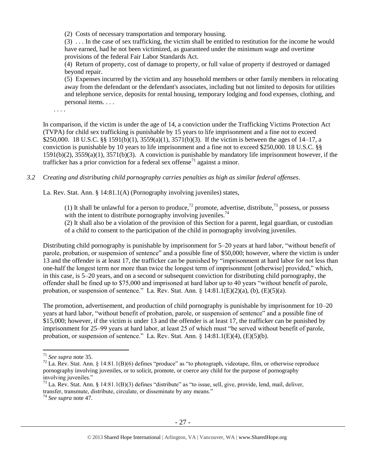(2) Costs of necessary transportation and temporary housing.

(3) . . . In the case of sex trafficking, the victim shall be entitled to restitution for the income he would have earned, had he not been victimized, as guaranteed under the minimum wage and overtime provisions of the federal Fair Labor Standards Act.

(4) Return of property, cost of damage to property, or full value of property if destroyed or damaged beyond repair.

(5) Expenses incurred by the victim and any household members or other family members in relocating away from the defendant or the defendant's associates, including but not limited to deposits for utilities and telephone service, deposits for rental housing, temporary lodging and food expenses, clothing, and personal items. . . .

. . . .

In comparison, if the victim is under the age of 14, a conviction under the Trafficking Victims Protection Act (TVPA) for child sex trafficking is punishable by 15 years to life imprisonment and a fine not to exceed \$250,000. 18 U.S.C. §§ 1591(b)(1), 3559(a)(1), 3571(b)(3). If the victim is between the ages of 14–17, a conviction is punishable by 10 years to life imprisonment and a fine not to exceed \$250,000. 18 U.S.C. §§ 1591(b)(2), 3559(a)(1), 3571(b)(3). A conviction is punishable by mandatory life imprisonment however, if the trafficker has a prior conviction for a federal sex offense<sup>71</sup> against a minor.

*3.2 Creating and distributing child pornography carries penalties as high as similar federal offenses*.

La. Rev. Stat. Ann. § 14:81.1(A) (Pornography involving juveniles) states,

<span id="page-26-0"></span>(1) It shall be unlawful for a person to produce,  $^{72}$  promote, advertise, distribute,  $^{73}$  possess, or possess with the intent to distribute pornography involving juveniles.<sup>74</sup>

(2) It shall also be a violation of the provision of this Section for a parent, legal guardian, or custodian of a child to consent to the participation of the child in pornography involving juveniles.

Distributing child pornography is punishable by imprisonment for 5–20 years at hard labor, "without benefit of parole, probation, or suspension of sentence" and a possible fine of \$50,000; however, where the victim is under 13 and the offender is at least 17, the trafficker can be punished by "imprisonment at hard labor for not less than one-half the longest term nor more than twice the longest term of imprisonment [otherwise] provided," which, in this case, is 5–20 years, and on a second or subsequent conviction for distributing child pornography, the offender shall be fined up to \$75,000 and imprisoned at hard labor up to 40 years "without benefit of parole, probation, or suspension of sentence." La. Rev. Stat. Ann.  $\S$  14:81.1(E)(2)(a), (b), (E)(5)(a).

The promotion, advertisement, and production of child pornography is punishable by imprisonment for 10–20 years at hard labor, "without benefit of probation, parole, or suspension of sentence" and a possible fine of \$15,000; however, if the victim is under 13 and the offender is at least 17, the trafficker can be punished by imprisonment for 25–99 years at hard labor, at least 25 of which must "be served without benefit of parole, probation, or suspension of sentence." La. Rev. Stat. Ann.  $\S$  14:81.1(E)(4), (E)(5)(b).

<sup>71</sup> *See supra* note [35.](#page-15-1) 

 $72$  La. Rev. Stat. Ann. § 14:81.1(B)(6) defines "produce" as "to photograph, videotape, film, or otherwise reproduce pornography involving juveniles, or to solicit, promote, or coerce any child for the purpose of pornography involving juveniles."

 $^{73}$  La. Rev. Stat. Ann. § 14:81.1(B)(3) defines "distribute" as "to issue, sell, give, provide, lend, mail, deliver, transfer, transmute, distribute, circulate, or disseminate by any means."

<sup>74</sup> *See supra* note [47.](#page-20-0)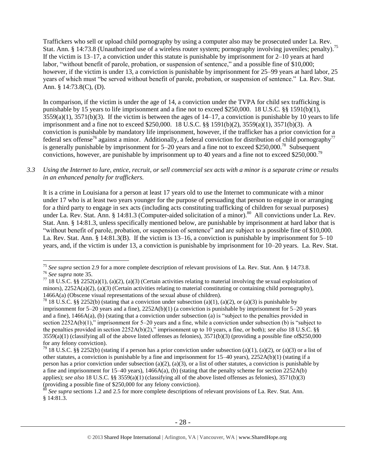Traffickers who sell or upload child pornography by using a computer also may be prosecuted under La. Rev. Stat. Ann. § 14:73.8 (Unauthorized use of a wireless router system; pornography involving juveniles; penalty).<sup>75</sup> If the victim is 13–17, a conviction under this statute is punishable by imprisonment for 2–10 years at hard labor, "without benefit of parole, probation, or suspension of sentence," and a possible fine of \$10,000; however, if the victim is under 13, a conviction is punishable by imprisonment for 25–99 years at hard labor, 25 years of which must "be served without benefit of parole, probation, or suspension of sentence." La. Rev. Stat. Ann. § 14:73.8(C), (D).

In comparison, if the victim is under the age of 14, a conviction under the TVPA for child sex trafficking is punishable by 15 years to life imprisonment and a fine not to exceed \$250,000. 18 U.S.C. §§ 1591(b)(1),  $3559(a)(1)$ ,  $3571(b)(3)$ . If the victim is between the ages of  $14-17$ , a conviction is punishable by 10 years to life imprisonment and a fine not to exceed \$250,000. 18 U.S.C. §§ 1591(b)(2), 3559(a)(1), 3571(b)(3). A conviction is punishable by mandatory life imprisonment, however, if the trafficker has a prior conviction for a federal sex offense<sup>76</sup> against a minor. Additionally, a federal conviction for distribution of child pornography<sup>77</sup> is generally punishable by imprisonment for  $5-20$  years and a fine not to exceed \$250,000.<sup>78</sup> Subsequent convictions, however, are punishable by imprisonment up to 40 years and a fine not to exceed \$250,000.<sup>79</sup>

#### *3.3 Using the Internet to lure, entice, recruit, or sell commercial sex acts with a minor is a separate crime or results in an enhanced penalty for traffickers.*

It is a crime in Louisiana for a person at least 17 years old to use the Internet to communicate with a minor under 17 who is at least two years younger for the purpose of persuading that person to engage in or arranging for a third party to engage in sex acts (including acts constituting trafficking of children for sexual purposes) under La. Rev. Stat. Ann. § 14:81.3 (Computer-aided solicitation of a minor).<sup>80</sup> All convictions under La. Rev. Stat. Ann. § 14:81.3, unless specifically mentioned below, are punishable by imprisonment at hard labor that is "without benefit of parole, probation, or suspension of sentence" and are subject to a possible fine of \$10,000. La. Rev. Stat. Ann. § 14:81.3(B). If the victim is 13–16, a conviction is punishable by imprisonment for 5–10 years, and, if the victim is under 13, a conviction is punishable by imprisonment for 10–20 years. La. Rev. Stat.

<sup>75</sup> *See supra* section 2.9 for a more complete description of relevant provisions of La. Rev. Stat. Ann. § 14:73.8. <sup>76</sup> *See supra* note [35.](#page-15-1) 

<sup>77 18</sup> U.S.C. §§ 2252(a)(1), (a)(2), (a)(3) (Certain activities relating to material involving the sexual exploitation of minors),  $2252A(a)(2)$ , (a)(3) (Certain activities relating to material constituting or containing child pornography), 1466A(a) (Obscene visual representations of the sexual abuse of children).

<sup>&</sup>lt;sup>78</sup> 18 U.S.C. §§ 2252(b) (stating that a conviction under subsection (a)(1), (a)(2), or (a)(3) is punishable by imprisonment for 5–20 years and a fine), 2252A(b)(1) (a conviction is punishable by imprisonment for 5–20 years and a fine), 1466A(a), (b) (stating that a conviction under subsection (a) is "subject to the penalties provided in section 2252A(b)(1)," imprisonment for 5–20 years and a fine, while a conviction under subsection (b) is "subject to the penalties provided in section 2252A(b)(2)," imprisonment up to 10 years, a fine, or both); *see also* 18 U.S.C. §§  $3559(a)(1)$  (classifying all of the above listed offenses as felonies),  $3571(b)(3)$  (providing a possible fine of \$250,000 for any felony conviction).

<sup>&</sup>lt;sup>79</sup> 18 U.S.C. §§ 2252(b) (stating if a person has a prior conviction under subsection (a)(1), (a)(2), or (a)(3) or a list of other statutes, a conviction is punishable by a fine and imprisonment for 15–40 years), 2252A(b)(1) (stating if a person has a prior conviction under subsection (a)(2), (a)(3), or a list of other statutes, a conviction is punishable by a fine and imprisonment for  $15-40$  years),  $1466A(a)$ , (b) (stating that the penalty scheme for section  $2252A(b)$ applies); *see also* 18 U.S.C. §§ 3559(a)(1) (classifying all of the above listed offenses as felonies), 3571(b)(3) (providing a possible fine of \$250,000 for any felony conviction).

See supra sections 1.2 and 2.5 for more complete descriptions of relevant provisions of La. Rev. Stat. Ann. § 14:81.3.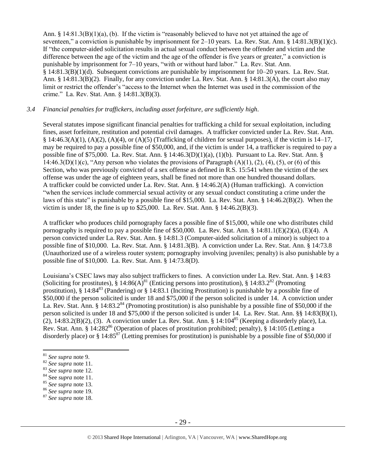Ann.  $\S$  14:81.3(B)(1)(a), (b). If the victim is "reasonably believed to have not yet attained the age of seventeen," a conviction is punishable by imprisonment for 2–10 years. La. Rev. Stat. Ann. § 14:81.3(B)(1)(c). If "the computer-aided solicitation results in actual sexual conduct between the offender and victim and the difference between the age of the victim and the age of the offender is five years or greater," a conviction is punishable by imprisonment for 7–10 years, "with or without hard labor." La. Rev. Stat. Ann. § 14:81.3(B)(1)(d). Subsequent convictions are punishable by imprisonment for 10–20 years. La. Rev. Stat. Ann. § 14:81.3(B)(2). Finally, for any conviction under La. Rev. Stat. Ann. § 14:81.3(A), the court also may limit or restrict the offender's "access to the Internet when the Internet was used in the commission of the crime." La. Rev. Stat. Ann. § 14:81.3(B)(3).

#### *3.4 Financial penalties for traffickers, including asset forfeiture, are sufficiently high*.

Several statutes impose significant financial penalties for trafficking a child for sexual exploitation, including fines, asset forfeiture, restitution and potential civil damages. A trafficker convicted under La. Rev. Stat. Ann. § 14:46.3(A)(1), (A)(2), (A)(4), or (A)(5) (Trafficking of children for sexual purposes), if the victim is  $14-17$ , may be required to pay a possible fine of \$50,000, and, if the victim is under 14, a trafficker is required to pay a possible fine of \$75,000. La. Rev. Stat. Ann. § 14:46.3(D)(1)(a), (1)(b). Pursuant to La. Rev. Stat. Ann. § 14:46.3(D)(1)(c), "Any person who violates the provisions of Paragraph  $(A)(1)$ , (2), (4), (5), or (6) of this Section, who was previously convicted of a sex offense as defined in R.S. 15:541 when the victim of the sex offense was under the age of eighteen years, shall be fined not more than one hundred thousand dollars. A trafficker could be convicted under La. Rev. Stat. Ann. § 14:46.2(A) (Human trafficking). A conviction "when the services include commercial sexual activity or any sexual conduct constituting a crime under the laws of this state" is punishable by a possible fine of \$15,000. La. Rev. Stat. Ann. § 14:46.2(B)(2). When the victim is under 18, the fine is up to \$25,000. La. Rev. Stat. Ann. § 14:46.2(B)(3).

A trafficker who produces child pornography faces a possible fine of \$15,000, while one who distributes child pornography is required to pay a possible fine of \$50,000. La. Rev. Stat. Ann. § 14:81.1(E)(2)(a), (E)(4). A person convicted under La. Rev. Stat. Ann. § 14:81.3 (Computer-aided solicitation of a minor) is subject to a possible fine of \$10,000. La. Rev. Stat. Ann. § 14:81.3(B). A conviction under La. Rev. Stat. Ann. § 14:73.8 (Unauthorized use of a wireless router system; pornography involving juveniles; penalty) is also punishable by a possible fine of \$10,000. La. Rev. Stat. Ann. § 14:73.8(D).

Louisiana's CSEC laws may also subject traffickers to fines. A conviction under La. Rev. Stat. Ann. § 14:83 (Soliciting for prostitutes),  $\S 14:86(A)^{81}$  (Enticing persons into prostitution),  $\S 14:83.2^{82}$  (Promoting prostitution),  $\S$  14:84<sup>83</sup> (Pandering) or  $\S$  14:83.1 (Inciting Prostitution) is punishable by a possible fine of \$50,000 if the person solicited is under 18 and \$75,000 if the person solicited is under 14. A conviction under La. Rev. Stat. Ann. § 14:83.2<sup>84</sup> (Promoting prostitution) is also punishable by a possible fine of \$50,000 if the person solicited is under 18 and \$75,000 if the person solicited is under 14. La. Rev. Stat. Ann. §§ 14:83(B)(1), (2),  $14:83.2(B)(2)$ , (3). A conviction under La. Rev. Stat. Ann. §  $14:104^{85}$  (Keeping a disorderly place), La. Rev. Stat. Ann. § 14:282<sup>86</sup> (Operation of places of prostitution prohibited; penalty), § 14:105 (Letting a disorderly place) or  $\S 14:85^{87}$  (Letting premises for prostitution) is punishable by a possible fine of \$50,000 if

<sup>81</sup> *See supra* note 9.

<sup>82</sup> *See supra* note [11.](#page-4-0)

<sup>83</sup> *See supra* note [12.](#page-5-0)

<sup>84</sup> See *supra* note [11.](#page-4-0)

<sup>85</sup> *See supra* note [13.](#page-5-1)

<sup>86</sup> *See supra* note [19.](#page-6-0) 

<sup>87</sup> *See supra* note [18.](#page-6-1)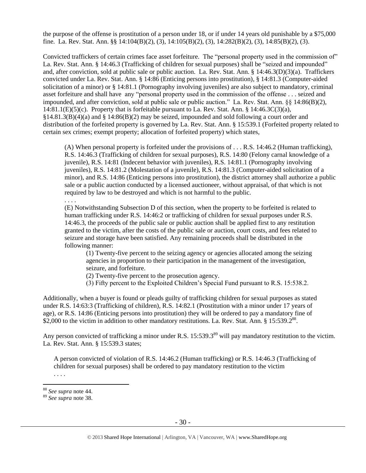the purpose of the offense is prostitution of a person under 18, or if under 14 years old punishable by a \$75,000 fine. La. Rev. Stat. Ann. §§ 14:104(B)(2), (3), 14:105(B)(2), (3), 14:282(B)(2), (3), 14:85(B)(2), (3).

Convicted traffickers of certain crimes face asset forfeiture. The "personal property used in the commission of" La. Rev. Stat. Ann. § 14:46.3 (Trafficking of children for sexual purposes) shall be "seized and impounded" and, after conviction, sold at public sale or public auction. La. Rev. Stat. Ann. § 14:46.3(D)(3)(a). Traffickers convicted under La. Rev. Stat. Ann. § 14:86 (Enticing persons into prostitution), § 14:81.3 (Computer-aided solicitation of a minor) or § 14:81.1 (Pornography involving juveniles) are also subject to mandatory, criminal asset forfeiture and shall have any "personal property used in the commission of the offense . . . seized and impounded, and after conviction, sold at public sale or public auction." La. Rev. Stat. Ann. §§ 14:86(B)(2),  $14:81.1(E)(5)(c)$ . Property that is forfeitable pursuant to La. Rev. Stat. Ann. § 14:46.3C(3)(a),  $\S14.81.3(B)(4)(a)$  and  $\S14.86(B)(2)$  may be seized, impounded and sold following a court order and distribution of the forfeited property is governed by La. Rev. Stat. Ann. § 15:539.1 (Forfeited property related to certain sex crimes; exempt property; allocation of forfeited property) which states,

(A) When personal property is forfeited under the provisions of . . . R.S. 14:46.2 (Human trafficking), R.S. 14:46.3 (Trafficking of children for sexual purposes), R.S. 14:80 (Felony carnal knowledge of a juvenile), R.S. 14:81 (Indecent behavior with juveniles), R.S. 14:81.1 (Pornography involving juveniles), R.S. 14:81.2 (Molestation of a juvenile), R.S. 14:81.3 (Computer-aided solicitation of a minor), and R.S. 14:86 (Enticing persons into prostitution), the district attorney shall authorize a public sale or a public auction conducted by a licensed auctioneer, without appraisal, of that which is not required by law to be destroyed and which is not harmful to the public.

. . . . (E) Notwithstanding Subsection D of this section, when the property to be forfeited is related to human trafficking under R.S. 14:46:2 or trafficking of children for sexual purposes under R.S. 14:46.3, the proceeds of the public sale or public auction shall be applied first to any restitution granted to the victim, after the costs of the public sale or auction, court costs, and fees related to seizure and storage have been satisfied. Any remaining proceeds shall be distributed in the following manner:

(1) Twenty-five percent to the seizing agency or agencies allocated among the seizing agencies in proportion to their participation in the management of the investigation, seizure, and forfeiture.

- (2) Twenty-five percent to the prosecution agency.
- (3) Fifty percent to the Exploited Children's Special Fund pursuant to R.S. 15:538.2.

Additionally, when a buyer is found or pleads guilty of trafficking children for sexual purposes as stated under R.S. 14:63:3 (Trafficking of children), R.S. 14:82.1 (Prostitution with a minor under 17 years of age), or R.S. 14:86 (Enticing persons into prostitution) they will be ordered to pay a mandatory fine of  $$2,000$  to the victim in addition to other mandatory restitutions. La. Rev. Stat. Ann. § 15:539.2<sup>88</sup>.

Any person convicted of trafficking a minor under R.S. 15:539.3<sup>89</sup> will pay mandatory restitution to the victim. La. Rev. Stat. Ann. § 15:539.3 states;

A person convicted of violation of R.S. 14:46.2 (Human trafficking) or R.S. 14:46.3 (Trafficking of children for sexual purposes) shall be ordered to pay mandatory restitution to the victim . . . .

<sup>88</sup> *See supra* note [44.](#page-19-0)

<sup>89</sup> *See supra* note [38.](#page-15-0)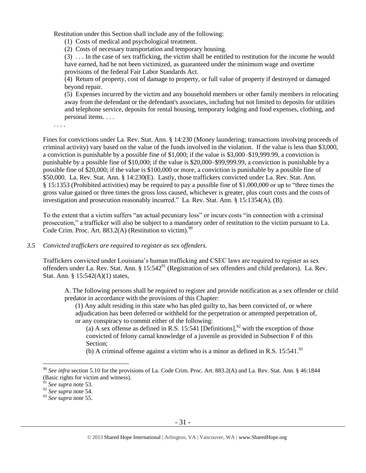Restitution under this Section shall include any of the following:

(1) Costs of medical and psychological treatment.

(2) Costs of necessary transportation and temporary housing.

(3) . . . In the case of sex trafficking, the victim shall be entitled to restitution for the income he would have earned, had he not been victimized, as guaranteed under the minimum wage and overtime provisions of the federal Fair Labor Standards Act.

(4) Return of property, cost of damage to property, or full value of property if destroyed or damaged beyond repair.

(5) Expenses incurred by the victim and any household members or other family members in relocating away from the defendant or the defendant's associates, including but not limited to deposits for utilities and telephone service, deposits for rental housing, temporary lodging and food expenses, clothing, and personal items. . . .

. . . .

Fines for convictions under La. Rev. Stat. Ann. § 14:230 (Money laundering; transactions involving proceeds of criminal activity) vary based on the value of the funds involved in the violation. If the value is less than \$3,000, a conviction is punishable by a possible fine of \$1,000; if the value is \$3,000–\$19,999.99, a conviction is punishable by a possible fine of \$10,000; if the value is \$20,000–\$99,999.99, a conviction is punishable by a possible fine of \$20,000; if the value is \$100,000 or more, a conviction is punishable by a possible fine of \$50,000. La. Rev. Stat. Ann. § 14:230(E). Lastly, those traffickers convicted under La. Rev. Stat. Ann. § 15:1353 (Prohibited activities) may be required to pay a possible fine of \$1,000,000 or up to "three times the gross value gained or three times the gross loss caused, whichever is greater, plus court costs and the costs of investigation and prosecution reasonably incurred." La. Rev. Stat. Ann. § 15:1354(A), (B).

To the extent that a victim suffers "an actual pecuniary loss" or incurs costs "in connection with a criminal prosecution," a trafficker will also be subject to a mandatory order of restitution to the victim pursuant to La. Code Crim. Proc. Art. 883.2(A) (Restitution to victim). $90$ 

*3.5 Convicted traffickers are required to register as sex offenders.*

Traffickers convicted under Louisiana's human trafficking and CSEC laws are required to register as sex offenders under La. Rev. Stat. Ann. § 15:542<sup>91</sup> (Registration of sex offenders and child predators). La. Rev. Stat. Ann. § 15:542(A)(1) states,

A. The following persons shall be required to register and provide notification as a sex offender or child predator in accordance with the provisions of this Chapter:

(1) Any adult residing in this state who has pled guilty to, has been convicted of, or where adjudication has been deferred or withheld for the perpetration or attempted perpetration of, or any conspiracy to commit either of the following:

(a) A sex offense as defined in R.S. 15:541 [Definitions],<sup>92</sup> with the exception of those convicted of felony carnal knowledge of a juvenile as provided in Subsection F of this Section;

(b) A criminal offense against a victim who is a minor as defined in R.S.  $15:541.^{93}$ 

<sup>90</sup> *See infra* section 5.10 for the provisions of La. Code Crim. Proc. Art. 883.2(A) and La. Rev. Stat. Ann. § 46:1844 (Basic rights for victim and witness).

<sup>91</sup> *See supra* note [53.](#page-21-0)

<sup>92</sup> *See supra* note [54.](#page-21-1)

<sup>93</sup> *See supra* note [55.](#page-22-0)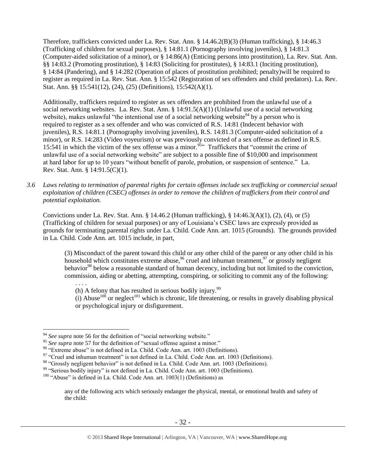Therefore, traffickers convicted under La. Rev. Stat. Ann. § 14.46.2(B)(3) (Human trafficking), § 14:46.3 (Trafficking of children for sexual purposes), § 14:81.1 (Pornography involving juveniles), § 14:81.3 (Computer-aided solicitation of a minor), or § 14:86(A) (Enticing persons into prostitution), La. Rev. Stat. Ann. §§ 14:83.2 (Promoting prostitution), § 14:83 (Soliciting for prostitutes), § 14:83.1 (Inciting prostitution), § 14:84 (Pandering), and § 14:282 (Operation of places of prostitution prohibited; penalty)will be required to register as required in La. Rev. Stat. Ann. § 15:542 (Registration of sex offenders and child predators). La. Rev. Stat. Ann. §§ 15:541(12), (24), (25) (Definitions), 15:542(A)(1).

Additionally, traffickers required to register as sex offenders are prohibited from the unlawful use of a social networking websites. La. Rev. Stat. Ann. § 14:91.5(A)(1) (Unlawful use of a social networking website), makes unlawful "the intentional use of a social networking website<sup>94</sup> by a person who is required to register as a sex offender and who was convicted of R.S. 14:81 (Indecent behavior with juveniles), R.S. 14:81.1 (Pornography involving juveniles), R.S. 14:81.3 (Computer-aided solicitation of a minor), or R.S. 14:283 (Video voyeurism) or was previously convicted of a sex offense as defined in R.S. 15:541 in which the victim of the sex offense was a minor.<sup>95</sup> Traffickers that "commit the crime of unlawful use of a social networking website" are subject to a possible fine of \$10,000 and imprisonment at hard labor for up to 10 years "without benefit of parole, probation, or suspension of sentence." La. Rev. Stat. Ann. § 14:91.5(C)(1).

*3.6 Laws relating to termination of parental rights for certain offenses include sex trafficking or commercial sexual exploitation of children (CSEC) offenses in order to remove the children of traffickers from their control and potential exploitation.*

Convictions under La. Rev. Stat. Ann. § 14.46.2 (Human trafficking), § 14:46.3(A)(1), (2), (4), or (5) (Trafficking of children for sexual purposes) or any of Louisiana's CSEC laws are expressly provided as grounds for terminating parental rights under La. Child. Code Ann. art. 1015 (Grounds). The grounds provided in La. Child. Code Ann. art. 1015 include, in part,

(3) Misconduct of the parent toward this child or any other child of the parent or any other child in his household which constitutes extreme abuse,  $96$  cruel and inhuman treatment,  $97$  or grossly negligent behavior<sup>98</sup> below a reasonable standard of human decency, including but not limited to the conviction, commission, aiding or abetting, attempting, conspiring, or soliciting to commit any of the following:

. . . . (h) A felony that has resulted in serious bodily injury. $99$ 

(i) Abuse<sup>100</sup> or neglect<sup>101</sup> which is chronic, life threatening, or results in gravely disabling physical or psychological injury or disfigurement.

<sup>&</sup>lt;sup>94</sup> See supra note [56](#page-22-1) for the definition of "social networking website."

<sup>&</sup>lt;sup>95</sup> See supra note [57](#page-22-2) for the definition of "sexual offense against a minor."

<sup>&</sup>lt;sup>96</sup> "Extreme abuse" is not defined in La. Child. Code Ann. art. 1003 (Definitions).

<sup>&</sup>lt;sup>97</sup> "Cruel and inhuman treatment" is not defined in La. Child. Code Ann. art. 1003 (Definitions).

<sup>&</sup>lt;sup>98</sup> "Grossly negligent behavior" is not defined in La. Child. Code Ann. art. 1003 (Definitions).

<sup>&</sup>lt;sup>99</sup> "Serious bodily injury" is not defined in La. Child. Code Ann. art. 1003 (Definitions).

 $100$  "Abuse" is defined in La. Child. Code Ann. art.  $1003(1)$  (Definitions) as

any of the following acts which seriously endanger the physical, mental, or emotional health and safety of the child: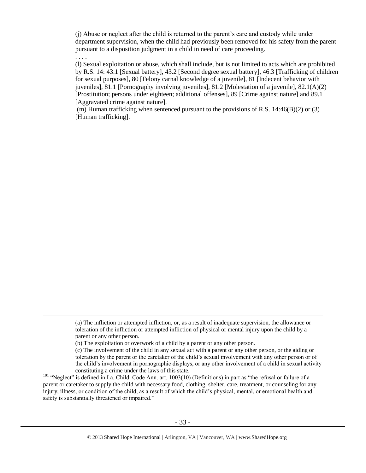(j) Abuse or neglect after the child is returned to the parent's care and custody while under department supervision, when the child had previously been removed for his safety from the parent pursuant to a disposition judgment in a child in need of care proceeding.

. . . .

 $\overline{a}$ 

(l) Sexual exploitation or abuse, which shall include, but is not limited to acts which are prohibited by R.S. 14: 43.1 [Sexual battery], 43.2 [Second degree sexual battery], 46.3 [Trafficking of children for sexual purposes], 80 [Felony carnal knowledge of a juvenile], 81 [Indecent behavior with juveniles], 81.1 [Pornography involving juveniles], 81.2 [Molestation of a juvenile], 82.1(A)(2) [Prostitution; persons under eighteen; additional offenses], 89 [Crime against nature] and 89.1 [Aggravated crime against nature].

(m) Human trafficking when sentenced pursuant to the provisions of R.S.  $14:46(B)(2)$  or (3) [Human trafficking].

<sup>(</sup>a) The infliction or attempted infliction, or, as a result of inadequate supervision, the allowance or toleration of the infliction or attempted infliction of physical or mental injury upon the child by a parent or any other person.

<sup>(</sup>b) The exploitation or overwork of a child by a parent or any other person.

<sup>(</sup>c) The involvement of the child in any sexual act with a parent or any other person, or the aiding or toleration by the parent or the caretaker of the child's sexual involvement with any other person or of the child's involvement in pornographic displays, or any other involvement of a child in sexual activity constituting a crime under the laws of this state.

<sup>&</sup>lt;sup>101</sup> "Neglect" is defined in La. Child. Code Ann. art. 1003(10) (Definitions) in part as "the refusal or failure of a parent or caretaker to supply the child with necessary food, clothing, shelter, care, treatment, or counseling for any injury, illness, or condition of the child, as a result of which the child's physical, mental, or emotional health and safety is substantially threatened or impaired."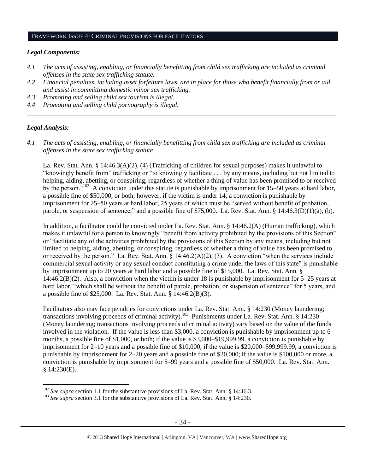#### FRAMEWORK ISSUE 4: CRIMINAL PROVISIONS FOR FACILITATORS

#### *Legal Components:*

- *4.1 The acts of assisting, enabling, or financially benefitting from child sex trafficking are included as criminal offenses in the state sex trafficking statute.*
- *4.2 Financial penalties, including asset forfeiture laws, are in place for those who benefit financially from or aid and assist in committing domestic minor sex trafficking.*

*\_\_\_\_\_\_\_\_\_\_\_\_\_\_\_\_\_\_\_\_\_\_\_\_\_\_\_\_\_\_\_\_\_\_\_\_\_\_\_\_\_\_\_\_\_\_\_\_\_\_\_\_\_\_\_\_\_\_\_\_\_\_\_\_\_\_\_\_\_\_\_\_\_\_\_\_\_\_\_\_\_\_\_\_\_\_\_\_\_\_\_\_\_\_*

- *4.3 Promoting and selling child sex tourism is illegal.*
- *4.4 Promoting and selling child pornography is illegal.*

#### *Legal Analysis:*

 $\overline{a}$ 

*4.1 The acts of assisting, enabling, or financially benefitting from child sex trafficking are included as criminal offenses in the state sex trafficking statute*.

La. Rev. Stat. Ann. § 14:46.3(A)(2), (4) (Trafficking of children for sexual purposes) makes it unlawful to "knowingly benefit from" trafficking or "to knowingly facilitate . . . by any means, including but not limited to helping, aiding, abetting, or conspiring, regardless of whether a thing of value has been promised to or received by the person."<sup>102</sup> A conviction under this statute is punishable by imprisonment for 15–50 years at hard labor, a possible fine of \$50,000, or both; however, if the victim is under 14, a conviction is punishable by imprisonment for 25–50 years at hard labor, 25 years of which must be "served without benefit of probation, parole, or suspension of sentence," and a possible fine of \$75,000. La. Rev. Stat. Ann. § 14:46.3(D)(1)(a), (b).

In addition, a facilitator could be convicted under La. Rev. Stat. Ann. § 14:46.2(A) (Human trafficking), which makes it unlawful for a person to knowingly "benefit from activity prohibited by the provisions of this Section" or "facilitate any of the activities prohibited by the provisions of this Section by any means, including but not limited to helping, aiding, abetting, or conspiring, regardless of whether a thing of value has been promised to or received by the person." La. Rev. Stat. Ann. § 14:46.2(A)(2), (3). A conviction "when the services include commercial sexual activity or any sexual conduct constituting a crime under the laws of this state" is punishable by imprisonment up to 20 years at hard labor and a possible fine of \$15,000. La. Rev. Stat. Ann. § 14:46.2(B)(2). Also, a conviction when the victim is under 18 is punishable by imprisonment for 5–25 years at hard labor, "which shall be without the benefit of parole, probation, or suspension of sentence" for 5 years, and a possible fine of \$25,000. La. Rev. Stat. Ann. § 14:46.2(B)(3).

Facilitators also may face penalties for convictions under La. Rev. Stat. Ann. § 14:230 (Money laundering; transactions involving proceeds of criminal activity).<sup>103</sup> Punishments under La. Rev. Stat. Ann. § 14:230 (Money laundering; transactions involving proceeds of criminal activity) vary based on the value of the funds involved in the violation. If the value is less than \$3,000, a conviction is punishable by imprisonment up to 6 months, a possible fine of \$1,000, or both; if the value is \$3,000–\$19,999.99, a conviction is punishable by imprisonment for 2–10 years and a possible fine of \$10,000; if the value is \$20,000–\$99,999.99, a conviction is punishable by imprisonment for 2–20 years and a possible fine of \$20,000; if the value is \$100,000 or more, a conviction is punishable by imprisonment for 5–99 years and a possible fine of \$50,000. La. Rev. Stat. Ann. § 14:230(E).

<sup>&</sup>lt;sup>102</sup> *See supra* section 1.1 for the substantive provisions of La. Rev. Stat. Ann. § 14:46.3.

<sup>&</sup>lt;sup>103</sup> *See supra* section 3.1 for the substantive provisions of La. Rev. Stat. Ann. § 14:230.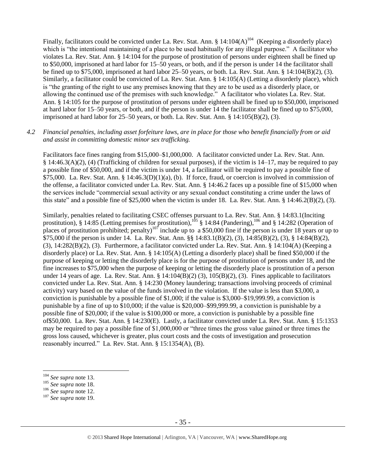Finally, facilitators could be convicted under La. Rev. Stat. Ann. § 14:104(A)<sup>104</sup> (Keeping a disorderly place) which is "the intentional maintaining of a place to be used habitually for any illegal purpose." A facilitator who violates La. Rev. Stat. Ann. § 14:104 for the purpose of prostitution of persons under eighteen shall be fined up to \$50,000, imprisoned at hard labor for 15–50 years, or both, and if the person is under 14 the facilitator shall be fined up to \$75,000, imprisoned at hard labor 25–50 years, or both. La. Rev. Stat. Ann. § 14:104(B)(2), (3). Similarly, a facilitator could be convicted of La. Rev. Stat. Ann. § 14:105(A) (Letting a disorderly place), which is "the granting of the right to use any premises knowing that they are to be used as a disorderly place, or allowing the continued use of the premises with such knowledge." A facilitator who violates La. Rev. Stat. Ann. § 14:105 for the purpose of prostitution of persons under eighteen shall be fined up to \$50,000, imprisoned at hard labor for 15–50 years, or both, and if the person is under 14 the facilitator shall be fined up to \$75,000, imprisoned at hard labor for  $25-50$  years, or both. La. Rev. Stat. Ann. §  $14:105(B)(2)$ , (3).

#### *4.2 Financial penalties, including asset forfeiture laws, are in place for those who benefit financially from or aid and assist in committing domestic minor sex trafficking.*

Facilitators face fines ranging from \$15,000–\$1,000,000. A facilitator convicted under La. Rev. Stat. Ann. § 14:46.3(A)(2), (4) (Trafficking of children for sexual purposes), if the victim is 14–17, may be required to pay a possible fine of \$50,000, and if the victim is under 14, a facilitator will be required to pay a possible fine of \$75,000. La. Rev. Stat. Ann. § 14:46.3(D)(1)(a), (b). If force, fraud, or coercion is involved in commission of the offense, a facilitator convicted under La. Rev. Stat. Ann. § 14:46.2 faces up a possible fine of \$15,000 when the services include "commercial sexual activity or any sexual conduct constituting a crime under the laws of this state" and a possible fine of \$25,000 when the victim is under 18. La. Rev. Stat. Ann. §  $14:46.2(B)(2)$ , (3).

Similarly, penalties related to facilitating CSEC offenses pursuant to La. Rev. Stat. Ann. § 14:83.1(Inciting prostitution), § 14:85 (Letting premises for prostitution),<sup>105</sup> § 14:84 (Pandering),<sup>106</sup> and § 14:282 (Operation of places of prostitution prohibited; penalty)<sup>107</sup> include up to a \$50,000 fine if the person is under 18 years or up to \$75,000 if the person is under 14. La. Rev. Stat. Ann. §§ 14:83.1(B)(2), (3), 14:85(B)(2), (3), § 14:84(B)(2), (3), 14:282(B)(2), (3). Furthermore, a facilitator convicted under La. Rev. Stat. Ann. § 14:104(A) (Keeping a disorderly place) or La. Rev. Stat. Ann. § 14:105(A) (Letting a disorderly place) shall be fined \$50,000 if the purpose of keeping or letting the disorderly place is for the purpose of prostitution of persons under 18, and the fine increases to \$75,000 when the purpose of keeping or letting the disorderly place is prostitution of a person under 14 years of age. La. Rev. Stat. Ann. § 14:104(B)(2) (3), 105(B)(2), (3). Fines applicable to facilitators convicted under La. Rev. Stat. Ann. § 14:230 (Money laundering; transactions involving proceeds of criminal activity) vary based on the value of the funds involved in the violation. If the value is less than \$3,000, a conviction is punishable by a possible fine of \$1,000; if the value is \$3,000–\$19,999.99, a conviction is punishable by a fine of up to \$10,000; if the value is \$20,000–\$99,999.99, a conviction is punishable by a possible fine of \$20,000; if the value is \$100,000 or more, a conviction is punishable by a possible fine of\$50,000. La. Rev. Stat. Ann. § 14:230(E). Lastly, a facilitator convicted under La. Rev. Stat. Ann. § 15:1353 may be required to pay a possible fine of \$1,000,000 or "three times the gross value gained or three times the gross loss caused, whichever is greater, plus court costs and the costs of investigation and prosecution reasonably incurred." La. Rev. Stat. Ann. § 15:1354(A), (B).

<sup>104</sup> *See supra* not[e 13.](#page-5-1)

<sup>105</sup> *See supra* not[e 18.](#page-6-1)

<sup>106</sup> *See supra* not[e 12.](#page-5-0)

<sup>107</sup> *See supra* not[e 19.](#page-6-0)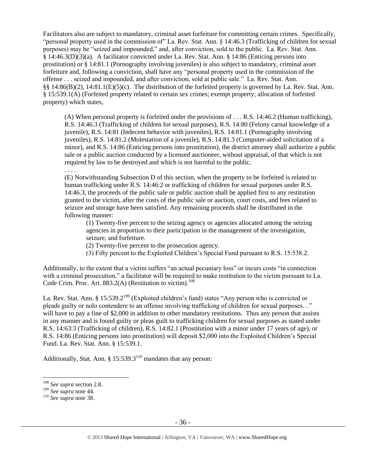Facilitators also are subject to mandatory, criminal asset forfeiture for committing certain crimes. Specifically, "personal property used in the commission of" La. Rev. Stat. Ann. § 14:46.3 (Trafficking of children for sexual purposes) may be "seized and impounded," and, after conviction, sold to the public. La. Rev. Stat. Ann. § 14:46.3(D)(3)(a). A facilitator convicted under La. Rev. Stat. Ann. § 14:86 (Enticing persons into prostitution) or § 14:81.1 (Pornography involving juveniles) is also subject to mandatory, criminal asset forfeiture and, following a conviction, shall have any "personal property used in the commission of the offense . . . seized and impounded, and after conviction, sold at public sale." La. Rev. Stat. Ann. §§ 14:86(B)(2), 14:81.1(E)(5)(c). The distribution of the forfeited property is governed by La. Rev. Stat. Ann. § 15:539.1(A) (Forfeited property related to certain sex crimes; exempt property; allocation of forfeited property) which states,

(A) When personal property is forfeited under the provisions of . . . R.S. 14:46.2 (Human trafficking), R.S. 14:46.3 (Trafficking of children for sexual purposes), R.S. 14:80 (Felony carnal knowledge of a juvenile), R.S. 14:81 (Indecent behavior with juveniles), R.S. 14:81.1 (Pornography involving juveniles), R.S. 14:81.2 (Molestation of a juvenile), R.S. 14:81.3 (Computer-aided solicitation of a minor), and R.S. 14:86 (Enticing persons into prostitution), the district attorney shall authorize a public sale or a public auction conducted by a licensed auctioneer, without appraisal, of that which is not required by law to be destroyed and which is not harmful to the public.

. . . .

(E) Notwithstanding Subsection D of this section, when the property to be forfeited is related to human trafficking under R.S. 14:46:2 or trafficking of children for sexual purposes under R.S. 14:46.3, the proceeds of the public sale or public auction shall be applied first to any restitution granted to the victim, after the costs of the public sale or auction, court costs, and fees related to seizure and storage have been satisfied. Any remaining proceeds shall be distributed in the following manner:

(1) Twenty-five percent to the seizing agency or agencies allocated among the seizing agencies in proportion to their participation in the management of the investigation, seizure, and forfeiture.

- (2) Twenty-five percent to the prosecution agency.
- (3) Fifty percent to the Exploited Children's Special Fund pursuant to R.S. 15:538.2.

Additionally, to the extent that a victim suffers "an actual pecuniary loss" or incurs costs "in connection with a criminal prosecution," a facilitator will be required to make restitution to the victim pursuant to La. Code Crim. Proc. Art. 883.2(A) (Restitution to victim).<sup>108</sup>

La. Rev. Stat. Ann. § 15:539.2<sup>109</sup> (Exploited children's fund) states "Any person who is convicted or pleads guilty or nolo contendere to an offense involving trafficking of children for sexual purposes…" will have to pay a fine of \$2,000 in addition to other mandatory restitutions. Thus any person that assists in any manner and is found guilty or pleas guilt to trafficking children for sexual purposes as stated under R.S. 14:63:3 (Trafficking of children), R.S. 14:82.1 (Prostitution with a minor under 17 years of age), or R.S. 14:86 (Enticing persons into prostitution) will deposit \$2,000 into the Exploited Children's Special Fund. La. Rev. Stat. Ann. § 15:539.1.

Additionally, Stat. Ann.  $\S 15:539.3^{110}$  mandates that any person:

 $\overline{a}$ <sup>108</sup> *See supra* section 2.8.

<sup>109</sup> *See supra* not[e 44.](#page-19-0)

<sup>110</sup> *See supra* not[e 38.](#page-15-0)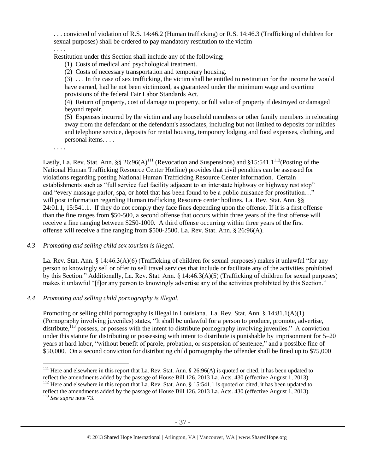. . . convicted of violation of R.S. 14:46.2 (Human trafficking) or R.S. 14:46.3 (Trafficking of children for sexual purposes) shall be ordered to pay mandatory restitution to the victim

. . . . Restitution under this Section shall include any of the following;

(1) Costs of medical and psychological treatment.

(2) Costs of necessary transportation and temporary housing.

(3) . . . In the case of sex trafficking, the victim shall be entitled to restitution for the income he would have earned, had he not been victimized, as guaranteed under the minimum wage and overtime provisions of the federal Fair Labor Standards Act.

(4) Return of property, cost of damage to property, or full value of property if destroyed or damaged beyond repair.

(5) Expenses incurred by the victim and any household members or other family members in relocating away from the defendant or the defendant's associates, including but not limited to deposits for utilities and telephone service, deposits for rental housing, temporary lodging and food expenses, clothing, and personal items. . . .

. . . .

Lastly, La. Rev. Stat. Ann. §§ 26:96(A)<sup>111</sup> (Revocation and Suspensions) and §15:541.1<sup>112</sup> (Posting of the National Human Trafficking Resource Center Hotline) provides that civil penalties can be assessed for violations regarding posting National Human Trafficking Resource Center information. Certain establishments such as "full service fuel facility adjacent to an interstate highway or highway rest stop" and "every massage parlor, spa, or hotel that has been found to be a public nuisance for prostitution…" will post information regarding Human trafficking Resource center hotlines. La. Rev. Stat. Ann. §§ 24:01.1, 15:541.1. If they do not comply they face fines depending upon the offense. If it is a first offense than the fine ranges from \$50-500, a second offense that occurs within three years of the first offense will receive a fine ranging between \$250-1000. A third offense occurring within three years of the first offense will receive a fine ranging from \$500-2500. La. Rev. Stat. Ann. § 26:96(A).

*4.3 Promoting and selling child sex tourism is illegal*.

La. Rev. Stat. Ann. § 14:46.3(A)(6) (Trafficking of children for sexual purposes) makes it unlawful "for any person to knowingly sell or offer to sell travel services that include or facilitate any of the activities prohibited by this Section." Additionally, La. Rev. Stat. Ann. § 14:46.3(A)(5) (Trafficking of children for sexual purposes) makes it unlawful "[f]or any person to knowingly advertise any of the activities prohibited by this Section."

# *4.4 Promoting and selling child pornography is illegal.*

Promoting or selling child pornography is illegal in Louisiana. La. Rev. Stat. Ann. § 14:81.1(A)(1) (Pornography involving juveniles) states, "It shall be unlawful for a person to produce, promote, advertise, distribute, $^{113}$  possess, or possess with the intent to distribute pornography involving juveniles." A conviction under this statute for distributing or possessing with intent to distribute is punishable by imprisonment for 5–20 years at hard labor, "without benefit of parole, probation, or suspension of sentence," and a possible fine of \$50,000. On a second conviction for distributing child pornography the offender shall be fined up to \$75,000

 $\overline{a}$ <sup>111</sup> Here and elsewhere in this report that La. Rev. Stat. Ann. § 26:96(A) is quoted or cited, it has been updated to reflect the amendments added by the passage of House Bill 126. 2013 La. Acts. 430 (effective August 1, 2013).

<sup>&</sup>lt;sup>112</sup> Here and elsewhere in this report that La. Rev. Stat. Ann. § 15:541.1 is quoted or cited, it has been updated to reflect the amendments added by the passage of House Bill 126. 2013 La. Acts. 430 (effective August 1, 2013).

<sup>113</sup> *See supra* not[e 73.](#page-26-0)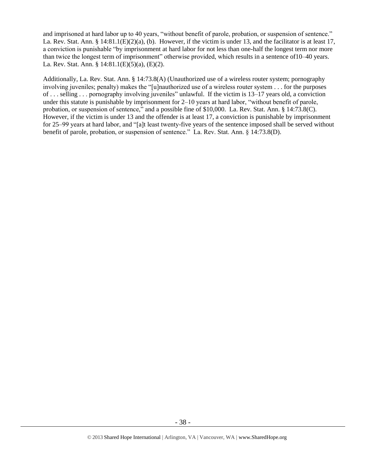and imprisoned at hard labor up to 40 years, "without benefit of parole, probation, or suspension of sentence." La. Rev. Stat. Ann. §  $14:81.1(E)(2)(a)$ , (b). However, if the victim is under 13, and the facilitator is at least 17, a conviction is punishable "by imprisonment at hard labor for not less than one-half the longest term nor more than twice the longest term of imprisonment" otherwise provided, which results in a sentence of10–40 years. La. Rev. Stat. Ann. § 14:81.1(E)(5)(a), (E)(2).

Additionally, La. Rev. Stat. Ann. § 14:73.8(A) (Unauthorized use of a wireless router system; pornography involving juveniles; penalty) makes the "[u]nauthorized use of a wireless router system . . . for the purposes of . . . selling . . . pornography involving juveniles" unlawful. If the victim is 13–17 years old, a conviction under this statute is punishable by imprisonment for 2–10 years at hard labor, "without benefit of parole, probation, or suspension of sentence," and a possible fine of \$10,000. La. Rev. Stat. Ann. § 14:73.8(C). However, if the victim is under 13 and the offender is at least 17, a conviction is punishable by imprisonment for 25–99 years at hard labor, and "[a]t least twenty-five years of the sentence imposed shall be served without benefit of parole, probation, or suspension of sentence." La. Rev. Stat. Ann. § 14:73.8(D).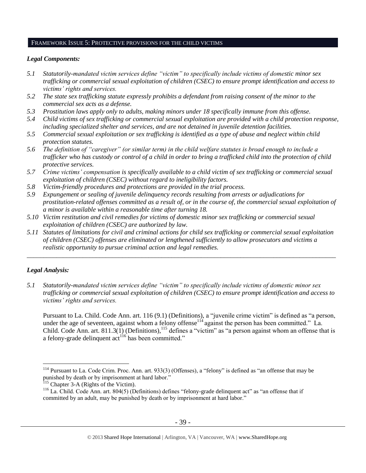#### FRAMEWORK ISSUE 5: PROTECTIVE PROVISIONS FOR THE CHILD VICTIMS

## *Legal Components:*

- *5.1 Statutorily-mandated victim services define "victim" to specifically include victims of domestic minor sex trafficking or commercial sexual exploitation of children (CSEC) to ensure prompt identification and access to victims' rights and services.*
- *5.2 The state sex trafficking statute expressly prohibits a defendant from raising consent of the minor to the commercial sex acts as a defense.*
- *5.3 Prostitution laws apply only to adults, making minors under 18 specifically immune from this offense.*
- *5.4 Child victims of sex trafficking or commercial sexual exploitation are provided with a child protection response, including specialized shelter and services, and are not detained in juvenile detention facilities.*
- *5.5 Commercial sexual exploitation or sex trafficking is identified as a type of abuse and neglect within child protection statutes.*
- *5.6 The definition of "caregiver" (or similar term) in the child welfare statutes is broad enough to include a trafficker who has custody or control of a child in order to bring a trafficked child into the protection of child protective services.*
- *5.7 Crime victims' compensation is specifically available to a child victim of sex trafficking or commercial sexual exploitation of children (CSEC) without regard to ineligibility factors.*
- *5.8 Victim-friendly procedures and protections are provided in the trial process.*
- *5.9 Expungement or sealing of juvenile delinquency records resulting from arrests or adjudications for prostitution-related offenses committed as a result of, or in the course of, the commercial sexual exploitation of a minor is available within a reasonable time after turning 18.*
- *5.10 Victim restitution and civil remedies for victims of domestic minor sex trafficking or commercial sexual exploitation of children (CSEC) are authorized by law.*
- *5.11 Statutes of limitations for civil and criminal actions for child sex trafficking or commercial sexual exploitation of children (CSEC) offenses are eliminated or lengthened sufficiently to allow prosecutors and victims a realistic opportunity to pursue criminal action and legal remedies.*

*\_\_\_\_\_\_\_\_\_\_\_\_\_\_\_\_\_\_\_\_\_\_\_\_\_\_\_\_\_\_\_\_\_\_\_\_\_\_\_\_\_\_\_\_\_\_\_\_\_\_\_\_\_\_\_\_\_\_\_\_\_\_\_\_\_\_\_\_\_\_\_\_\_\_\_\_\_\_\_\_\_\_\_\_\_\_\_\_\_\_\_\_\_\_*

## *Legal Analysis:*

 $\overline{a}$ 

*5.1 Statutorily-mandated victim services define "victim" to specifically include victims of domestic minor sex trafficking or commercial sexual exploitation of children (CSEC) to ensure prompt identification and access to victims' rights and services.*

Pursuant to La. Child. Code Ann. art. 116 (9.1) (Definitions), a "juvenile crime victim" is defined as "a person, under the age of seventeen, against whom a felony offense<sup> $114$ </sup> against the person has been committed." La. Child. Code Ann. art. 811.3(1) (Definitions),<sup>115</sup> defines a "victim" as "a person against whom an offense that is a felony-grade delinquent  $\text{act}^{116}$  has been committed."

<sup>&</sup>lt;sup>114</sup> Pursuant to La. Code Crim. Proc. Ann. art. 933(3) (Offenses), a "felony" is defined as "an offense that may be punished by death or by imprisonment at hard labor."

<sup>&</sup>lt;sup>115</sup> Chapter 3-A (Rights of the [Victim\)](https://a.next.westlaw.com/Browse/Home/StatutesCourtRules/LouisianaStatutesCourtRules?guid=NF8446070943111DA82A9861CF4CA18AB&transitionType=DocumentItem&contextData=(sc.Search)).

<sup>116</sup> La. Child. Code Ann. art. 804(5) (Definitions) defines "felony-grade delinquent act" as "an offense that if committed by an adult, may be punished by death or by imprisonment at hard labor."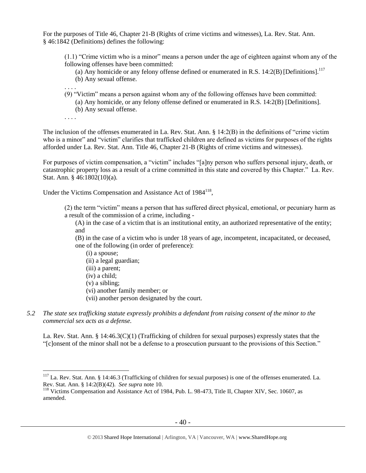For the purposes of Title 46, Chapter 21-B (Rights of crime victims and witnesses), La. Rev. Stat. Ann. § 46:1842 (Definitions) defines the following:

(1.1) "Crime victim who is a minor" means a person under the age of eighteen against whom any of the following offenses have been committed:

- (a) Any homicide or any felony offense defined or enumerated in R.S.  $14:2(B)$  [Definitions].<sup>117</sup>
- (b) Any sexual offense.
- . . . . (9) "Victim" means a person against whom any of the following offenses have been committed:
	- (a) Any homicide, or any felony offense defined or enumerated in R.S. 14:2(B) [Definitions].
	- (b) Any sexual offense.
- . . . .

The inclusion of the offenses enumerated in La. Rev. Stat. Ann. § 14:2(B) in the definitions of "crime victim who is a minor" and "victim" clarifies that trafficked children are defined as victims for purposes of the rights afforded under La. Rev. Stat. Ann. Title 46, Chapter 21-B (Rights of crime victims and witnesses).

For purposes of victim compensation, a "victim" includes "[a]ny person who suffers personal injury, death, or catastrophic property loss as a result of a crime committed in this state and covered by this Chapter." La. Rev. Stat. Ann. § 46:1802(10)(a).

Under the Victims Compensation and Assistance Act of  $1984^{118}$ ,

(2) the term "victim" means a person that has suffered direct physical, emotional, or pecuniary harm as a result of the commission of a crime, including -

(A) in the case of a victim that is an institutional entity, an authorized representative of the entity; and

(B) in the case of a victim who is under 18 years of age, incompetent, incapacitated, or deceased, one of the following (in order of preference):

- (i) a spouse;
- (ii) a legal guardian;
- (iii) a parent;
- (iv) a child;
- (v) a sibling;

 $\overline{a}$ 

- (vi) another family member; or
- (vii) another person designated by the court.
- *5.2 The state sex trafficking statute expressly prohibits a defendant from raising consent of the minor to the commercial sex acts as a defense.*

La. Rev. Stat. Ann. § 14:46.3(C)(1) (Trafficking of children for sexual purposes) expressly states that the "[c]onsent of the minor shall not be a defense to a prosecution pursuant to the provisions of this Section."

<sup>117</sup> La. Rev. Stat. Ann. § 14:46.3 (Trafficking of children for sexual purposes) is one of the offenses enumerated. La. Rev. Stat. Ann. § 14:2(B)(42). *See supra* note [10.](#page-3-2)

<sup>&</sup>lt;sup>118</sup> Victims Compensation and Assistance Act of 1984, Pub. L. 98-473, Title II, Chapter XIV, Sec. 10607, as amended.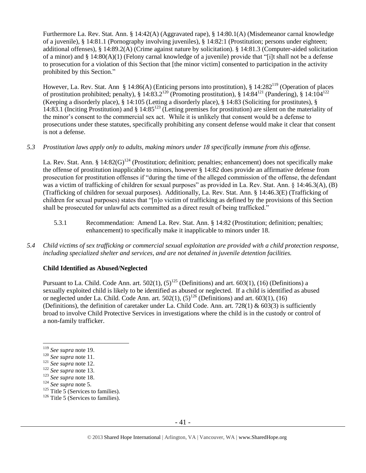Furthermore La. Rev. Stat. Ann. § 14:42(A) (Aggravated rape), § 14:80.1(A) (Misdemeanor carnal knowledge of a juvenile), § 14:81.1 (Pornography involving juveniles), § 14:82:1 (Prostitution; persons under eighteen; additional offenses), § 14:89.2(A) (Crime against nature by solicitation). § 14:81.3 (Computer-aided solicitation of a minor) and § 14:80(A)(1) (Felony carnal knowledge of a juvenile) provide that "[i]t shall not be a defense to prosecution for a violation of this Section that [the minor victim] consented to participation in the activity prohibited by this Section."

However, La. Rev. Stat. Ann § 14:86(A) (Enticing persons into prostitution), § 14:282<sup>119</sup> (Operation of places of prostitution prohibited; penalty), §  $14:83.2^{120}$  (Promoting prostitution), §  $14:84^{121}$  (Pandering), §  $14:104^{122}$ (Keeping a disorderly place), § 14:105 (Letting a disorderly place), § 14:83 (Soliciting for prostitutes), § 14:83.1 (Inciting Prostitution) and  $\S$  14:85<sup>123</sup> (Letting premises for prostitution) are silent on the materiality of the minor's consent to the commercial sex act. While it is unlikely that consent would be a defense to prosecutions under these statutes, specifically prohibiting any consent defense would make it clear that consent is not a defense.

#### *5.3 Prostitution laws apply only to adults, making minors under 18 specifically immune from this offense.*

La. Rev. Stat. Ann. §  $14:82(G)^{124}$  (Prostitution; definition; penalties; enhancement) does not specifically make the offense of prostitution inapplicable to minors, however § 14:82 does provide an affirmative defense from prosecution for prostitution offenses if "during the time of the alleged commission of the offense, the defendant was a victim of trafficking of children for sexual purposes" as provided in La. Rev. Stat. Ann. § 14:46.3(A), (B) (Trafficking of children for sexual purposes). Additionally, La. Rev. Stat. Ann. § 14:46.3(E) (Trafficking of children for sexual purposes) states that "[n]o victim of trafficking as defined by the provisions of this Section shall be prosecuted for unlawful acts committed as a direct result of being trafficked."

- 5.3.1 Recommendation: Amend La. Rev. Stat. Ann. § 14:82 (Prostitution; definition; penalties; enhancement) to specifically make it inapplicable to minors under 18.
- *5.4 Child victims of sex trafficking or commercial sexual exploitation are provided with a child protection response, including specialized shelter and services, and are not detained in juvenile detention facilities.*

#### **Child Identified as Abused/Neglected**

Pursuant to La. Child. Code Ann. art.  $502(1)$ ,  $(5)^{125}$  (Definitions) and art.  $603(1)$ ,  $(16)$  (Definitions) a sexually exploited child is likely to be identified as abused or neglected. If a child is identified as abused or neglected under La. Child. Code Ann. art.  $502(1)$ ,  $(5)^{126}$  (Definitions) and art.  $603(1)$ ,  $(16)$ (Definitions), the definition of caretaker under La. Child Code. Ann. art. 728(1) & 603(3) is sufficiently broad to involve Child Protective Services in investigations where the child is in the custody or control of a non-family trafficker.

<sup>119</sup> *See supra* not[e 19.](#page-6-0)

<sup>120</sup> *See supra* not[e 11.](#page-4-0)

<sup>121</sup> *See supra* not[e 12.](#page-5-0)

<sup>122</sup> *See supra* not[e 13.](#page-5-1)

<sup>123</sup> *See supra* not[e 18.](#page-6-1)

<sup>124</sup> *See supra* not[e 5.](#page-2-0)

 $125$  Title 5 (Services to families).

 $126$  Title 5 (Services to families).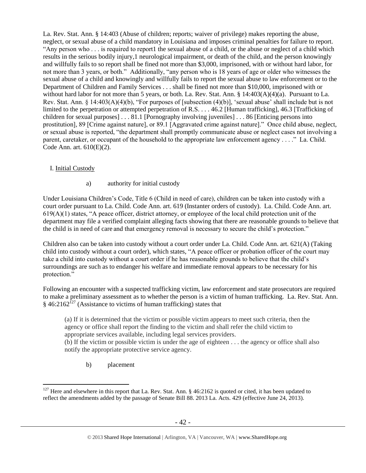La. Rev. Stat. Ann. § 14:403 (Abuse of children; reports; waiver of privilege) makes reporting the abuse, neglect, or sexual abuse of a child mandatory in Louisiana and imposes criminal penalties for failure to report. "Any person who . . . is required to report1 the sexual abuse of a child, or the abuse or neglect of a child which results in the serious bodily injury,1 neurological impairment, or death of the child, and the person knowingly and willfully fails to so report shall be fined not more than \$3,000, imprisoned, with or without hard labor, for not more than 3 years, or both." Additionally, "any person who is 18 years of age or older who witnesses the sexual abuse of a child and knowingly and willfully fails to report the sexual abuse to law enforcement or to the Department of Children and Family Services . . . shall be fined not more than \$10,000, imprisoned with or without hard labor for not more than 5 years, or both. La. Rev. Stat. Ann. § 14:403(A)(4)(a). Pursuant to La. Rev. Stat. Ann. § 14:403(A)(4)(b), "For purposes of [subsection (4)(b)], 'sexual abuse' shall include but is not limited to the perpetration or attempted perpetration of R.S. . . . 46.2 [Human trafficking], 46.3 [Trafficking of children for sexual purposes] . . . 81.1 [Pornography involving juveniles] . . . 86 [Enticing persons into prostitution], 89 [Crime against nature], or 89.1 [Aggravated crime against nature]." Once child abuse, neglect, or sexual abuse is reported, "the department shall promptly communicate abuse or neglect cases not involving a parent, caretaker, or occupant of the household to the appropriate law enforcement agency . . . ." La. Child. Code Ann. art. 610(E)(2).

## I. Initial Custody

a) authority for initial custody

Under Louisiana Children's Code, Title 6 (Child in need of care), children can be taken into custody with a court order pursuant to La. Child. Code Ann. art. 619 (Instanter orders of custody). La. Child. Code Ann. art. 619(A)(1) states, "A peace officer, district attorney, or employee of the local child protection unit of the department may file a verified complaint alleging facts showing that there are reasonable grounds to believe that the child is in need of care and that emergency removal is necessary to secure the child's protection."

Children also can be taken into custody without a court order under La. Child. Code Ann. art. 621(A) (Taking child into custody without a court order), which states, "A peace officer or probation officer of the court may take a child into custody without a court order if he has reasonable grounds to believe that the child's surroundings are such as to endanger his welfare and immediate removal appears to be necessary for his protection."

Following an encounter with a suspected trafficking victim, law enforcement and state prosecutors are required to make a preliminary assessment as to whether the person is a victim of human trafficking. La. Rev. Stat. Ann.  $\frac{1}{2}$  46:2162<sup>[27</sup> (Assistance to victims of human trafficking) states that

(a) If it is determined that the victim or possible victim appears to meet such criteria, then the agency or office shall report the finding to the victim and shall refer the child victim to appropriate services available, including legal services providers.

(b) If the victim or possible victim is under the age of eighteen . . . the agency or office shall also notify the appropriate protective service agency.

b) placement

<sup>&</sup>lt;sup>127</sup> Here and elsewhere in this report that La. Rev. Stat. Ann. § 46:2162 is quoted or cited, it has been updated to reflect the amendments added by the passage of Senate Bill 88. 2013 La. Acts. 429 (effective June 24, 2013).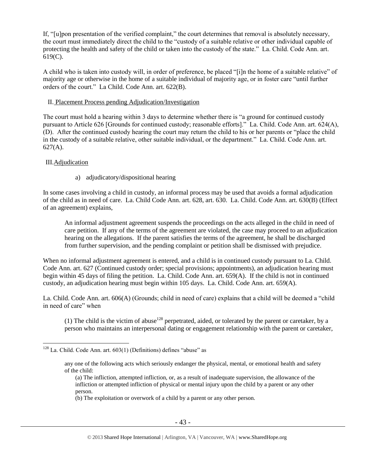If, "[u]pon presentation of the verified complaint," the court determines that removal is absolutely necessary, the court must immediately direct the child to the "custody of a suitable relative or other individual capable of protecting the health and safety of the child or taken into the custody of the state." La. Child. Code Ann. art. 619(C).

A child who is taken into custody will, in order of preference, be placed "[i]n the home of a suitable relative" of majority age or otherwise in the home of a suitable individual of majority age, or in foster care "until further orders of the court." La Child. Code Ann. art. 622(B).

#### II. Placement Process pending Adjudication/Investigation

The court must hold a hearing within 3 days to determine whether there is "a ground for continued custody pursuant to Article 626 [Grounds for continued custody; reasonable efforts]." La. Child. Code Ann. art. 624(A), (D). After the continued custody hearing the court may return the child to his or her parents or "place the child in the custody of a suitable relative, other suitable individual, or the department." La. Child. Code Ann. art. 627(A).

## III.Adjudication

 $\overline{a}$ 

a) adjudicatory/dispositional hearing

In some cases involving a child in custody, an informal process may be used that avoids a formal adjudication of the child as in need of care. La. Child Code Ann. art. 628, art. 630. La. Child. Code Ann. art. 630(B) (Effect of an agreement) explains,

An informal adjustment agreement suspends the proceedings on the acts alleged in the child in need of care petition. If any of the terms of the agreement are violated, the case may proceed to an adjudication hearing on the allegations. If the parent satisfies the terms of the agreement, he shall be discharged from further supervision, and the pending complaint or petition shall be dismissed with prejudice.

When no informal adjustment agreement is entered, and a child is in continued custody pursuant to La. Child. Code Ann. art. 627 (Continued custody order; special provisions; appointments), an adjudication hearing must begin within 45 days of filing the petition. La. Child. Code Ann. art. 659(A). If the child is not in continued custody, an adjudication hearing must begin within 105 days. La. Child. Code Ann. art. 659(A).

La. Child. Code Ann. art. 606(A) (Grounds; child in need of care) explains that a child will be deemed a "child in need of care" when

(1) The child is the victim of abuse<sup>128</sup> perpetrated, aided, or tolerated by the parent or caretaker, by a person who maintains an interpersonal dating or engagement relationship with the parent or caretaker,

 $128$  La. Child. Code Ann. art.  $603(1)$  (Definitions) defines "abuse" as

any one of the following acts which seriously endanger the physical, mental, or emotional health and safety of the child:

<sup>(</sup>a) The infliction, attempted infliction, or, as a result of inadequate supervision, the allowance of the infliction or attempted infliction of physical or mental injury upon the child by a parent or any other person.

<sup>(</sup>b) The exploitation or overwork of a child by a parent or any other person.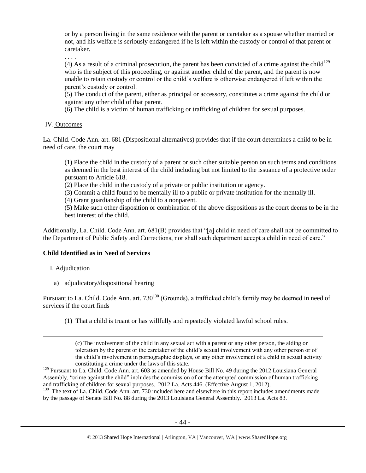or by a person living in the same residence with the parent or caretaker as a spouse whether married or not, and his welfare is seriously endangered if he is left within the custody or control of that parent or caretaker.

. . . .

(4) As a result of a criminal prosecution, the parent has been convicted of a crime against the child<sup>129</sup> who is the subject of this proceeding, or against another child of the parent, and the parent is now unable to retain custody or control or the child's welfare is otherwise endangered if left within the parent's custody or control.

(5) The conduct of the parent, either as principal or accessory, constitutes a crime against the child or against any other child of that parent.

(6) The child is a victim of human trafficking or trafficking of children for sexual purposes.

#### IV. Outcomes

La. Child. Code Ann. art. 681 (Dispositional alternatives) provides that if the court determines a child to be in need of care, the court may

(1) Place the child in the custody of a parent or such other suitable person on such terms and conditions as deemed in the best interest of the child including but not limited to the issuance of a protective order pursuant to Article 618.

(2) Place the child in the custody of a private or public institution or agency.

(3) Commit a child found to be mentally ill to a public or private institution for the mentally ill.

(4) Grant guardianship of the child to a nonparent.

(5) Make such other disposition or combination of the above dispositions as the court deems to be in the best interest of the child.

Additionally, La. Child. Code Ann. art. 681(B) provides that "[a] child in need of care shall not be committed to the Department of Public Safety and Corrections, nor shall such department accept a child in need of care."

#### **Child Identified as in Need of Services**

#### I. Adjudication

 $\overline{a}$ 

a) adjudicatory/dispositional hearing

Pursuant to La. Child. Code Ann. art. 730<sup>130</sup> (Grounds), a trafficked child's family may be deemed in need of services if the court finds

(1) That a child is truant or has willfully and repeatedly violated lawful school rules.

(c) The involvement of the child in any sexual act with a parent or any other person, the aiding or toleration by the parent or the caretaker of the child's sexual involvement with any other person or of the child's involvement in pornographic displays, or any other involvement of a child in sexual activity constituting a crime under the laws of this state.

<sup>129</sup> Pursuant to La. Child. Code Ann. art. 603 as amended by House Bill No. 49 during the 2012 Louisiana General Assembly, "crime against the child" includes the commission of or the attempted commission of human trafficking and trafficking of children for sexual purposes. 2012 La. Acts 446. (Effective August 1, 2012).

<sup>130</sup> The text of La. Child. Code Ann. art. 730 included here and elsewhere in this report includes amendments made by the passage of Senate Bill No. 88 during the 2013 Louisiana General Assembly. 2013 La. Acts 83.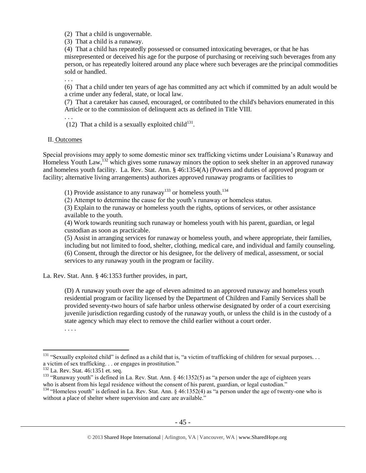(2) That a child is ungovernable.

(3) That a child is a runaway.

(4) That a child has repeatedly possessed or consumed intoxicating beverages, or that he has misrepresented or deceived his age for the purpose of purchasing or receiving such beverages from any person, or has repeatedly loitered around any place where such beverages are the principal commodities sold or handled.

. . .

(6) That a child under ten years of age has committed any act which if committed by an adult would be a crime under any federal, state, or local law.

(7) That a caretaker has caused, encouraged, or contributed to the child's behaviors enumerated in this Article or to the commission of delinquent acts as defined in Title VIII.

. . .

(12) That a child is a sexually exploited child<sup>131</sup>.

#### II. Outcomes

Special provisions may apply to some domestic minor sex trafficking victims under Louisiana's Runaway and Homeless Youth Law,<sup>132</sup> which gives some runaway minors the option to seek shelter in an approved runaway and homeless youth facility. La. Rev. Stat. Ann. § 46:1354(A) (Powers and duties of approved program or facility; alternative living arrangements) authorizes approved runaway programs or facilities to

(1) Provide assistance to any runaway<sup>133</sup> or homeless youth.<sup>134</sup>

(2) Attempt to determine the cause for the youth's runaway or homeless status.

(3) Explain to the runaway or homeless youth the rights, options of services, or other assistance available to the youth.

(4) Work towards reuniting such runaway or homeless youth with his parent, guardian, or legal custodian as soon as practicable.

(5) Assist in arranging services for runaway or homeless youth, and where appropriate, their families, including but not limited to food, shelter, clothing, medical care, and individual and family counseling. (6) Consent, through the director or his designee, for the delivery of medical, assessment, or social services to any runaway youth in the program or facility.

La. Rev. Stat. Ann. § 46:1353 further provides, in part,

(D) A runaway youth over the age of eleven admitted to an approved runaway and homeless youth residential program or facility licensed by the Department of Children and Family Services shall be provided seventy-two hours of safe harbor unless otherwise designated by order of a court exercising juvenile jurisdiction regarding custody of the runaway youth, or unless the child is in the custody of a state agency which may elect to remove the child earlier without a court order.

. . . .

<sup>&</sup>lt;sup>131</sup> "Sexually exploited child" is defined as a child that is, "a victim of trafficking of children for sexual purposes... a victim of sex trafficking. . . or engages in prostitution."

<sup>&</sup>lt;sup>132</sup> La. Rev. Stat. 46:1351 et. seq.

<sup>&</sup>lt;sup>133</sup> "Runaway youth" is defined in La. Rev. Stat. Ann. § 46:1352(5) as "a person under the age of eighteen years who is absent from his legal residence without the consent of his parent, guardian, or legal custodian."

<sup>&</sup>lt;sup>134</sup> "Homeless youth" is defined in La. Rev. Stat. Ann. § 46:1352(4) as "a person under the age of twenty-one who is without a place of shelter where supervision and care are available."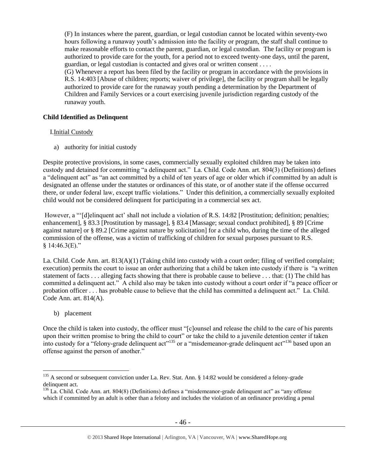(F) In instances where the parent, guardian, or legal custodian cannot be located within seventy-two hours following a runaway youth's admission into the facility or program, the staff shall continue to make reasonable efforts to contact the parent, guardian, or legal custodian. The facility or program is authorized to provide care for the youth, for a period not to exceed twenty-one days, until the parent, guardian, or legal custodian is contacted and gives oral or written consent . . . .

(G) Whenever a report has been filed by the facility or program in accordance with the provisions in R.S. 14:403 [Abuse of children; reports; waiver of privilege], the facility or program shall be legally authorized to provide care for the runaway youth pending a determination by the Department of Children and Family Services or a court exercising juvenile jurisdiction regarding custody of the runaway youth.

## **Child Identified as Delinquent**

## I.Initial Custody

a) authority for initial custody

Despite protective provisions, in some cases, commercially sexually exploited children may be taken into custody and detained for committing "a delinquent act." La. Child. Code Ann. art. 804(3) (Definitions) defines a "delinquent act" as "an act committed by a child of ten years of age or older which if committed by an adult is designated an offense under the statutes or ordinances of this state, or of another state if the offense occurred there, or under federal law, except traffic violations." Under this definition, a commercially sexually exploited child would not be considered delinquent for participating in a commercial sex act.

However, a "'[d]elinquent act' shall not include a violation of R.S. 14:82 [Prostitution; definition; penalties; enhancement], § 83.3 [Prostitution by massage], § 83.4 [Massage; sexual conduct prohibited], § 89 [Crime against nature] or § 89.2 [Crime against nature by solicitation] for a child who, during the time of the alleged commission of the offense, was a victim of trafficking of children for sexual purposes pursuant to R.S.  $§$  14:46.3(E)."

La. Child. Code Ann. art. 813(A)(1) (Taking child into custody with a court order; filing of verified complaint; execution) permits the court to issue an order authorizing that a child be taken into custody if there is "a written statement of facts . . . alleging facts showing that there is probable cause to believe . . . that: (1) The child has committed a delinquent act." A child also may be taken into custody without a court order if "a peace officer or probation officer . . . has probable cause to believe that the child has committed a delinquent act." La. Child. Code Ann. art. 814(A).

b) placement

 $\overline{a}$ 

Once the child is taken into custody, the officer must "[c]ounsel and release the child to the care of his parents upon their written promise to bring the child to court" or take the child to a juvenile detention center if taken into custody for a "felony-grade delinquent act"<sup>135</sup> or a "misdemeanor-grade delinquent act"<sup>136</sup> based upon an offense against the person of another."

 $135$  A second or subsequent conviction under La. Rev. Stat. Ann. § 14:82 would be considered a felony-grade delinquent act.

<sup>&</sup>lt;sup>136</sup> La. Child. Code Ann. art. 804(8) (Definitions) defines a "misdemeanor-grade delinquent act" as "any offense which if committed by an adult is other than a felony and includes the violation of an ordinance providing a penal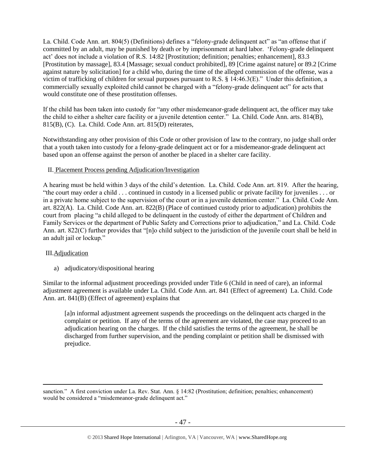La. Child. Code Ann. art. 804(5) (Definitions) defines a "felony-grade delinquent act" as "an offense that if committed by an adult, may be punished by death or by imprisonment at hard labor. 'Felony-grade delinquent act' does not include a violation of R.S. 14:82 [Prostitution; definition; penalties; enhancement], 83.3 [Prostitution by massage], 83.4 [Massage; sexual conduct prohibited], 89 [Crime against nature] or 89.2 [Crime against nature by solicitation] for a child who, during the time of the alleged commission of the offense, was a victim of trafficking of children for sexual purposes pursuant to R.S. § 14:46.3(E)." Under this definition, a commercially sexually exploited child cannot be charged with a "felony-grade delinquent act" for acts that would constitute one of these prostitution offenses.

If the child has been taken into custody for "any other misdemeanor-grade delinquent act, the officer may take the child to either a shelter care facility or a juvenile detention center." La. Child. Code Ann. arts. 814(B), 815(B), (C). La. Child. Code Ann. art. 815(D) reiterates,

Notwithstanding any other provision of this Code or other provision of law to the contrary, no judge shall order that a youth taken into custody for a felony-grade delinquent act or for a misdemeanor-grade delinquent act based upon an offense against the person of another be placed in a shelter care facility.

## II. Placement Process pending Adjudication/Investigation

A hearing must be held within 3 days of the child's detention. La. Child. Code Ann. art. 819. After the hearing, "the court may order a child . . . continued in custody in a licensed public or private facility for juveniles . . . or in a private home subject to the supervision of the court or in a juvenile detention center." La. Child. Code Ann. art. 822(A). La. Child. Code Ann. art. 822(B) (Place of continued custody prior to adjudication) prohibits the court from placing "a child alleged to be delinquent in the custody of either the department of Children and Family Services or the department of Public Safety and Corrections prior to adjudication," and La. Child. Code Ann. art. 822(C) further provides that "[n]o child subject to the jurisdiction of the juvenile court shall be held in an adult jail or lockup."

#### III.Adjudication

 $\overline{a}$ 

a) adjudicatory/dispositional hearing

Similar to the informal adjustment proceedings provided under Title 6 (Child in need of care), an informal adjustment agreement is available under La. Child. Code Ann. art. 841 (Effect of agreement) La. Child. Code Ann. art. 841(B) (Effect of agreement) explains that

[a]n informal adjustment agreement suspends the proceedings on the delinquent acts charged in the complaint or petition. If any of the terms of the agreement are violated, the case may proceed to an adjudication hearing on the charges. If the child satisfies the terms of the agreement, he shall be discharged from further supervision, and the pending complaint or petition shall be dismissed with prejudice.

sanction." A first conviction under La. Rev. Stat. Ann. § 14:82 (Prostitution; definition; penalties; enhancement) would be considered a "misdemeanor-grade delinquent act."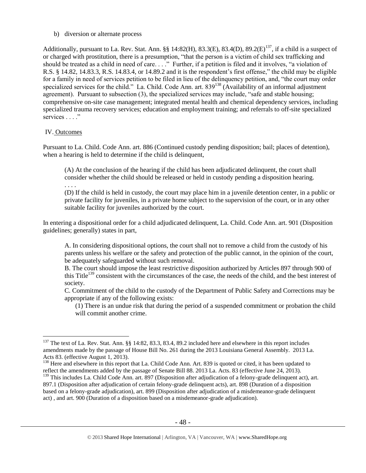b) diversion or alternate process

Additionally, pursuant to La. Rev. Stat. Ann. §§ 14:82(H), 83.3(E), 83.4(D), 89.2(E)<sup>137</sup>, if a child is a suspect of or charged with prostitution, there is a presumption, "that the person is a victim of child sex trafficking and should be treated as a child in need of care. . . ." Further, if a petition is filed and it involves, "a violation of R.S. § 14.82, 14.83.3, R.S. 14.83.4, or 14.89.2 and it is the respondent's first offense," the child may be eligible for a family in need of services petition to be filed in lieu of the delinquency petition, and, "the court may order specialized services for the child." La. Child. Code Ann. art. 839<sup>138</sup> (Availability of an informal adjustment agreement). Pursuant to subsection (3), the specialized services may include, "safe and stable housing; comprehensive on-site case management; integrated mental health and chemical dependency services, including specialized trauma recovery services; education and employment training; and referrals to off-site specialized services . . . ."

## IV. Outcomes

. . . .

 $\overline{a}$ 

Pursuant to La. Child. Code Ann. art. 886 (Continued custody pending disposition; bail; places of detention), when a hearing is held to determine if the child is delinquent,

(A) At the conclusion of the hearing if the child has been adjudicated delinquent, the court shall consider whether the child should be released or held in custody pending a disposition hearing.

(D) If the child is held in custody, the court may place him in a juvenile detention center, in a public or private facility for juveniles, in a private home subject to the supervision of the court, or in any other suitable facility for juveniles authorized by the court.

In entering a dispositional order for a child adjudicated delinquent, La. Child. Code Ann. art. 901 (Disposition guidelines; generally) states in part,

A. In considering dispositional options, the court shall not to remove a child from the custody of his parents unless his welfare or the safety and protection of the public cannot, in the opinion of the court, be adequately safeguarded without such removal.

B. The court should impose the least restrictive disposition authorized by Articles 897 through 900 of this Title<sup>139</sup> consistent with the circumstances of the case, the needs of the child, and the best interest of society.

C. Commitment of the child to the custody of the Department of Public Safety and Corrections may be appropriate if any of the following exists:

(1) There is an undue risk that during the period of a suspended commitment or probation the child will commit another crime.

<sup>&</sup>lt;sup>137</sup> The text of La. Rev. Stat. Ann. §§ 14:82, 83.3, 83.4, 89.2 included here and elsewhere in this report includes amendments made by the passage of House Bill No. 261 during the 2013 Louisiana General Assembly. 2013 La. Acts 83. (effective August 1, 2013).

<sup>&</sup>lt;sup>138</sup> Here and elsewhere in this report that La. Child Code Ann. Art. 839 is quoted or cited, it has been updated to reflect the amendments added by the passage of Senate Bill 88. 2013 La. Acts. 83 (effective June 24, 2013).  $139$  This includes La. Child Code Ann. art. 897 (Disposition after adjudication of a felony-grade delinquent act), art. 897.1 (Disposition after adjudication of certain felony-grade delinquent acts), art. 898 (Duration of a disposition based on a felony-grade adjudication), art. 899 (Disposition after adjudication of a misdemeanor-grade delinquent act) , and art. 900 (Duration of a disposition based on a misdemeanor-grade adjudication).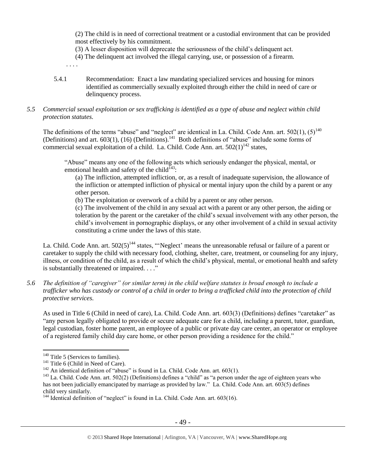(2) The child is in need of correctional treatment or a custodial environment that can be provided most effectively by his commitment.

- (3) A lesser disposition will deprecate the seriousness of the child's delinquent act.
- (4) The delinquent act involved the illegal carrying, use, or possession of a firearm.
- . . . .
- 5.4.1 Recommendation: Enact a law mandating specialized services and housing for minors identified as commercially sexually exploited through either the child in need of care or delinquency process.

#### *5.5 Commercial sexual exploitation or sex trafficking is identified as a type of abuse and neglect within child protection statutes.*

The definitions of the terms "abuse" and "neglect" are identical in La. Child. Code Ann. art.  $502(1)$ ,  $(5)^{140}$ (Definitions) and art.  $603(1)$ ,  $(16)$  (Definitions).<sup>141</sup> Both definitions of "abuse" include some forms of commercial sexual exploitation of a child. La. Child. Code Ann. art.  $502(1)^{142}$  states,

"Abuse" means any one of the following acts which seriously endanger the physical, mental, or emotional health and safety of the child<sup> $143$ </sup>:

(a) The infliction, attempted infliction, or, as a result of inadequate supervision, the allowance of the infliction or attempted infliction of physical or mental injury upon the child by a parent or any other person.

(b) The exploitation or overwork of a child by a parent or any other person.

(c) The involvement of the child in any sexual act with a parent or any other person, the aiding or toleration by the parent or the caretaker of the child's sexual involvement with any other person, the child's involvement in pornographic displays, or any other involvement of a child in sexual activity constituting a crime under the laws of this state.

La. Child. Code Ann. art.  $502(5)^{144}$  states, "'Neglect' means the unreasonable refusal or failure of a parent or caretaker to supply the child with necessary food, clothing, shelter, care, treatment, or counseling for any injury, illness, or condition of the child, as a result of which the child's physical, mental, or emotional health and safety is substantially threatened or impaired. . . ."

*5.6 The definition of "caregiver" (or similar term) in the child welfare statutes is broad enough to include a trafficker who has custody or control of a child in order to bring a trafficked child into the protection of child protective services.*

As used in Title 6 (Child in need of care), La. Child. Code Ann. art. 603(3) (Definitions) defines "caretaker" as "any person legally obligated to provide or secure adequate care for a child, including a parent, tutor, guardian, legal custodian, foster home parent, an employee of a public or private day care center, an operator or employee of a registered family child day care home, or other person providing a residence for the child."

 $140$  Title 5 (Services to families).

 $141$  Title 6 (Child in Need of Care).

 $142$  An identical definition of "abuse" is found in La. Child. Code Ann. art. 603(1).

<sup>&</sup>lt;sup>143</sup> La. Child. Code Ann. art. 502(2) (Definitions) defines a "child" as "a person under the age of eighteen years who has not been judicially emancipated by marriage as provided by law." La. Child. Code Ann. art. 603(5) defines child very similarly.

 $144$  Identical definition of "neglect" is found in La. Child. Code Ann. art. 603(16).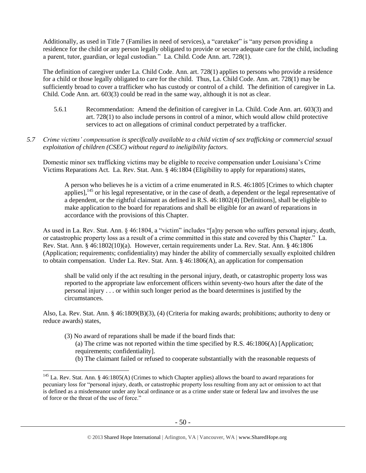Additionally, as used in Title 7 (Families in need of services), a "caretaker" is "any person providing a residence for the child or any person legally obligated to provide or secure adequate care for the child, including a parent, tutor, guardian, or legal custodian." La. Child. Code Ann. art. 728(1).

The definition of caregiver under La. Child Code. Ann. art. 728(1) applies to persons who provide a residence for a child or those legally obligated to care for the child. Thus, La. Child Code. Ann. art. 728(1) may be sufficiently broad to cover a trafficker who has custody or control of a child. The definition of caregiver in La. Child. Code Ann. art. 603(3) could be read in the same way, although it is not as clear.

- 5.6.1 Recommendation: Amend the definition of caregiver in La. Child. Code Ann. art. 603(3) and art. 728(1) to also include persons in control of a minor, which would allow child protective services to act on allegations of criminal conduct perpetrated by a trafficker.
- *5.7 Crime victims' compensation is specifically available to a child victim of sex trafficking or commercial sexual exploitation of children (CSEC) without regard to ineligibility factors.*

Domestic minor sex trafficking victims may be eligible to receive compensation under Louisiana's Crime Victims Reparations Act. La. Rev. Stat. Ann. § 46:1804 (Eligibility to apply for reparations) states,

A person who believes he is a victim of a crime enumerated in R.S. 46:1805 [Crimes to which chapter applies], <sup>145</sup> or his legal representative, or in the case of death, a dependent or the legal representative of a dependent, or the rightful claimant as defined in R.S. 46:1802(4) [Definitions], shall be eligible to make application to the board for reparations and shall be eligible for an award of reparations in accordance with the provisions of this Chapter.

As used in La. Rev. Stat. Ann. § 46:1804, a "victim" includes "[a]ny person who suffers personal injury, death, or catastrophic property loss as a result of a crime committed in this state and covered by this Chapter." La. Rev. Stat. Ann. § 46:1802(10)(a). However, certain requirements under La. Rev. Stat. Ann. § 46:1806 (Application; requirements; confidentiality) may hinder the ability of commercially sexually exploited children to obtain compensation. Under La. Rev. Stat. Ann. § 46:1806(A), an application for compensation

shall be valid only if the act resulting in the personal injury, death, or catastrophic property loss was reported to the appropriate law enforcement officers within seventy-two hours after the date of the personal injury . . . or within such longer period as the board determines is justified by the circumstances.

Also, La. Rev. Stat. Ann. § 46:1809(B)(3), (4) (Criteria for making awards; prohibitions; authority to deny or reduce awards) states,

(3) No award of reparations shall be made if the board finds that:

- (a) The crime was not reported within the time specified by R.S.  $46:1806(A)$  [Application; requirements; confidentiality].
- (b) The claimant failed or refused to cooperate substantially with the reasonable requests of

<sup>145</sup> La. Rev. Stat. Ann. § 46:1805(A) (Crimes to which Chapter applies) allows the board to award reparations for pecuniary loss for "personal injury, death, or catastrophic property loss resulting from any act or omission to act that is defined as a misdemeanor under any local ordinance or as a crime under state or federal law and involves the use of force or the threat of the use of force."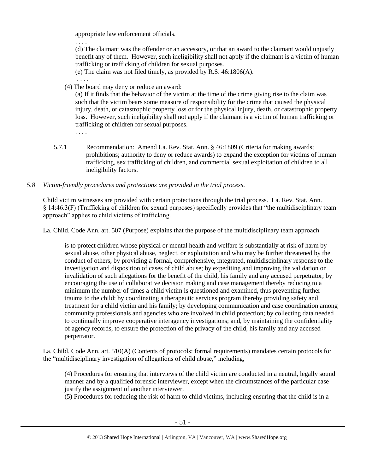appropriate law enforcement officials.

. . . .

. . . .

. . . .

(d) The claimant was the offender or an accessory, or that an award to the claimant would unjustly benefit any of them. However, such ineligibility shall not apply if the claimant is a victim of human trafficking or trafficking of children for sexual purposes.

(e) The claim was not filed timely, as provided by R.S. 46:1806(A).

(4) The board may deny or reduce an award:

(a) If it finds that the behavior of the victim at the time of the crime giving rise to the claim was such that the victim bears some measure of responsibility for the crime that caused the physical injury, death, or catastrophic property loss or for the physical injury, death, or catastrophic property loss. However, such ineligibility shall not apply if the claimant is a victim of human trafficking or trafficking of children for sexual purposes.

5.7.1 Recommendation: Amend La. Rev. Stat. Ann. § 46:1809 (Criteria for making awards; prohibitions; authority to deny or reduce awards) to expand the exception for victims of human trafficking, sex trafficking of children, and commercial sexual exploitation of children to all ineligibility factors.

## *5.8 Victim-friendly procedures and protections are provided in the trial process.*

Child victim witnesses are provided with certain protections through the trial process. La. Rev. Stat. Ann. § 14:46.3(F) (Trafficking of children for sexual purposes) specifically provides that "the multidisciplinary team approach" applies to child victims of trafficking.

La. Child. Code Ann. art. 507 (Purpose) explains that the purpose of the multidisciplinary team approach

is to protect children whose physical or mental health and welfare is substantially at risk of harm by sexual abuse, other physical abuse, neglect, or exploitation and who may be further threatened by the conduct of others, by providing a formal, comprehensive, integrated, multidisciplinary response to the investigation and disposition of cases of child abuse; by expediting and improving the validation or invalidation of such allegations for the benefit of the child, his family and any accused perpetrator; by encouraging the use of collaborative decision making and case management thereby reducing to a minimum the number of times a child victim is questioned and examined, thus preventing further trauma to the child; by coordinating a therapeutic services program thereby providing safety and treatment for a child victim and his family; by developing communication and case coordination among community professionals and agencies who are involved in child protection; by collecting data needed to continually improve cooperative interagency investigations; and, by maintaining the confidentiality of agency records, to ensure the protection of the privacy of the child, his family and any accused perpetrator.

La. Child. Code Ann. art. 510(A) (Contents of protocols; formal requirements) mandates certain protocols for the "multidisciplinary investigation of allegations of child abuse," including,

(4) Procedures for ensuring that interviews of the child victim are conducted in a neutral, legally sound manner and by a qualified forensic interviewer, except when the circumstances of the particular case justify the assignment of another interviewer.

(5) Procedures for reducing the risk of harm to child victims, including ensuring that the child is in a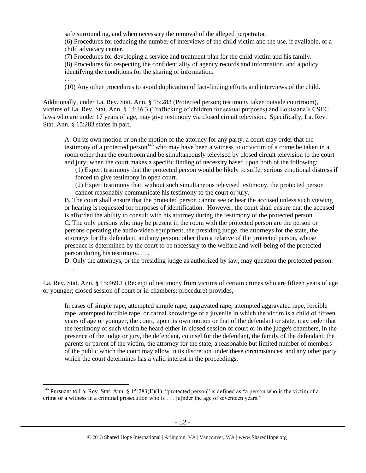safe surrounding, and when necessary the removal of the alleged perpetrator.

(6) Procedures for reducing the number of interviews of the child victim and the use, if available, of a child advocacy center.

(7) Procedures for developing a service and treatment plan for the child victim and his family. (8) Procedures for respecting the confidentiality of agency records and information, and a policy identifying the conditions for the sharing of information.

. . . .

 $\overline{a}$ 

(10) Any other procedures to avoid duplication of fact-finding efforts and interviews of the child.

Additionally, under La. Rev. Stat. Ann. § 15:283 (Protected person; testimony taken outside courtroom), victims of La. Rev. Stat. Ann. § 14:46.3 (Trafficking of children for sexual purposes) and Louisiana's CSEC laws who are under 17 years of age, may give testimony via closed circuit television. Specifically, La. Rev. Stat. Ann. § 15:283 states in part,

A. On its own motion or on the motion of the attorney for any party, a court may order that the testimony of a protected person<sup>146</sup> who may have been a witness to or victim of a crime be taken in a room other than the courtroom and be simultaneously televised by closed circuit television to the court and jury, when the court makes a specific finding of necessity based upon both of the following:

(1) Expert testimony that the protected person would be likely to suffer serious emotional distress if forced to give testimony in open court.

(2) Expert testimony that, without such simultaneous televised testimony, the protected person cannot reasonably communicate his testimony to the court or jury.

B. The court shall ensure that the protected person cannot see or hear the accused unless such viewing or hearing is requested for purposes of identification. However, the court shall ensure that the accused is afforded the ability to consult with his attorney during the testimony of the protected person. C. The only persons who may be present in the room with the protected person are the person or persons operating the audio-video equipment, the presiding judge, the attorneys for the state, the attorneys for the defendant, and any person, other than a relative of the protected person, whose presence is determined by the court to be necessary to the welfare and well-being of the protected person during his testimony. . . .

D. Only the attorneys, or the presiding judge as authorized by law, may question the protected person. . . . .

La. Rev. Stat. Ann. § 15:469.1 (Receipt of testimony from victims of certain crimes who are fifteen years of age or younger; closed session of court or in chambers; procedure) provides,

In cases of simple rape, attempted simple rape, aggravated rape, attempted aggravated rape, forcible rape, attempted forcible rape, or carnal knowledge of a juvenile in which the victim is a child of fifteen years of age or younger, the court, upon its own motion or that of the defendant or state, may order that the testimony of such victim be heard either in closed session of court or in the judge's chambers, in the presence of the judge or jury, the defendant, counsel for the defendant, the family of the defendant, the parents or parent of the victim, the attorney for the state, a reasonable but limited number of members of the public which the court may allow in its discretion under these circumstances, and any other party which the court determines has a valid interest in the proceedings.

<sup>&</sup>lt;sup>146</sup> Pursuant to La. Rev. Stat. Ann. § 15:283(E)(1), "protected person" is defined as "a person who is the victim of a crime or a witness in a criminal prosecution who is . . . [u]nder the age of seventeen years."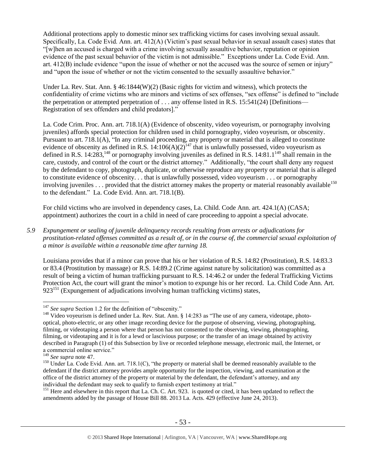Additional protections apply to domestic minor sex trafficking victims for cases involving sexual assault. Specifically, La. Code Evid. Ann. art. 412(A) (Victim's past sexual behavior in sexual assault cases) states that "[w]hen an accused is charged with a crime involving sexually assaultive behavior, reputation or opinion evidence of the past sexual behavior of the victim is not admissible." Exceptions under La. Code Evid. Ann. art. 412(B) include evidence "upon the issue of whether or not the accused was the source of semen or injury" and "upon the issue of whether or not the victim consented to the sexually assaultive behavior."

Under La. Rev. Stat. Ann. § 46:1844(W)(2) (Basic rights for victim and witness), which protects the confidentiality of crime victims who are minors and victims of sex offenses, "sex offense" is defined to "include the perpetration or attempted perpetration of . . . any offense listed in R.S. 15:541(24) [Definitions— Registration of sex offenders and child predators]."

La. Code Crim. Proc. Ann. art. 718.1(A) (Evidence of obscenity, video voyeurism, or pornography involving juveniles) affords special protection for children used in child pornography, video voyeurism, or obscenity. Pursuant to art. 718.1(A), "In any criminal proceeding, any property or material that is alleged to constitute evidence of obscenity as defined in R.S.  $14:106(A)(2)^{147}$  that is unlawfully possessed, video voyeurism as defined in R.S. 14:283,<sup>148</sup> or pornography involving juveniles as defined in R.S. 14:81.1<sup>149</sup> shall remain in the care, custody, and control of the court or the district attorney." Additionally, "the court shall deny any request by the defendant to copy, photograph, duplicate, or otherwise reproduce any property or material that is alleged to constitute evidence of obscenity. . . that is unlawfully possessed, video voyeurism . . . or pornography involving juveniles . . . provided that the district attorney makes the property or material reasonably available<sup>150</sup> to the defendant." La. Code Evid. Ann. art. 718.1(B).

For child victims who are involved in dependency cases, La. Child. Code Ann. art. 424.1(A) (CASA; appointment) authorizes the court in a child in need of care proceeding to appoint a special advocate.

*5.9 Expungement or sealing of juvenile delinquency records resulting from arrests or adjudications for prostitution-related offenses committed as a result of, or in the course of, the commercial sexual exploitation of a minor is available within a reasonable time after turning 18.*

Louisiana provides that if a minor can prove that his or her violation of R.S. 14:82 (Prostitution), R.S. 14:83.3 or 83.4 (Prostitution by massage) or R.S. 14:89.2 (Crime against nature by solicitation) was committed as a result of being a victim of human trafficking pursuant to R.S. 14:46.2 or under the federal Trafficking Victims Protection Act, the court will grant the minor's motion to expunge his or her record. La. Child Code Ann. Art.  $923^{151}$  (Expungement of adjudications involving human trafficking victims) states,

 $\overline{a}$ 

<sup>151</sup> Here and elsewhere in this report that La. Ch. C. Art. 923. is quoted or cited, it has been updated to reflect the amendments added by the passage of House Bill 88. 2013 La. Acts. 429 (effective June 24, 2013).

<sup>&</sup>lt;sup>147</sup> See supra Section 1.2 for the definition of "obscenity."

<sup>&</sup>lt;sup>148</sup> Video voyeurism is defined under La. Rev. Stat. Ann. § 14:283 as "The use of any camera, videotape, photooptical, photo-electric, or any other image recording device for the purpose of observing, viewing, photographing, filming, or videotaping a person where that person has not consented to the observing, viewing, photographing, filming, or videotaping and it is for a lewd or lascivious purpose; or the transfer of an image obtained by activity described in Paragraph (1) of this Subsection by live or recorded telephone message, electronic mail, the Internet, or a commercial online service."

<sup>149</sup> *See supra* not[e 47.](#page-20-0)

<sup>&</sup>lt;sup>150</sup> Under La. Code Evid. Ann. art. 718.1(C), "the property or material shall be deemed reasonably available to the defendant if the district attorney provides ample opportunity for the inspection, viewing, and examination at the office of the district attorney of the property or material by the defendant, the defendant's attorney, and any individual the defendant may seek to qualify to furnish expert testimony at trial."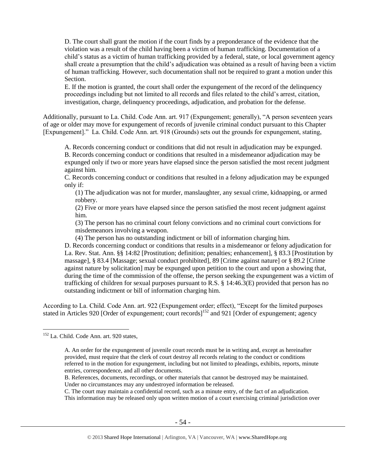D. The court shall grant the motion if the court finds by a preponderance of the evidence that the violation was a result of the child having been a victim of human trafficking. Documentation of a child's status as a victim of human trafficking provided by a federal, state, or local government agency shall create a presumption that the child's adjudication was obtained as a result of having been a victim of human trafficking. However, such documentation shall not be required to grant a motion under this Section.

E. If the motion is granted, the court shall order the expungement of the record of the delinquency proceedings including but not limited to all records and files related to the child's arrest, citation, investigation, charge, delinquency proceedings, adjudication, and probation for the defense.

Additionally, pursuant to La. Child. Code Ann. art. 917 (Expungement; generally), "A person seventeen years of age or older may move for expungement of records of juvenile criminal conduct pursuant to this Chapter [Expungement]." La. Child. Code Ann. art. 918 (Grounds) sets out the grounds for expungement, stating,

A. Records concerning conduct or conditions that did not result in adjudication may be expunged. B. Records concerning conduct or conditions that resulted in a misdemeanor adjudication may be expunged only if two or more years have elapsed since the person satisfied the most recent judgment against him.

C. Records concerning conduct or conditions that resulted in a felony adjudication may be expunged only if:

(1) The adjudication was not for murder, manslaughter, any sexual crime, kidnapping, or armed robbery.

(2) Five or more years have elapsed since the person satisfied the most recent judgment against him.

(3) The person has no criminal court felony convictions and no criminal court convictions for misdemeanors involving a weapon.

(4) The person has no outstanding indictment or bill of information charging him.

D. Records concerning conduct or conditions that results in a misdemeanor or felony adjudication for La. Rev. Stat. Ann. §§ 14:82 [Prostitution; definition; penalties; enhancement], § 83.3 [Prostitution by massage], § 83.4 [Massage; sexual conduct prohibited], 89 [Crime against nature] or § 89.2 [Crime against nature by solicitation] may be expunged upon petition to the court and upon a showing that, during the time of the commission of the offense, the person seeking the expungement was a victim of trafficking of children for sexual purposes pursuant to R.S. § 14:46.3(E) provided that person has no outstanding indictment or bill of information charging him.

According to La. Child. Code Ann. art. 922 (Expungement order; effect), "Except for the limited purposes stated in Articles 920 [Order of expungement; court records]<sup>152</sup> and 921 [Order of expungement; agency

 $\overline{a}$ 

C. The court may maintain a confidential record, such as a minute entry, of the fact of an adjudication. This information may be released only upon written motion of a court exercising criminal jurisdiction over

<sup>&</sup>lt;sup>152</sup> La. Child. Code Ann. art. 920 states,

A. An order for the expungement of juvenile court records must be in writing and, except as hereinafter provided, must require that the clerk of court destroy all records relating to the conduct or conditions referred to in the motion for expungement, including but not limited to pleadings, exhibits, reports, minute entries, correspondence, and all other documents.

B. References, documents, recordings, or other materials that cannot be destroyed may be maintained. Under no circumstances may any undestroyed information be released.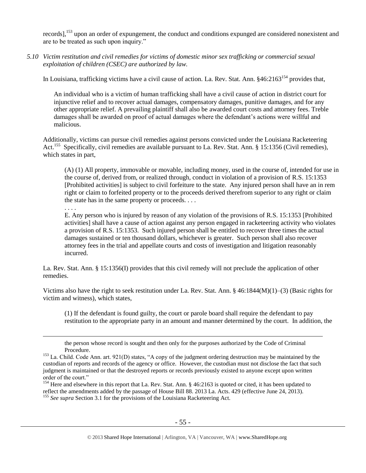records],<sup>153</sup> upon an order of expungement, the conduct and conditions expunged are considered nonexistent and are to be treated as such upon inquiry."

*5.10 Victim restitution and civil remedies for victims of domestic minor sex trafficking or commercial sexual exploitation of children (CSEC) are authorized by law.* 

In Louisiana, trafficking victims have a civil cause of action. La. Rev. Stat. Ann. §46:2163<sup>154</sup> provides that,

An individual who is a victim of human trafficking shall have a civil cause of action in district court for injunctive relief and to recover actual damages, compensatory damages, punitive damages, and for any other appropriate relief. A prevailing plaintiff shall also be awarded court costs and attorney fees. Treble damages shall be awarded on proof of actual damages where the defendant's actions were willful and malicious.

Additionally, victims can pursue civil remedies against persons convicted under the Louisiana Racketeering Act.<sup>155</sup> Specifically, civil remedies are available pursuant to La. Rev. Stat. Ann. § 15:1356 (Civil remedies), which states in part,

(A) (1) All property, immovable or movable, including money, used in the course of, intended for use in the course of, derived from, or realized through, conduct in violation of a provision of [R.S. 15:1353](https://www.lexis.com/research/buttonTFLink?_m=adbaaf1e18f2b659dc9b502e460590c9&_xfercite=%3ccite%20cc%3d%22USA%22%3e%3c%21%5bCDATA%5bLa.%20R.S.%2015%3a1356%5d%5d%3e%3c%2fcite%3e&_butType=4&_butStat=0&_butNum=2&_butInline=1&_butinfo=LACODE%2015%3a1353&_fmtstr=FULL&docnum=1&_startdoc=1&wchp=dGLbVzV-zSkAW&_md5=1d254099e34f73c122bf836a1bcd50ac) [Prohibited activities] is subject to civil forfeiture to the state. Any injured person shall have an in rem right or claim to forfeited property or to the proceeds derived therefrom superior to any right or claim the state has in the same property or proceeds. . . .

#### . . . .

 $\overline{a}$ 

E. Any person who is injured by reason of any violation of the provisions of R.S. 15:1353 [Prohibited activities] shall have a cause of action against any person engaged in racketeering activity who violates a provision of R.S. 15:1353. Such injured person shall be entitled to recover three times the actual damages sustained or ten thousand dollars, whichever is greater. Such person shall also recover attorney fees in the trial and appellate courts and costs of investigation and litigation reasonably incurred.

La. Rev. Stat. Ann. § 15:1356(I) provides that this civil remedy will not preclude the application of other remedies.

Victims also have the right to seek restitution under La. Rev. Stat. Ann. § 46:1844( $M$ )(1)–(3) (Basic rights for victim and witness), which states,

(1) If the defendant is found guilty, the court or parole board shall require the defendant to pay restitution to the appropriate party in an amount and manner determined by the court. In addition, the

the person whose record is sought and then only for the purposes authorized by the Code of Criminal Procedure.

<sup>&</sup>lt;sup>153</sup> La. Child. Code Ann. art. 921(D) states, "A copy of the judgment ordering destruction may be maintained by the custodian of reports and records of the agency or office. However, the custodian must not disclose the fact that such judgment is maintained or that the destroyed reports or records previously existed to anyone except upon written order of the court."

<sup>&</sup>lt;sup>154</sup> Here and elsewhere in this report that La. Rev. Stat. Ann. § 46:2163 is quoted or cited, it has been updated to reflect the amendments added by the passage of House Bill 88. 2013 La. Acts. 429 (effective June 24, 2013). <sup>155</sup> See supra Section 3.1 for the provisions of the Louisiana Racketeering Act.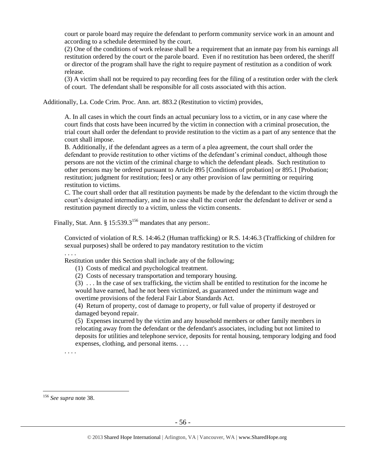court or parole board may require the defendant to perform community service work in an amount and according to a schedule determined by the court.

(2) One of the conditions of work release shall be a requirement that an inmate pay from his earnings all restitution ordered by the court or the parole board. Even if no restitution has been ordered, the sheriff or director of the program shall have the right to require payment of restitution as a condition of work release.

(3) A victim shall not be required to pay recording fees for the filing of a restitution order with the clerk of court. The defendant shall be responsible for all costs associated with this action.

Additionally, La. Code Crim. Proc. Ann. art. 883.2 (Restitution to victim) provides,

A. In all cases in which the court finds an actual pecuniary loss to a victim, or in any case where the court finds that costs have been incurred by the victim in connection with a criminal prosecution, the trial court shall order the defendant to provide restitution to the victim as a part of any sentence that the court shall impose.

B. Additionally, if the defendant agrees as a term of a plea agreement, the court shall order the defendant to provide restitution to other victims of the defendant's criminal conduct, although those persons are not the victim of the criminal charge to which the defendant pleads. Such restitution to other persons may be ordered pursuant to Article 895 [Conditions of probation] or 895.1 [Probation; restitution; judgment for restitution; fees] or any other provision of law permitting or requiring restitution to victims.

C. The court shall order that all restitution payments be made by the defendant to the victim through the court's designated intermediary, and in no case shall the court order the defendant to deliver or send a restitution payment directly to a victim, unless the victim consents.

Finally, Stat. Ann. §  $15:539.3^{156}$  mandates that any person:.

Convicted of violation of R.S. 14:46.2 (Human trafficking) or R.S. 14:46.3 (Trafficking of children for sexual purposes) shall be ordered to pay mandatory restitution to the victim

Restitution under this Section shall include any of the following;

(1) Costs of medical and psychological treatment.

(2) Costs of necessary transportation and temporary housing.

(3) . . . In the case of sex trafficking, the victim shall be entitled to restitution for the income he would have earned, had he not been victimized, as guaranteed under the minimum wage and overtime provisions of the federal Fair Labor Standards Act.

(4) Return of property, cost of damage to property, or full value of property if destroyed or damaged beyond repair.

(5) Expenses incurred by the victim and any household members or other family members in relocating away from the defendant or the defendant's associates, including but not limited to deposits for utilities and telephone service, deposits for rental housing, temporary lodging and food expenses, clothing, and personal items. . . .

 $\overline{a}$ 

. . . .

. . . .

<sup>156</sup> *See supra* not[e 38.](#page-15-0)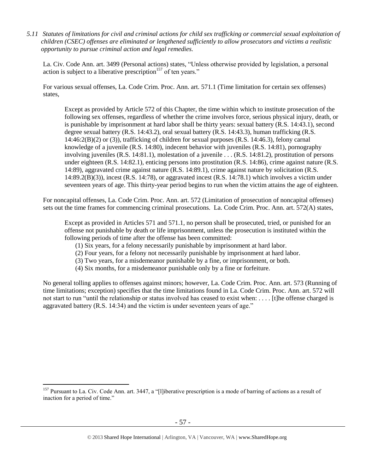*5.11 Statutes of limitations for civil and criminal actions for child sex trafficking or commercial sexual exploitation of children (CSEC) offenses are eliminated or lengthened sufficiently to allow prosecutors and victims a realistic opportunity to pursue criminal action and legal remedies.*

La. Civ. Code Ann. art. 3499 (Personal actions) states, "Unless otherwise provided by legislation, a personal action is subject to a liberative prescription<sup>157</sup> of ten years."

For various sexual offenses, La. Code Crim. Proc. Ann. art. 571.1 (Time limitation for certain sex offenses) states,

Except as provided by Article 572 of this Chapter, the time within which to institute prosecution of the following sex offenses, regardless of whether the crime involves force, serious physical injury, death, or is punishable by imprisonment at hard labor shall be thirty years: sexual battery (R.S. 14:43.1), second degree sexual battery (R.S. 14:43.2), oral sexual battery (R.S. 14:43.3), human trafficking (R.S. 14:46:2(B)(2) or (3)), trafficking of children for sexual purposes (R.S. 14:46.3), felony carnal knowledge of a juvenile (R.S. 14:80), indecent behavior with juveniles (R.S. 14:81), pornography involving juveniles (R.S. 14:81.1), molestation of a juvenile . . . (R.S. 14:81.2), prostitution of persons under eighteen (R.S. 14:82.1), enticing persons into prostitution (R.S. 14:86), crime against nature (R.S. 14:89), aggravated crime against nature (R.S. 14:89.1), crime against nature by solicitation (R.S. 14:89.2(B)(3)), incest (R.S. 14:78), or aggravated incest (R.S. 14:78.1) which involves a victim under seventeen years of age. This thirty-year period begins to run when the victim attains the age of eighteen.

For noncapital offenses, La. Code Crim. Proc. Ann. art. 572 (Limitation of prosecution of noncapital offenses) sets out the time frames for commencing criminal prosecutions. La. Code Crim. Proc. Ann. art. 572(A) states,

Except as provided in Articles 571 and 571.1, no person shall be prosecuted, tried, or punished for an offense not punishable by death or life imprisonment, unless the prosecution is instituted within the following periods of time after the offense has been committed:

- (1) Six years, for a felony necessarily punishable by imprisonment at hard labor.
- (2) Four years, for a felony not necessarily punishable by imprisonment at hard labor.
- (3) Two years, for a misdemeanor punishable by a fine, or imprisonment, or both.
- (4) Six months, for a misdemeanor punishable only by a fine or forfeiture.

No general tolling applies to offenses against minors; however, La. Code Crim. Proc. Ann. art. 573 (Running of time limitations; exception) specifies that the time limitations found in La. Code Crim. Proc. Ann. art. 572 will not start to run "until the relationship or status involved has ceased to exist when: . . . . [t]he offense charged is aggravated battery (R.S. 14:34) and the victim is under seventeen years of age."

<sup>&</sup>lt;sup>157</sup> Pursuant to La. Civ. Code Ann. art. 3447, a "[l]iberative prescription is a mode of barring of actions as a result of inaction for a period of time."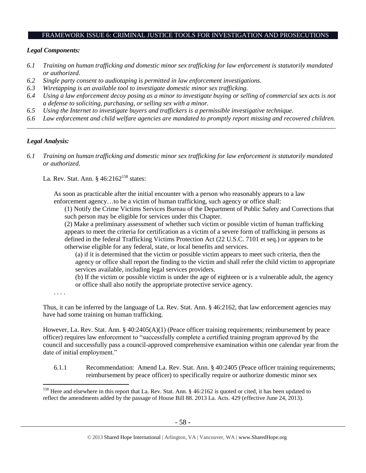#### FRAMEWORK ISSUE 6: CRIMINAL JUSTICE TOOLS FOR INVESTIGATION AND PROSECUTIONS

#### *Legal Components:*

- *6.1 Training on human trafficking and domestic minor sex trafficking for law enforcement is statutorily mandated or authorized.*
- *6.2 Single party consent to audiotaping is permitted in law enforcement investigations.*
- *6.3 Wiretapping is an available tool to investigate domestic minor sex trafficking.*
- *6.4 Using a law enforcement decoy posing as a minor to investigate buying or selling of commercial sex acts is not a defense to soliciting, purchasing, or selling sex with a minor.*
- *6.5 Using the Internet to investigate buyers and traffickers is a permissible investigative technique.*
- *6.6 Law enforcement and child welfare agencies are mandated to promptly report missing and recovered children. \_\_\_\_\_\_\_\_\_\_\_\_\_\_\_\_\_\_\_\_\_\_\_\_\_\_\_\_\_\_\_\_\_\_\_\_\_\_\_\_\_\_\_\_\_\_\_\_\_\_\_\_\_\_\_\_\_\_\_\_\_\_\_\_\_\_\_\_\_\_\_\_\_\_\_\_\_\_\_\_\_\_\_\_\_\_\_\_\_\_\_\_\_\_*

## *Legal Analysis:*

*6.1 Training on human trafficking and domestic minor sex trafficking for law enforcement is statutorily mandated or authorized.*

La. Rev. Stat. Ann.  $\frac{6}{3}$  46:2162<sup>158</sup> states:

As soon as practicable after the initial encounter with a person who reasonably appears to a law enforcement agency…to be a victim of human trafficking, such agency or office shall:

(1) Notify the Crime Victims Services Bureau of the Department of Public Safety and Corrections that such person may be eligible for services under this Chapter.

(2) Make a preliminary assessment of whether such victim or possible victim of human trafficking appears to meet the criteria for certification as a victim of a severe form of trafficking in persons as defined in the federal Trafficking Victims Protection Act (22 U.S.C. 7101 et seq.) or appears to be otherwise eligible for any federal, state, or local benefits and services.

(a) if it is determined that the victim or possible victim appears to meet such criteria, then the agency or office shall report the finding to the victim and shall refer the child victim to appropriate services available, including legal services providers.

(b) If the victim or possible victim is under the age of eighteen or is a vulnerable adult, the agency or office shall also notify the appropriate protective service agency.

. . . .

 $\overline{a}$ 

Thus, it can be inferred by the language of La. Rev. Stat. Ann. § 46:2162, that law enforcement agencies may have had some training on human trafficking.

However, La. Rev. Stat. Ann. § 40:2405(A)(1) (Peace officer training requirements; reimbursement by peace officer) requires law enforcement to "successfully complete a certified training program approved by the council and successfully pass a council-approved comprehensive examination within one calendar year from the date of initial employment."

6.1.1 Recommendation: Amend La. Rev. Stat. Ann. § 40:2405 (Peace officer training requirements; reimbursement by peace officer) to specifically require or authorize domestic minor sex

<sup>&</sup>lt;sup>158</sup> Here and elsewhere in this report that La. Rev. Stat. Ann. § 46:2162 is quoted or cited, it has been updated to reflect the amendments added by the passage of House Bill 88. 2013 La. Acts. 429 (effective June 24, 2013).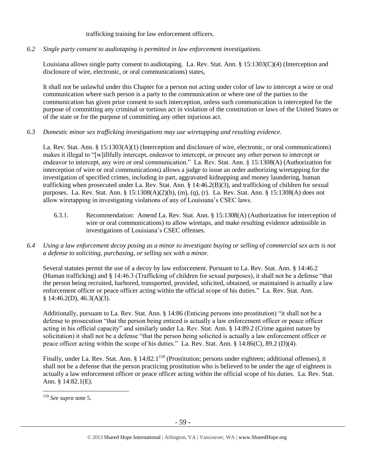#### trafficking training for law enforcement officers.

*6.2 Single party consent to audiotaping is permitted in law enforcement investigations.*

Louisiana allows single party consent to audiotaping. La. Rev. Stat. Ann. § 15:1303(C)(4) (Interception and disclosure of wire, electronic, or oral communications) states,

It shall not be unlawful under this Chapter for a person not acting under color of law to intercept a wire or oral communication where such person is a party to the communication or where one of the parties to the communication has given prior consent to such interception, unless such communication is intercepted for the purpose of committing any criminal or tortious act in violation of the constitution or laws of the United States or of the state or for the purpose of committing any other injurious act.

*6.3 Domestic minor sex trafficking investigations may use wiretapping and resulting evidence.*

La. Rev. Stat. Ann. § 15:1303(A)(1) (Interception and disclosure of wire, electronic, or oral communications) makes it illegal to "[w]illfully intercept, endeavor to intercept, or procure any other person to intercept or endeavor to intercept, any wire or oral communication." La. Rev. Stat. Ann. § 15:1308(A) (Authorization for interception of wire or oral communications) allows a judge to issue an order authorizing wiretapping for the investigation of specified crimes, including in part, aggravated kidnapping and money laundering, human trafficking when prosecuted under La. Rev. Stat. Ann. § 14:46.2(B)(3), and trafficking of children for sexual purposes. La. Rev. Stat. Ann. § 15:1308(A)(2)(b), (m), (q), (r). La. Rev. Stat. Ann. § 15:1308(A) does not allow wiretapping in investigating violations of any of Louisiana's CSEC laws.

- 6.3.1. Recommendation: Amend La. Rev. Stat. Ann. § 15:1308(A) (Authorization for interception of wire or oral communications) to allow wiretaps, and make resulting evidence admissible in investigations of Louisiana's CSEC offenses.
- *6.4 Using a law enforcement decoy posing as a minor to investigate buying or selling of commercial sex acts is not a defense to soliciting, purchasing, or selling sex with a minor.*

Several statutes permit the use of a decoy by law enforcement. Pursuant to La. Rev. Stat. Ann. § 14:46.2 (Human trafficking) and § 14:46.3 (Trafficking of children for sexual purposes), it shall not be a defense "that the person being recruited, harbored, transported, provided, solicited, obtained, or maintained is actually a law enforcement officer or peace officer acting within the official scope of his duties." La. Rev. Stat. Ann.  $§ 14:46.2(D), 46.3(A)(3).$ 

Additionally, pursuant to La. Rev. Stat. Ann. § 14:86 (Enticing persons into prostitution) "it shall not be a defense to prosecution "that the person being enticed is actually a law enforcement officer or peace officer acting in his official capacity" and similarly under La. Rev. Stat. Ann. § 14:89.2 (Crime against nature by solicitation) it shall not be a defense "that the person being solicited is actually a law enforcement officer or peace officer acting within the scope of his duties." La. Rev. Stat. Ann. § 14:86(C), 89.2 (D)(4).

Finally, under La. Rev. Stat. Ann. § 14:82.1<sup>159</sup> (Prostitution; persons under eighteen; additional offenses), it shall not be a defense that the person practicing prostitution who is believed to be under the age of eighteen is actually a law enforcement officer or peace officer acting within the official scope of his duties. La. Rev. Stat. Ann. § 14:82.1(E).

<sup>159</sup> *See supra* not[e 5.](#page-2-0)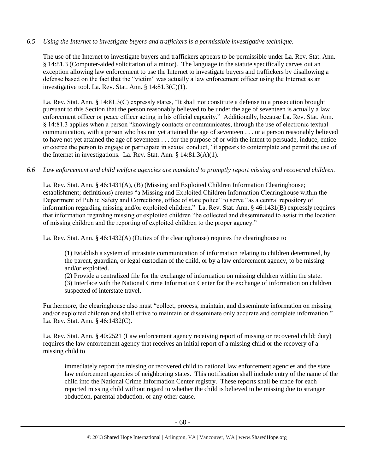## *6.5 Using the Internet to investigate buyers and traffickers is a permissible investigative technique.*

The use of the Internet to investigate buyers and traffickers appears to be permissible under La. Rev. Stat. Ann. § 14:81.3 (Computer-aided solicitation of a minor). The language in the statute specifically carves out an exception allowing law enforcement to use the Internet to investigate buyers and traffickers by disallowing a defense based on the fact that the "victim" was actually a law enforcement officer using the Internet as an investigative tool. La. Rev. Stat. Ann. § 14:81.3(C)(1).

La. Rev. Stat. Ann. § 14:81.3(C) expressly states, "It shall not constitute a defense to a prosecution brought pursuant to this Section that the person reasonably believed to be under the age of seventeen is actually a law enforcement officer or peace officer acting in his official capacity." Additionally, because La. Rev. Stat. Ann. § 14:81.3 applies when a person "knowingly contacts or communicates, through the use of electronic textual communication, with a person who has not yet attained the age of seventeen . . . or a person reasonably believed to have not yet attained the age of seventeen . . . for the purpose of or with the intent to persuade, induce, entice or coerce the person to engage or participate in sexual conduct," it appears to contemplate and permit the use of the Internet in investigations. La. Rev. Stat. Ann. § 14:81.3(A)(1).

#### *6.6 Law enforcement and child welfare agencies are mandated to promptly report missing and recovered children.*

La. Rev. Stat. Ann. § 46:1431(A), (B) (Missing and Exploited Children Information Clearinghouse; establishment; definitions) creates "a Missing and Exploited Children Information Clearinghouse within the Department of Public Safety and Corrections, office of state police" to serve "as a central repository of information regarding missing and/or exploited children." La. Rev. Stat. Ann. § 46:1431(B) expressly requires that information regarding missing or exploited children "be collected and disseminated to assist in the location of missing children and the reporting of exploited children to the proper agency."

La. Rev. Stat. Ann. § 46:1432(A) (Duties of the clearinghouse) requires the clearinghouse to

(1) Establish a system of intrastate communication of information relating to children determined, by the parent, guardian, or legal custodian of the child, or by a law enforcement agency, to be missing and/or exploited.

(2) Provide a centralized file for the exchange of information on missing children within the state.

(3) Interface with the National Crime Information Center for the exchange of information on children suspected of interstate travel.

Furthermore, the clearinghouse also must "collect, process, maintain, and disseminate information on missing and/or exploited children and shall strive to maintain or disseminate only accurate and complete information." La. Rev. Stat. Ann. § 46:1432(C).

La. Rev. Stat. Ann. § 40:2521 (Law enforcement agency receiving report of missing or recovered child; duty) requires the law enforcement agency that receives an initial report of a missing child or the recovery of a missing child to

immediately report the missing or recovered child to national law enforcement agencies and the state law enforcement agencies of neighboring states. This notification shall include entry of the name of the child into the National Crime Information Center registry. These reports shall be made for each reported missing child without regard to whether the child is believed to be missing due to stranger abduction, parental abduction, or any other cause.